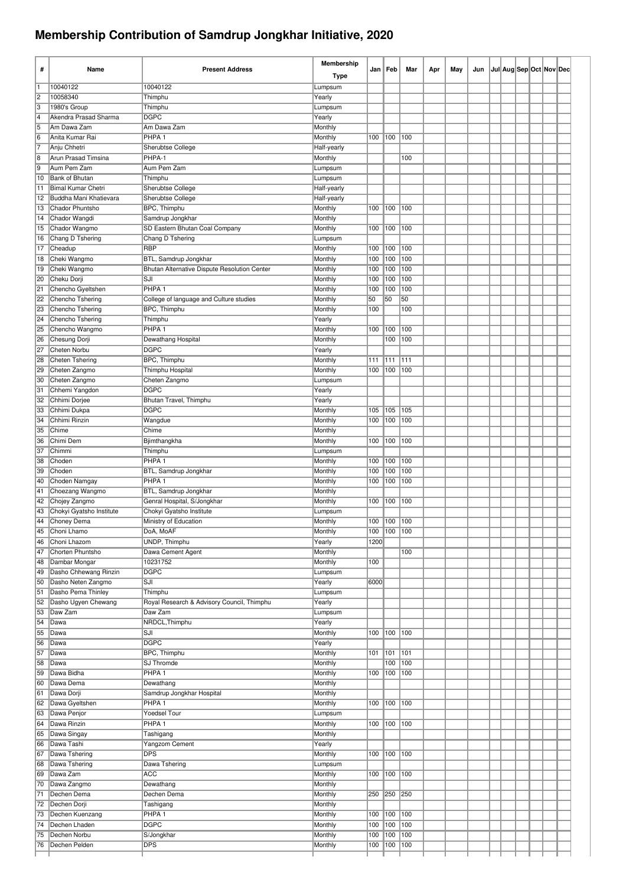## **Membership Contribution of Samdrup Jongkhar Initiative, 2020**

| #                                | Name                                  | <b>Present Address</b>                                | Membership             |            | Jan   Feb     | Mar        | Apr | May | Jun |  |  | Jul Aug Sep Oct Nov Dec |  |
|----------------------------------|---------------------------------------|-------------------------------------------------------|------------------------|------------|---------------|------------|-----|-----|-----|--|--|-------------------------|--|
|                                  |                                       |                                                       | <b>Type</b>            |            |               |            |     |     |     |  |  |                         |  |
| 11                               | 10040122                              | 10040122                                              | Lumpsum                |            |               |            |     |     |     |  |  |                         |  |
| $\overline{2}$<br>$\overline{3}$ | 10058340                              | Thimphu                                               | Yearly                 |            |               |            |     |     |     |  |  |                         |  |
| $\overline{4}$                   | 1980's Group<br>Akendra Prasad Sharma | Thimphu<br><b>DGPC</b>                                | Lumpsum<br>Yearly      |            |               |            |     |     |     |  |  |                         |  |
| 5                                | Am Dawa Zam                           | Am Dawa Zam                                           | Monthly                |            |               |            |     |     |     |  |  |                         |  |
| $\overline{6}$                   | Anita Kumar Rai                       | PHPA <sub>1</sub>                                     | Monthly                | 100        | 100           | 100        |     |     |     |  |  |                         |  |
| $\overline{7}$                   | Anju Chhetri                          | Sherubtse College                                     | Half-yearly            |            |               |            |     |     |     |  |  |                         |  |
| $\overline{8}$                   | Arun Prasad Timsina                   | PHPA-1                                                | Monthly                |            |               | 100        |     |     |     |  |  |                         |  |
| $\overline{9}$                   | Aum Pem Zam                           | Aum Pem Zam                                           | Lumpsum                |            |               |            |     |     |     |  |  |                         |  |
| 10<br>11                         | Bank of Bhutan<br>Bimal Kumar Chetri  | Thimphu<br>Sherubtse College                          | Lumpsum<br>Half-yearly |            |               |            |     |     |     |  |  |                         |  |
| 12                               | Buddha Mani Khatievara                | <b>Sherubtse College</b>                              | Half-yearly            |            |               |            |     |     |     |  |  |                         |  |
| 13                               | Chador Phuntsho                       | <b>BPC, Thimphu</b>                                   | Monthly                | 100        | 100           | 100        |     |     |     |  |  |                         |  |
| 14                               | Chador Wangdi                         | Samdrup Jongkhar                                      | Monthly                |            |               |            |     |     |     |  |  |                         |  |
| 15                               | Chador Wangmo                         | SD Eastern Bhutan Coal Company                        | Monthly                | 100        | 100           | 100        |     |     |     |  |  |                         |  |
| ∥16                              | Chang D Tshering<br>Cheadup           | Chang D Tshering<br><b>RBP</b>                        | Lumpsum                | 100        | 100           | 100        |     |     |     |  |  |                         |  |
| 17<br> 18                        | Cheki Wangmo                          | BTL, Samdrup Jongkhar                                 | Monthly<br>Monthly     | 100        | 100           | 100        |     |     |     |  |  |                         |  |
| 19                               | Cheki Wangmo                          | Bhutan Alternative Dispute Resolution Center          | Monthly                | 100        | 100           | 100        |     |     |     |  |  |                         |  |
| 20                               | Cheku Dorji                           | SJI                                                   | Monthly                | 100        | 100           | 100        |     |     |     |  |  |                         |  |
| 21                               | Chencho Gyeltshen                     | PHPA <sub>1</sub>                                     | Monthly                | 100        | 100           | 100        |     |     |     |  |  |                         |  |
| 22                               | Chencho Tshering                      | College of language and Culture studies               | Monthly                | 50         | 50            | 50         |     |     |     |  |  |                         |  |
| 23                               | Chencho Tshering                      | <b>BPC, Thimphu</b>                                   | Monthly                | 100        |               | 100        |     |     |     |  |  |                         |  |
| 24<br>25                         | Chencho Tshering<br>Chencho Wangmo    | Thimphu<br>PHPA <sub>1</sub>                          | Yearly<br>Monthly      | 100        | 100           | 100        |     |     |     |  |  |                         |  |
| 26                               | Chesung Dorji                         | Dewathang Hospital                                    | Monthly                |            | 100           | 100        |     |     |     |  |  |                         |  |
| 27                               | Cheten Norbu                          | <b>DGPC</b>                                           | Yearly                 |            |               |            |     |     |     |  |  |                         |  |
| 28                               | Cheten Tshering                       | <b>BPC, Thimphu</b>                                   | Monthly                | 111        | 111           | 111        |     |     |     |  |  |                         |  |
| 29                               | Cheten Zangmo                         | Thimphu Hospital                                      | Monthly                | 100        | 100           | 100        |     |     |     |  |  |                         |  |
| 30                               | Cheten Zangmo                         | Cheten Zangmo                                         | Lumpsum                |            |               |            |     |     |     |  |  |                         |  |
| 31<br>32                         | Chhemi Yangdon<br>Chhimi Dorjee       | <b>DGPC</b><br>Bhutan Travel, Thimphu                 | Yearly<br>Yearly       |            |               |            |     |     |     |  |  |                         |  |
| 33                               | Chhimi Dukpa                          | <b>DGPC</b>                                           | Monthly                | 105        | 105           | 105        |     |     |     |  |  |                         |  |
| 34                               | Chhimi Rinzin                         | Wangdue                                               | Monthly                | 100        | 100           | 100        |     |     |     |  |  |                         |  |
| 35                               | Chime                                 | Chime                                                 | Monthly                |            |               |            |     |     |     |  |  |                         |  |
| 36                               | Chimi Dem                             | Bjimthangkha                                          | Monthly                | 100        | 100           | 100        |     |     |     |  |  |                         |  |
| 37                               | Chimmi                                | Thimphu                                               | Lumpsum                |            |               |            |     |     |     |  |  |                         |  |
| 38<br>39                         | Choden<br>Choden                      | PHPA <sub>1</sub><br>BTL, Samdrup Jongkhar            | Monthly<br>Monthly     | 100<br>100 | 100<br>100    | 100<br>100 |     |     |     |  |  |                         |  |
| 40                               | Choden Namgay                         | PHPA <sub>1</sub>                                     | Monthly                | 100        | 100           | 100        |     |     |     |  |  |                         |  |
| 41                               | Choezang Wangmo                       | <b>BTL, Samdrup Jongkhar</b>                          | Monthly                |            |               |            |     |     |     |  |  |                         |  |
| 42                               | Chojey Zangmo                         | Genral Hospital, S/Jongkhar                           | Monthly                | 100        | 100           | 100        |     |     |     |  |  |                         |  |
| 43                               | Chokyi Gyatsho Institute              | Chokyi Gyatsho Institute                              | Lumpsum                |            |               |            |     |     |     |  |  |                         |  |
| $\overline{44}$                  | Choney Dema                           | Ministry of Education                                 | Monthly                | 100        | 100           | 100        |     |     |     |  |  |                         |  |
| 45<br>46                         | Choni Lhamo<br>Choni Lhazom           | DoA, MoAF<br><b>UNDP, Thimphu</b>                     | Monthly<br>Yearly      | 1200       | 100 100 100   |            |     |     |     |  |  |                         |  |
| 47                               | Chorten Phuntsho                      | Dawa Cement Agent                                     | Monthly                |            |               | 100        |     |     |     |  |  |                         |  |
| 48                               | Dambar Mongar                         | 10231752                                              | Monthly                | 100        |               |            |     |     |     |  |  |                         |  |
| 49                               | Dasho Chhewang Rinzin                 | <b>DGPC</b>                                           | Lumpsum                |            |               |            |     |     |     |  |  |                         |  |
| 50                               | Dasho Neten Zangmo                    | SJI                                                   | Yearly                 | 6000       |               |            |     |     |     |  |  |                         |  |
| 51                               | Dasho Pema Thinley                    | Thimphu                                               | Lumpsum                |            |               |            |     |     |     |  |  |                         |  |
| 52<br>53                         | Dasho Ugyen Chewang<br>Daw Zam        | Royal Research & Advisory Council, Thimphu<br>Daw Zam | Yearly<br>Lumpsum      |            |               |            |     |     |     |  |  |                         |  |
| 54                               | Dawa                                  | NRDCL, Thimphu                                        | Yearly                 |            |               |            |     |     |     |  |  |                         |  |
| 55                               | Dawa                                  | SJI                                                   | Monthly                | 100        | 100 100       |            |     |     |     |  |  |                         |  |
| 56                               | Dawa                                  | <b>DGPC</b>                                           | Yearly                 |            |               |            |     |     |     |  |  |                         |  |
| 57                               | Dawa                                  | BPC, Thimphu                                          | Monthly                | 101        | 101           | 101        |     |     |     |  |  |                         |  |
| 58                               | Dawa                                  | SJ Thromde                                            | Monthly                |            | 100           | 100        |     |     |     |  |  |                         |  |
| 59<br>60                         | Dawa Bidha<br>Dawa Dema               | PHPA <sub>1</sub><br>Dewathang                        | Monthly<br>Monthly     | 100        | 100           | 100        |     |     |     |  |  |                         |  |
| 61                               | Dawa Dorji                            | Samdrup Jongkhar Hospital                             | Monthly                |            |               |            |     |     |     |  |  |                         |  |
| 62                               | Dawa Gyeltshen                        | PHPA <sub>1</sub>                                     | Monthly                | 100        | $ 100\rangle$ | 100        |     |     |     |  |  |                         |  |
| 63                               | Dawa Penjor                           | <b>Yoedsel Tour</b>                                   | Lumpsum                |            |               |            |     |     |     |  |  |                         |  |
| 64                               | Dawa Rinzin                           | PHPA <sub>1</sub>                                     | Monthly                | 100        | 100           | 100        |     |     |     |  |  |                         |  |
| 65                               | Dawa Singay                           | Tashigang                                             | Monthly                |            |               |            |     |     |     |  |  |                         |  |
| 66<br>67                         | Dawa Tashi<br>Dawa Tshering           | Yangzom Cement<br><b>DPS</b>                          | Yearly<br>Monthly      | 100        | $100$ 100     |            |     |     |     |  |  |                         |  |
| 68                               | Dawa Tshering                         | Dawa Tshering                                         | Lumpsum                |            |               |            |     |     |     |  |  |                         |  |
| 69                               | Dawa Zam                              | <b>ACC</b>                                            | Monthly                | 100        | 100           | 100        |     |     |     |  |  |                         |  |
| 70                               | Dawa Zangmo                           | Dewathang                                             | Monthly                |            |               |            |     |     |     |  |  |                         |  |
| 71                               | Dechen Dema                           | Dechen Dema                                           | Monthly                | 250        | 250 250       |            |     |     |     |  |  |                         |  |
| 72                               | Dechen Dorji                          | Tashigang                                             | Monthly                |            |               |            |     |     |     |  |  |                         |  |
| 73<br>74                         | Dechen Kuenzang<br>Dechen Lhaden      | PHPA <sub>1</sub><br><b>DGPC</b>                      | Monthly<br>Monthly     | 100<br>100 | 100<br>100    | 100<br>100 |     |     |     |  |  |                         |  |
| 75                               | Dechen Norbu                          | S/Jongkhar                                            | Monthly                | 100        | 100           | 100        |     |     |     |  |  |                         |  |
| 76                               | Dechen Pelden                         | <b>DPS</b>                                            | Monthly                | 100        | 100           | 100        |     |     |     |  |  |                         |  |
|                                  |                                       |                                                       |                        |            |               |            |     |     |     |  |  |                         |  |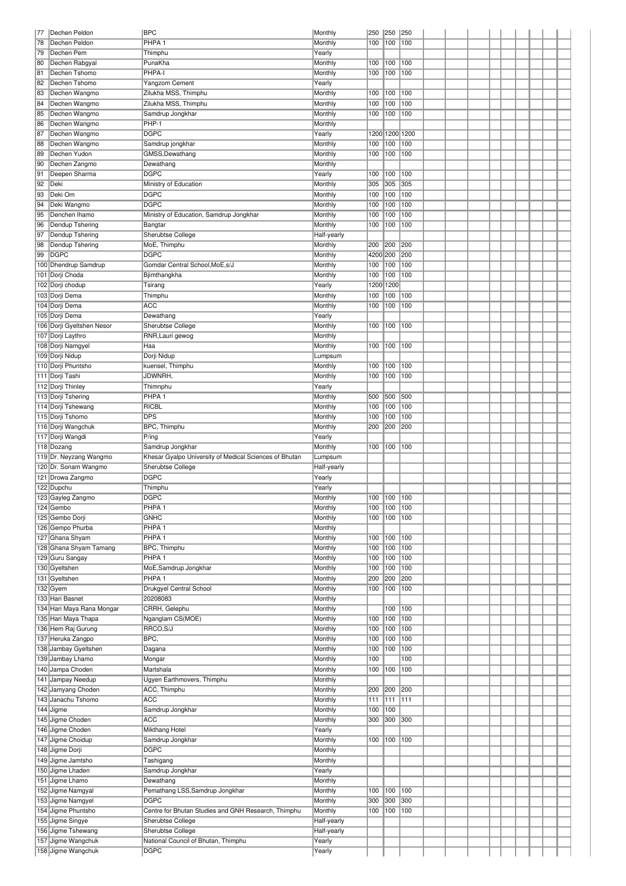| 177 | Dechen Peldon                            | <b>BPC</b>                                             | Monthly          | 250      | 250         | 250  |  |  |  |  |  |
|-----|------------------------------------------|--------------------------------------------------------|------------------|----------|-------------|------|--|--|--|--|--|
| 78  | Dechen Peldon                            | PHPA <sub>1</sub>                                      | Monthly          | 100      | 100         | 100  |  |  |  |  |  |
| 79  | Dechen Pem                               | Thimphu                                                | Yearly           |          |             |      |  |  |  |  |  |
|     |                                          |                                                        |                  |          |             |      |  |  |  |  |  |
| 80  | Dechen Rabgyal                           | PunaKha                                                | Monthly          | 100      | 100         | 100  |  |  |  |  |  |
| 81  | Dechen Tshomo                            | PHPA-I                                                 | Monthly          | 100      | 100         | 100  |  |  |  |  |  |
| 82  | Dechen Tshomo                            | Yangzom Cement                                         | Yearly           |          |             |      |  |  |  |  |  |
| 83  | Dechen Wangmo                            | Zilukha MSS, Thimphu                                   | Monthly          | 100      | 100         | 100  |  |  |  |  |  |
| 84  | Dechen Wangmo                            | Zilukha MSS, Thimphu                                   | Monthly          | 100      | 100         | 100  |  |  |  |  |  |
|     |                                          |                                                        |                  |          |             |      |  |  |  |  |  |
| 85  | Dechen Wangmo                            | Samdrup Jongkhar                                       | Monthly          | 100      | 100         | 100  |  |  |  |  |  |
| 86  | Dechen Wangmo                            | PHP-1                                                  | Monthly          |          |             |      |  |  |  |  |  |
| 87  | Dechen Wangmo                            | <b>DGPC</b>                                            | Yearly           |          | 1200 1200   | 1200 |  |  |  |  |  |
| 88  | Dechen Wangmo                            | Samdrup jongkhar                                       | Monthly          | 100      | 100         | 100  |  |  |  |  |  |
| 89  | Dechen Yudon                             | GMSS,Dewathang                                         | Monthly          | 100      | 100         | 100  |  |  |  |  |  |
| 90  | Dechen Zangmo                            |                                                        |                  |          |             |      |  |  |  |  |  |
|     |                                          | Dewathang                                              | Monthly          |          |             |      |  |  |  |  |  |
| 91  | Deepen Sharma                            | <b>DGPC</b>                                            | Yearly           | 100      | 100         | 100  |  |  |  |  |  |
| 92  | Deki                                     | Ministry of Education                                  | Monthly          | 305      | 305         | 305  |  |  |  |  |  |
| 93  | Deki Om                                  | <b>DGPC</b>                                            | Monthly          | 100      | 100         | 100  |  |  |  |  |  |
| 94  | Deki Wangmo                              | <b>DGPC</b>                                            | Monthly          | 100      | 100         | 100  |  |  |  |  |  |
| 95  | Denchen Ihamo                            | Ministry of Education, Samdrup Jongkhar                | Monthly          | 100      | 100         | 100  |  |  |  |  |  |
|     |                                          |                                                        |                  |          |             |      |  |  |  |  |  |
| 96  | Dendup Tshering                          | Bangtar                                                | Monthly          | 100      | 100         | 100  |  |  |  |  |  |
| 97  | Dendup Tshering                          | Sherubtse College                                      | Half-yearly      |          |             |      |  |  |  |  |  |
| 98  | Dendup Tshering                          | MoE, Thimphu                                           | Monthly          | 200      | 200         | 200  |  |  |  |  |  |
| 99  | <b>DGPC</b>                              | <b>DGPC</b>                                            | Monthly          | 4200 200 |             | 200  |  |  |  |  |  |
|     | 100 Dhendrup Samdrup                     | Gomdar Central School, MoE, s/J                        | Monthly          | 100      | 100         | 100  |  |  |  |  |  |
|     | 101 Dorji Choda                          | Bjimthangkha                                           | Monthly          | 100      | 100         | 100  |  |  |  |  |  |
|     |                                          |                                                        |                  |          |             |      |  |  |  |  |  |
|     | 102 Dorji chodup                         | Tsirang                                                | Yearly           |          | 1200 1200   |      |  |  |  |  |  |
|     | 103 Dorji Dema                           | Thimphu                                                | Monthly          | 100      | 100         | 100  |  |  |  |  |  |
|     | 104 Dorji Dema                           | <b>ACC</b>                                             | Monthly          | 100      | 100         | 100  |  |  |  |  |  |
|     | 105 Dorji Dema                           | Dewathang                                              | Yearly           |          |             |      |  |  |  |  |  |
|     | 106 Dorji Gyeltshen Nesor                | Sherubtse College                                      | Monthly          | 100      | 100         | 100  |  |  |  |  |  |
|     | 107 Dorji Laythro                        |                                                        | Monthly          |          |             |      |  |  |  |  |  |
|     |                                          | RNR, Lauri gewog                                       |                  |          |             |      |  |  |  |  |  |
|     | 108 Dorji Namgyel                        | Haa                                                    | Monthly          | 100      | 100         | 100  |  |  |  |  |  |
|     | 109 Dorji Nidup                          | Dorji Nidup                                            | Lumpsum          |          |             |      |  |  |  |  |  |
|     | 110 Dorji Phuntsho                       | kuensel, Thimphu                                       | Monthly          | 100      | 100         | 100  |  |  |  |  |  |
|     | 111 Dorji Tashi                          | JDWNRH,                                                | Monthly          | 100      | 100         | 100  |  |  |  |  |  |
|     | 112 Dorji Thinley                        | Thimnphu                                               | Yearly           |          |             |      |  |  |  |  |  |
|     |                                          | PHPA <sub>1</sub>                                      |                  | 500      |             | 500  |  |  |  |  |  |
|     | 113 Dorji Tshering                       |                                                        | Monthly          |          | 500         |      |  |  |  |  |  |
|     | 114 Dorji Tshewang                       | <b>RICBL</b>                                           | Monthly          | 100      | 100         | 100  |  |  |  |  |  |
|     | 115 Dorji Tshomo                         | <b>DPS</b>                                             | Monthly          | 100      | 100         | 100  |  |  |  |  |  |
|     | 116 Dorji Wangchuk                       | BPC, Thimphu                                           | Monthly          | 200      | 200         | 200  |  |  |  |  |  |
|     | 117 Dorji Wangdi                         | P/ing                                                  | Yearly           |          |             |      |  |  |  |  |  |
|     |                                          |                                                        |                  |          |             |      |  |  |  |  |  |
|     |                                          |                                                        |                  |          |             |      |  |  |  |  |  |
|     | 118 Dozang                               | Samdrup Jongkhar                                       | Monthly          | 100      | 100         | 100  |  |  |  |  |  |
|     | 119 Dr. Neyzang Wangmo                   | Khesar Gyalpo University of Medical Sciences of Bhutan | Lumpsum          |          |             |      |  |  |  |  |  |
|     | 120 Dr. Sonam Wangmo                     | Sherubtse College                                      | Half-yearly      |          |             |      |  |  |  |  |  |
|     | 121 Drowa Zangmo                         | DGPC                                                   | Yearly           |          |             |      |  |  |  |  |  |
|     | 122 Dupchu                               | Thimphu                                                | Yearly           |          |             |      |  |  |  |  |  |
|     | 123 Gayleg Zangmo                        | <b>DGPC</b>                                            | Monthly          |          | 100 100 100 |      |  |  |  |  |  |
|     |                                          | PHPA <sub>1</sub>                                      |                  |          |             |      |  |  |  |  |  |
|     | 124 Gembo                                |                                                        | Monthly          | 100      | 100         | 100  |  |  |  |  |  |
|     | 125 Gembo Dorji                          | <b>GNHC</b>                                            | Monthly          | 100      | 100         | 100  |  |  |  |  |  |
|     | 126 Gempo Phurba                         | PHPA <sub>1</sub>                                      | Monthly          |          |             |      |  |  |  |  |  |
|     | 127 Ghana Shyam                          | PHPA <sub>1</sub>                                      | Monthly          | 100      | 100         | 100  |  |  |  |  |  |
|     | 128 Ghana Shyam Tamang                   | BPC, Thimphu                                           | Monthly          | 100      | 100         | 100  |  |  |  |  |  |
|     | 129 Guru Sangay                          | PHPA <sub>1</sub>                                      | Monthly          | 100      | 100         | 100  |  |  |  |  |  |
|     | 130 Gyeltshen                            | MoE, Samdrup Jongkhar                                  | Monthly          | 100      | 100         | 100  |  |  |  |  |  |
|     | 131 Gyeltshen                            | PHPA <sub>1</sub>                                      | Monthly          | 200      | 200         | 200  |  |  |  |  |  |
|     |                                          |                                                        |                  |          |             |      |  |  |  |  |  |
|     | 132 Gyem                                 | Drukgyel Central School                                | Monthly          | 100      | 100         | 100  |  |  |  |  |  |
|     | 133 Hari Basnet                          | 20208083                                               | Monthly          |          |             |      |  |  |  |  |  |
|     | 134 Hari Maya Rana Mongar                | CRRH, Gelephu                                          | Monthly          |          | 100         | 100  |  |  |  |  |  |
|     | 135 Hari Maya Thapa                      | Nganglam CS(MOE)                                       | Monthly          | 100      | 100         | 100  |  |  |  |  |  |
|     | 136 Hem Raj Gurung                       | RRCO, S/J                                              | Monthly          | 100      | 100         | 100  |  |  |  |  |  |
|     | 137 Heruka Zangpo                        | BPC,                                                   | Monthly          | 100      | 100         | 100  |  |  |  |  |  |
|     | 138 Jambay Gyeltshen                     | Dagana                                                 | Monthly          | 100      | 100         | 100  |  |  |  |  |  |
|     |                                          |                                                        |                  |          |             |      |  |  |  |  |  |
|     | 139 Jambay Lhamo                         | Mongar                                                 | Monthly          | 100      |             | 100  |  |  |  |  |  |
|     | 140 Jampa Choden                         | Martshala                                              | Monthly          | 100      | 100         | 100  |  |  |  |  |  |
|     | 141 Jampay Needup                        | Ugyen Earthmovers, Thimphu                             | Monthly          |          |             |      |  |  |  |  |  |
|     | 142 Jamyang Choden                       | ACC, Thimphu                                           | Monthly          | 200      | 200         | 200  |  |  |  |  |  |
|     | 143 Janachu Tshomo                       | <b>ACC</b>                                             | Monthly          | 111      | 111         | 111  |  |  |  |  |  |
|     | 144 Jigme                                | Samdrup Jongkhar                                       | Monthly          | 100      | 100         |      |  |  |  |  |  |
|     |                                          |                                                        |                  |          |             |      |  |  |  |  |  |
|     | 145 Jigme Choden                         | <b>ACC</b>                                             | Monthly          | 300      | 300         | 300  |  |  |  |  |  |
|     | 146 Jigme Choden                         | Mikthang Hotel                                         | Yearly           |          |             |      |  |  |  |  |  |
|     | 147 Jigme Choidup                        | Samdrup Jongkhar                                       | Monthly          | 100      | 100         | 100  |  |  |  |  |  |
|     | 148 Jigme Dorji                          | <b>DGPC</b>                                            | Monthly          |          |             |      |  |  |  |  |  |
|     | 149 Jigme Jamtsho                        | Tashigang                                              | Monthly          |          |             |      |  |  |  |  |  |
|     | 150 Jigme Lhaden                         | Samdrup Jongkhar                                       | Yearly           |          |             |      |  |  |  |  |  |
|     |                                          |                                                        |                  |          |             |      |  |  |  |  |  |
|     | 151 Jigme Lhamo                          | Dewathang                                              | Monthly          |          |             |      |  |  |  |  |  |
|     | 152 Jigme Namgyal                        | Pemathang LSS, Samdrup Jongkhar                        | Monthly          | 100      | 100         | 100  |  |  |  |  |  |
|     | 153 Jigme Namgyel                        | <b>DGPC</b>                                            | Monthly          | 300      | 300         | 300  |  |  |  |  |  |
|     | 154 Jigme Phuntsho                       | Centre for Bhutan Studies and GNH Research, Thimphu    | Monthly          | 100      | 100         | 100  |  |  |  |  |  |
|     | 155 Jigme Singye                         | Sherubtse College                                      | Half-yearly      |          |             |      |  |  |  |  |  |
|     | 156 Jigme Tshewang                       | Sherubtse College                                      | Half-yearly      |          |             |      |  |  |  |  |  |
|     |                                          |                                                        |                  |          |             |      |  |  |  |  |  |
|     | 157 Jigme Wangchuk<br>158 Jigme Wangchuk | National Council of Bhutan, Thimphu<br><b>DGPC</b>     | Yearly<br>Yearly |          |             |      |  |  |  |  |  |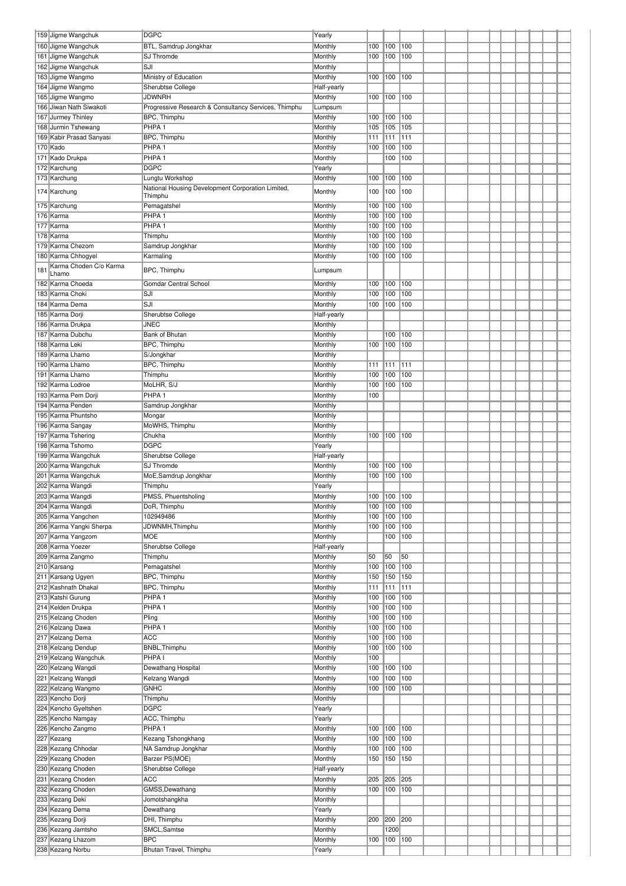|     | 159 Jigme Wangchuk                       | <b>DGPC</b>                                          | Yearly                 |     |         |     |  |  |  |  |  |
|-----|------------------------------------------|------------------------------------------------------|------------------------|-----|---------|-----|--|--|--|--|--|
|     | 160 Jigme Wangchuk                       | BTL, Samdrup Jongkhar                                | Monthly                | 100 | 100     | 100 |  |  |  |  |  |
|     | 161 Jigme Wangchuk                       | SJ Thromde                                           | Monthly                | 100 | 100     | 100 |  |  |  |  |  |
|     | 162 Jigme Wangchuk                       | SJI                                                  | Monthly                |     |         |     |  |  |  |  |  |
|     | 163 Jigme Wangmo                         | Ministry of Education                                | Monthly                | 100 | 100     | 100 |  |  |  |  |  |
|     | 164 Jigme Wangmo                         | Sherubtse College                                    | Half-yearly            |     |         |     |  |  |  |  |  |
|     | 165 Jigme Wangmo                         | <b>JDWNRH</b>                                        | Monthly                | 100 | 100     | 100 |  |  |  |  |  |
|     | 166 Jiwan Nath Siwakoti                  | Progressive Research & Consultancy Services, Thimphu | Lumpsum                |     |         |     |  |  |  |  |  |
|     | 167 Jurmey Thinley                       | BPC, Thimphu                                         | Monthly                | 100 | 100     | 100 |  |  |  |  |  |
|     | 168 Jurmin Tshewang                      | PHPA <sub>1</sub>                                    | Monthly                | 105 | 105     | 105 |  |  |  |  |  |
|     | 169 Kabir Prasad Sanyasi                 | BPC, Thimphu                                         | Monthly                | 111 | 111     | 111 |  |  |  |  |  |
|     | 170 Kado                                 | PHPA <sub>1</sub>                                    | Monthly                | 100 | 100     | 100 |  |  |  |  |  |
|     | 171 Kado Drukpa                          | PHPA <sub>1</sub>                                    | Monthly                |     | 100     | 100 |  |  |  |  |  |
|     | 172 Karchung                             | <b>DGPC</b>                                          | Yearly                 |     |         |     |  |  |  |  |  |
|     | 173 Karchung                             | Lungtu Workshop                                      | Monthly                | 100 | 100     | 100 |  |  |  |  |  |
|     |                                          | National Housing Development Corporation Limited,    |                        |     |         |     |  |  |  |  |  |
|     | 174 Karchung                             | Thimphu                                              | Monthly                | 100 | 100     | 100 |  |  |  |  |  |
|     | 175 Karchung                             | Pemagatshel                                          | Monthly                | 100 | 100     | 100 |  |  |  |  |  |
|     | 176 Karma                                | PHPA <sub>1</sub>                                    | Monthly                | 100 | 100     | 100 |  |  |  |  |  |
|     | 177 Karma                                | PHPA <sub>1</sub>                                    | Monthly                | 100 | 100     | 100 |  |  |  |  |  |
|     | 178 Karma                                | Thimphu                                              | Monthly                | 100 | 100     | 100 |  |  |  |  |  |
|     | 179 Karma Chezom                         | Samdrup Jongkhar                                     | Monthly                | 100 | 100     | 100 |  |  |  |  |  |
|     | 180 Karma Chhogyel                       | Karmaling                                            | Monthly                | 100 | 100     | 100 |  |  |  |  |  |
| 181 | Karma Choden C/o Karma                   | BPC, Thimphu                                         | Lumpsum                |     |         |     |  |  |  |  |  |
|     | Lhamo                                    |                                                      |                        |     |         |     |  |  |  |  |  |
|     | 182 Karma Choeda                         | <b>Gomdar Central School</b>                         | Monthly                | 100 | 100     | 100 |  |  |  |  |  |
|     | 183 Karma Choki                          | SJI                                                  | Monthly                | 100 | 100     | 100 |  |  |  |  |  |
|     | 184 Karma Dema                           | SJI                                                  | Monthly                | 100 | 100     | 100 |  |  |  |  |  |
|     | 185 Karma Dorji                          | Sherubtse College                                    | Half-yearly            |     |         |     |  |  |  |  |  |
|     | 186 Karma Drukpa                         | <b>JNEC</b>                                          | Monthly                |     |         |     |  |  |  |  |  |
|     | 187 Karma Dubchu                         | Bank of Bhutan                                       | Monthly                |     | 100     | 100 |  |  |  |  |  |
|     | 188 Karma Leki                           | BPC, Thimphu                                         | Monthly                | 100 | 100     | 100 |  |  |  |  |  |
|     | 189 Karma Lhamo                          | S/Jongkhar                                           | Monthly                |     |         |     |  |  |  |  |  |
|     | 190 Karma Lhamo                          | BPC, Thimphu                                         | Monthly                | 111 | 111     | 111 |  |  |  |  |  |
|     | 191 Karma Lhamo                          | Thimphu                                              | Monthly                | 100 | 100     | 100 |  |  |  |  |  |
|     | 192 Karma Lodroe                         | MoLHR, S/J                                           | Monthly                | 100 | 100     | 100 |  |  |  |  |  |
|     | 193 Karma Pem Dorji                      | PHPA <sub>1</sub>                                    | Monthly                | 100 |         |     |  |  |  |  |  |
|     | 194 Karma Penden                         | Samdrup Jongkhar                                     | Monthly                |     |         |     |  |  |  |  |  |
|     | 195 Karma Phuntsho                       | Mongar                                               | Monthly                |     |         |     |  |  |  |  |  |
|     | 196 Karma Sangay                         | MoWHS, Thimphu                                       | Monthly                |     |         |     |  |  |  |  |  |
|     | 197 Karma Tshering                       | Chukha                                               | Monthly                | 100 | 100     | 100 |  |  |  |  |  |
|     | 198 Karma Tshomo                         | <b>DGPC</b>                                          | Yearly                 |     |         |     |  |  |  |  |  |
|     | 199 Karma Wangchuk                       | Sherubtse College                                    | Half-yearly            |     |         |     |  |  |  |  |  |
|     | 200 Karma Wangchuk                       | SJ Thromde                                           | Monthly                | 100 | 100     | 100 |  |  |  |  |  |
|     | 201 Karma Wangchuk                       | MoE,Samdrup Jongkhar                                 | Monthly                | 100 | 100     | 100 |  |  |  |  |  |
|     | 202 Karma Wangdi                         | Thimphu                                              | Yearly                 |     |         |     |  |  |  |  |  |
|     | 203 Karma Wangdi                         | PMSS, Phuentsholing                                  | Monthly                | 100 | 100 100 |     |  |  |  |  |  |
|     | 204 Karma Wangdi                         | DoR, Thimphu                                         | Monthly                | 100 | 100     | 100 |  |  |  |  |  |
|     | 205 Karma Yangchen                       | 102949486                                            | Monthly                | 100 | 100     | 100 |  |  |  |  |  |
|     | 206 Karma Yangki Sherpa                  | JDWNMH, Thimphu                                      | Monthly                | 100 | 100     | 100 |  |  |  |  |  |
|     | 207 Karma Yangzom                        | <b>MOE</b>                                           | Monthly                |     | 100     | 100 |  |  |  |  |  |
|     | 208 Karma Yoezer                         | Sherubtse College                                    | Half-yearly            |     |         |     |  |  |  |  |  |
|     | 209 Karma Zangmo                         | Thimphu                                              | Monthly                | 50  | 50      | 50  |  |  |  |  |  |
|     | 210 Karsang                              | Pemagatshel                                          | Monthly                | 100 | 100     | 100 |  |  |  |  |  |
|     | 211 Karsang Ugyen                        | BPC, Thimphu                                         | Monthly                | 150 | 150     | 150 |  |  |  |  |  |
|     | 212 Kashnath Dhakal                      | BPC, Thimphu                                         | Monthly                | 111 | 111     | 111 |  |  |  |  |  |
|     | 213 Katshi Gurung                        | PHPA <sub>1</sub>                                    | Monthly                | 100 | 100     | 100 |  |  |  |  |  |
|     | 214 Kelden Drukpa                        | PHPA <sub>1</sub>                                    | Monthly                | 100 | 100     | 100 |  |  |  |  |  |
|     | 215 Kelzang Choden                       | Pling                                                | Monthly                | 100 | 100     | 100 |  |  |  |  |  |
|     | 216 Kelzang Dawa                         | PHPA <sub>1</sub>                                    | Monthly                | 100 | 100     | 100 |  |  |  |  |  |
|     | 217 Kelzang Dema                         | <b>ACC</b>                                           | Monthly                | 100 | 100     | 100 |  |  |  |  |  |
|     | 218 Kelzang Dendup                       | BNBL, Thimphu<br>PHPA <sub>I</sub>                   | Monthly                | 100 | 100     | 100 |  |  |  |  |  |
|     | 219 Kelzang Wangchuk                     |                                                      | Monthly                | 100 | 100     | 100 |  |  |  |  |  |
|     | 220 Kelzang Wangdi                       | Dewathang Hospital                                   | Monthly                | 100 |         |     |  |  |  |  |  |
|     | 221 Kelzang Wangdi                       | Kelzang Wangdi                                       | Monthly                | 100 | 100     | 100 |  |  |  |  |  |
|     | 222 Kelzang Wangmo                       | <b>GNHC</b>                                          | Monthly                | 100 | 100     | 100 |  |  |  |  |  |
|     | 223 Kencho Dorji<br>224 Kencho Gyeltshen | Thimphu<br><b>DGPC</b>                               | Monthly<br>Yearly      |     |         |     |  |  |  |  |  |
|     | 225 Kencho Namgay                        | ACC, Thimphu                                         | Yearly                 |     |         |     |  |  |  |  |  |
|     | 226 Kencho Zangmo                        | PHPA <sub>1</sub>                                    | Monthly                | 100 | 100     | 100 |  |  |  |  |  |
|     | 227 Kezang                               | Kezang Tshongkhang                                   | Monthly                | 100 | 100     | 100 |  |  |  |  |  |
|     | 228 Kezang Chhodar                       | NA Samdrup Jongkhar                                  | Monthly                | 100 | 100     | 100 |  |  |  |  |  |
|     | 229 Kezang Choden                        | Barzer PS(MOE)                                       | Monthly                | 150 | 150     | 150 |  |  |  |  |  |
|     | 230 Kezang Choden                        |                                                      |                        |     |         |     |  |  |  |  |  |
|     | 231 Kezang Choden                        | Sherubtse College<br><b>ACC</b>                      | Half-yearly<br>Monthly | 205 | 205     | 205 |  |  |  |  |  |
|     | 232 Kezang Choden                        | GMSS, Dewathang                                      | Monthly                | 100 | 100     | 100 |  |  |  |  |  |
|     | 233 Kezang Deki                          | Jomotshangkha                                        | Monthly                |     |         |     |  |  |  |  |  |
|     | 234 Kezang Dema                          | Dewathang                                            | Yearly                 |     |         |     |  |  |  |  |  |
|     | 235 Kezang Dorji                         | DHI, Thimphu                                         | Monthly                | 200 | 200     | 200 |  |  |  |  |  |
|     | 236 Kezang Jamtsho                       | SMCL, Samtse                                         | Monthly                |     | 1200    |     |  |  |  |  |  |
|     | 237 Kezang Lhazom                        | <b>BPC</b>                                           | Monthly                | 100 | 100 100 |     |  |  |  |  |  |
|     | 238 Kezang Norbu                         | Bhutan Travel, Thimphu                               | Yearly                 |     |         |     |  |  |  |  |  |
|     |                                          |                                                      |                        |     |         |     |  |  |  |  |  |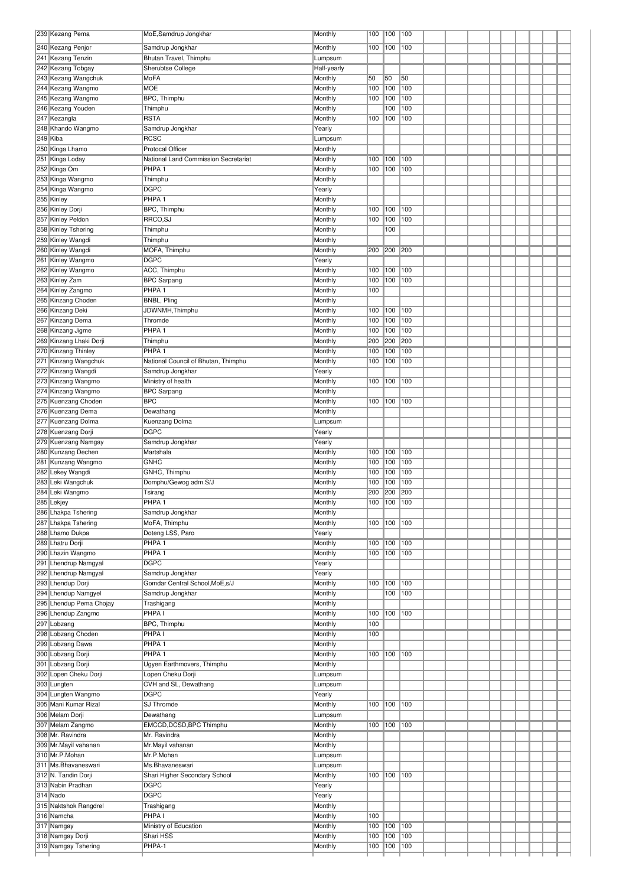| 239 Kezang Pema                            | MoE, Samdrup Jongkhar                    | Monthly            | 100        | 100        | 100        |  |  |  |  |  |
|--------------------------------------------|------------------------------------------|--------------------|------------|------------|------------|--|--|--|--|--|
| 240 Kezang Penjor                          | Samdrup Jongkhar                         | Monthly            | 100        | 100        | 100        |  |  |  |  |  |
| 241 Kezang Tenzin                          | Bhutan Travel, Thimphu                   | Lumpsum            |            |            |            |  |  |  |  |  |
| 242 Kezang Tobgay                          | Sherubtse College                        | Half-yearly        |            |            |            |  |  |  |  |  |
| 243 Kezang Wangchuk                        | MoFA                                     | Monthly            | 50         | 50         | 50         |  |  |  |  |  |
| 244 Kezang Wangmo                          | <b>MOE</b>                               | Monthly            | 100        | 100        | 100        |  |  |  |  |  |
| 245 Kezang Wangmo                          | BPC, Thimphu                             | Monthly            | 100        | 100        | 100        |  |  |  |  |  |
| 246 Kezang Youden                          | Thimphu<br><b>RSTA</b>                   | Monthly            |            | 100<br>100 | 100<br>100 |  |  |  |  |  |
| 247 Kezangla<br>248 Khando Wangmo          | Samdrup Jongkhar                         | Monthly<br>Yearly  | 100        |            |            |  |  |  |  |  |
| 249 Kiba                                   | <b>RCSC</b>                              | Lumpsum            |            |            |            |  |  |  |  |  |
| 250 Kinga Lhamo                            | <b>Protocal Officer</b>                  | Monthly            |            |            |            |  |  |  |  |  |
| 251 Kinga Loday                            | National Land Commission Secretariat     | Monthly            | 100        | 100        | 100        |  |  |  |  |  |
| 252 Kinga Om                               | PHPA <sub>1</sub>                        | Monthly            | 100        | 100        | 100        |  |  |  |  |  |
| 253 Kinga Wangmo                           | Thimphu                                  | Monthly            |            |            |            |  |  |  |  |  |
| 254 Kinga Wangmo                           | <b>DGPC</b>                              | Yearly             |            |            |            |  |  |  |  |  |
| 255 Kinley                                 | PHPA <sub>1</sub>                        | Monthly            |            |            |            |  |  |  |  |  |
| 256 Kinley Dorji                           | BPC, Thimphu                             | Monthly            | 100        | 100        | 100        |  |  |  |  |  |
| 257 Kinley Peldon                          | RRCO, SJ                                 | Monthly            | 100        | 100        | 100        |  |  |  |  |  |
| 258 Kinley Tshering                        | Thimphu                                  | Monthly            |            | 100        |            |  |  |  |  |  |
| 259 Kinley Wangdi                          | Thimphu                                  | Monthly            |            |            |            |  |  |  |  |  |
| 260 Kinley Wangdi<br>261 Kinley Wangmo     | MOFA, Thimphu<br><b>DGPC</b>             | Monthly<br>Yearly  | 200        | 200        | 200        |  |  |  |  |  |
| 262 Kinley Wangmo                          | ACC, Thimphu                             | Monthly            | 100        | 100        | 100        |  |  |  |  |  |
| 263 Kinley Zam                             | <b>BPC Sarpang</b>                       | Monthly            | 100        | 100        | 100        |  |  |  |  |  |
| 264 Kinley Zangmo                          | PHPA <sub>1</sub>                        | Monthly            | 100        |            |            |  |  |  |  |  |
| 265 Kinzang Choden                         | BNBL, Pling                              | Monthly            |            |            |            |  |  |  |  |  |
| 266 Kinzang Deki                           | JDWNMH, Thimphu                          | Monthly            | 100        | 100        | 100        |  |  |  |  |  |
| 267 Kinzang Dema                           | Thromde                                  | Monthly            | 100        | 100        | 100        |  |  |  |  |  |
| 268 Kinzang Jigme                          | PHPA <sub>1</sub>                        | Monthly            | 100        | 100        | 100        |  |  |  |  |  |
| 269 Kinzang Lhaki Dorji                    | Thimphu                                  | Monthly            | 200        | 200        | 200        |  |  |  |  |  |
| 270 Kinzang Thinley                        | PHPA <sub>1</sub>                        | Monthly            | 100        | 100        | 100        |  |  |  |  |  |
| 271 Kinzang Wangchuk                       | National Council of Bhutan, Thimphu      | Monthly            | 100        | 100        | 100        |  |  |  |  |  |
| 272 Kinzang Wangdi                         | Samdrup Jongkhar                         | Yearly             |            |            |            |  |  |  |  |  |
| 273 Kinzang Wangmo<br>274 Kinzang Wangmo   | Ministry of health<br><b>BPC Sarpang</b> | Monthly<br>Monthly | 100        | 100        | 100        |  |  |  |  |  |
| 275 Kuenzang Choden                        | <b>BPC</b>                               | Monthly            | 100        | 100        | 100        |  |  |  |  |  |
| 276 Kuenzang Dema                          | Dewathang                                | Monthly            |            |            |            |  |  |  |  |  |
| 277 Kuenzang Dolma                         | Kuenzang Dolma                           | Lumpsum            |            |            |            |  |  |  |  |  |
| 278 Kuenzang Dorji                         | <b>DGPC</b>                              | Yearly             |            |            |            |  |  |  |  |  |
| 279 Kuenzang Namgay                        | Samdrup Jongkhar                         | Yearly             |            |            |            |  |  |  |  |  |
| 280 Kunzang Dechen                         | Martshala                                | Monthly            | 100        | 100        | 100        |  |  |  |  |  |
| 281 Kunzang Wangmo                         | <b>GNHC</b>                              | Monthly            | 100        | 100        | 100        |  |  |  |  |  |
| 282 Lekey Wangdi                           | GNHC, Thimphu                            | Monthly            | 100        | 100        | 100        |  |  |  |  |  |
| 283 Leki Wangchuk                          | Domphu/Gewog adm.S/J                     | Monthly            | 100        | 100        | 100        |  |  |  |  |  |
| 284 Leki Wangmo                            | Tsirang                                  | Monthly            | 200        | 200        | 200        |  |  |  |  |  |
| 285 Lekjey                                 | PHPA <sub>1</sub>                        | Monthly            | 100        | 100 100    |            |  |  |  |  |  |
| 286 Lhakpa Tshering<br>287 Lhakpa Tshering | Samdrup Jongkhar<br>MoFA, Thimphu        | Monthly<br>Monthly | 100        | 100        | 100        |  |  |  |  |  |
| 288 Lhamo Dukpa                            | Doteng LSS, Paro                         | Yearly             |            |            |            |  |  |  |  |  |
| 289 Lhatru Dorji                           | PHPA <sub>1</sub>                        | Monthly            | 100        | 100        | 100        |  |  |  |  |  |
| 290 Lhazin Wangmo                          | PHPA <sub>1</sub>                        | Monthly            | 100        | 100        | 100        |  |  |  |  |  |
| 291 Lhendrup Namgyal                       | <b>DGPC</b>                              | Yearly             |            |            |            |  |  |  |  |  |
| 292 Lhendrup Namgyal                       | Samdrup Jongkhar                         | Yearly             |            |            |            |  |  |  |  |  |
| 293 Lhendup Dorji                          | Gomdar Central School, MoE, s/J          | Monthly            | 100        | 100        | 100        |  |  |  |  |  |
| 294 Lhendup Namgyel                        | Samdrup Jongkhar                         | Monthly            |            | 100        | 100        |  |  |  |  |  |
| 295 Lhendup Pema Chojay                    | Trashigang                               | Monthly            |            |            |            |  |  |  |  |  |
| 296 Lhendup Zangmo                         | PHPA <sub>I</sub>                        | Monthly            | 100        | 100        | 100        |  |  |  |  |  |
| 297 Lobzang<br>298 Lobzang Choden          | BPC, Thimphu<br>PHPA I                   | Monthly<br>Monthly | 100<br>100 |            |            |  |  |  |  |  |
| 299 Lobzang Dawa                           | PHPA <sub>1</sub>                        | Monthly            |            |            |            |  |  |  |  |  |
| 300 Lobzang Dorji                          | PHPA <sub>1</sub>                        | Monthly            | 100        | 100        | 100        |  |  |  |  |  |
| 301 Lobzang Dorji                          | Ugyen Earthmovers, Thimphu               | Monthly            |            |            |            |  |  |  |  |  |
| 302 Lopen Cheku Dorji                      | Lopen Cheku Dorji                        | Lumpsum            |            |            |            |  |  |  |  |  |
| 303 Lungten                                | CVH and SL, Dewathang                    | Lumpsum            |            |            |            |  |  |  |  |  |
| 304 Lungten Wangmo                         | <b>DGPC</b>                              | Yearly             |            |            |            |  |  |  |  |  |
| 305 Mani Kumar Rizal                       | SJ Thromde                               | Monthly            | 100        | 100        | 100        |  |  |  |  |  |
| 306 Melam Dorji                            | Dewathang                                | Lumpsum            |            |            |            |  |  |  |  |  |
| 307 Melam Zangmo                           | EMCCD, DCSD, BPC Thimphu                 | Monthly            | 100        | 100        | 100        |  |  |  |  |  |
| 308 Mr. Ravindra                           | Mr. Ravindra                             | Monthly            |            |            |            |  |  |  |  |  |
| 309 Mr.Mayil vahanan<br>310 Mr.P.Mohan     | Mr.Mayil vahanan<br>Mr.P.Mohan           | Monthly<br>Lumpsum |            |            |            |  |  |  |  |  |
| 311 Ms. Bhavaneswari                       | Ms.Bhavaneswari                          | Lumpsum            |            |            |            |  |  |  |  |  |
| 312 N. Tandin Dorji                        | Shari Higher Secondary School            | Monthly            | 100        | 100        | 100        |  |  |  |  |  |
| 313 Nabin Pradhan                          | <b>DGPC</b>                              | Yearly             |            |            |            |  |  |  |  |  |
| 314 Nado                                   | <b>DGPC</b>                              | Yearly             |            |            |            |  |  |  |  |  |
| 315 Naktshok Rangdrel                      | Trashigang                               | Monthly            |            |            |            |  |  |  |  |  |
| 316 Namcha                                 | PHPA I                                   | Monthly            | 100        |            |            |  |  |  |  |  |
| 317 Namgay                                 | Ministry of Education                    | Monthly            | 100        | 100        | 100        |  |  |  |  |  |
| 318 Namgay Dorji                           | Shari HSS                                | Monthly            | 100        | 100        | 100        |  |  |  |  |  |
| 319 Namgay Tshering                        | PHPA-1                                   | Monthly            | 100        | 100        | 100        |  |  |  |  |  |
|                                            |                                          |                    |            |            |            |  |  |  |  |  |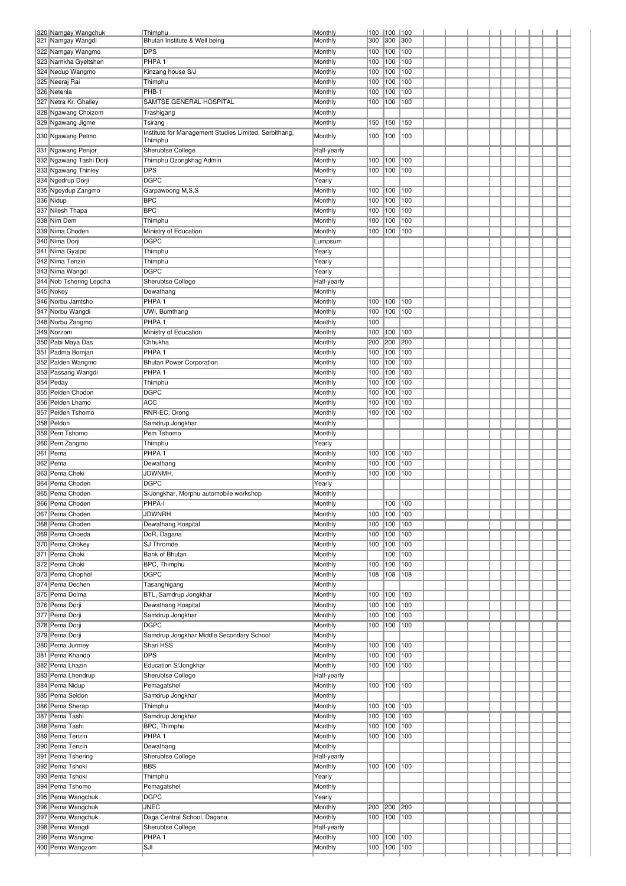| 320 Namgay Wangchuk<br>321 Namgay Wangdi   | Thimphu<br>Bhutan Institute & Well being                | Monthly<br>Monthly     | 100<br>300 | 100<br>300 | 100<br>300 |  |  |  |  |
|--------------------------------------------|---------------------------------------------------------|------------------------|------------|------------|------------|--|--|--|--|
| 322 Namgay Wangmo                          | <b>DPS</b>                                              | Monthly                | 100        | 100        | 100        |  |  |  |  |
| 323 Namkha Gyeltshen                       | PHPA <sub>1</sub>                                       | Monthly                | 100        | 100        | 100        |  |  |  |  |
| 324 Nedup Wangmo                           | Kinzang house S/J                                       | Monthly                | 100        | 100        | 100        |  |  |  |  |
| 325 Neeraj Rai                             | Thimphu                                                 | Monthly                | 100        | 100        | 100        |  |  |  |  |
| 326 Netenla                                | PHB-1                                                   | Monthly                | 100        | 100        | 100        |  |  |  |  |
| 327 Netra Kr. Ghalley                      | SAMTSE GENERAL HOSPITAL                                 | Monthly                | 100        | 100        | 100        |  |  |  |  |
| 328 Ngawang Choizom                        | Trashigang                                              | Monthly                |            |            |            |  |  |  |  |
| 329 Ngawang Jigme                          | Tsirang                                                 | Monthly                | 150        | 150        | 150        |  |  |  |  |
| 330 Ngawang Pelmo                          | Institute for Management Studies Limited, Serbithang,   | Monthly                | 100        | 100        | 100        |  |  |  |  |
| 331 Ngawang Penjor                         | Thimphu<br>Sherubtse College                            |                        |            |            |            |  |  |  |  |
| 332 Ngawang Tashi Dorji                    | Thimphu Dzongkhag Admin                                 | Half-yearly<br>Monthly | 100        | 100        | 100        |  |  |  |  |
| 333 Ngawang Thinley                        | <b>DPS</b>                                              | Monthly                | 100        | 100        | 100        |  |  |  |  |
| 334 Ngedrup Dorji                          | <b>DGPC</b>                                             | Yearly                 |            |            |            |  |  |  |  |
| 335 Ngeydup Zangmo                         | Garpawoong M,S,S                                        | Monthly                | 100        | 100        | 100        |  |  |  |  |
| 336 Nidup                                  | <b>BPC</b>                                              | Monthly                | 100        | 100        | 100        |  |  |  |  |
| 337 Nilesh Thapa                           | <b>BPC</b>                                              | Monthly                | 100        | 100        | 100        |  |  |  |  |
| 338 Nim Dem                                | Thimphu                                                 | Monthly                | 100        | 100        | 100        |  |  |  |  |
| 339 Nima Choden                            | Ministry of Education                                   | Monthly                | 100        | 100        | 100        |  |  |  |  |
| 340 Nima Dorji                             | <b>DGPC</b>                                             | Lumpsum                |            |            |            |  |  |  |  |
| 341 Nima Gyalpo                            | Thimphu                                                 | Yearly                 |            |            |            |  |  |  |  |
| 342 Nima Tenzin                            | Thimphu                                                 | Yearly                 |            |            |            |  |  |  |  |
| 343 Nima Wangdi<br>344 Nob Tshering Lepcha | <b>DGPC</b><br>Sherubtse College                        | Yearly<br>Half-yearly  |            |            |            |  |  |  |  |
| 345 Nokey                                  | Dewathang                                               | Monthly                |            |            |            |  |  |  |  |
| 346 Norbu Jamtsho                          | PHPA <sub>1</sub>                                       | Monthly                | 100        | 100        | 100        |  |  |  |  |
| 347 Norbu Wangdi                           | UWI, Bumthang                                           | Monthly                | 100        | 100        | 100        |  |  |  |  |
| 348 Norbu Zangmo                           | PHPA <sub>1</sub>                                       | Monthly                | 100        |            |            |  |  |  |  |
| 349 Norzom                                 | Ministry of Education                                   | Monthly                | 100        | 100        | 100        |  |  |  |  |
| 350 Pabi Maya Das                          | Chhukha                                                 | Monthly                | 200        | 200        | 200        |  |  |  |  |
| 351 Padma Bomjan                           | PHPA <sub>1</sub>                                       | Monthly                | 100        | 100        | 100        |  |  |  |  |
| 352 Palden Wangmo                          | <b>Bhutan Power Corporation</b>                         | Monthly                | 100        | 100        | 100        |  |  |  |  |
| 353 Passang Wangdi                         | PHPA <sub>1</sub>                                       | Monthly                | 100        | 100        | 100        |  |  |  |  |
| 354 Peday                                  | Thimphu                                                 | Monthly                | 100        | 100        | 100        |  |  |  |  |
| 355 Pelden Chodon                          | <b>DGPC</b><br><b>ACC</b>                               | Monthly                | 100        | 100        | 100        |  |  |  |  |
| 356 Pelden Lhamo<br>357 Pelden Tshomo      | RNR-EC, Orong                                           | Monthly<br>Monthly     | 100<br>100 | 100<br>100 | 100<br>100 |  |  |  |  |
| 358 Peldon                                 | Samdrup Jongkhar                                        | Monthly                |            |            |            |  |  |  |  |
| 359 Pem Tshomo                             | Pem Tshomo                                              | Monthly                |            |            |            |  |  |  |  |
| 360 Pem Zangmo                             | Thimphu                                                 | Yearly                 |            |            |            |  |  |  |  |
| 361 Pema                                   | PHPA <sub>1</sub>                                       | Monthly                | 100        | 100        | 100        |  |  |  |  |
| 362 Pema                                   | Dewathang                                               | Monthly                | 100        | 100        | 100        |  |  |  |  |
| 363 Pema Cheki                             | JDWNMH,                                                 | Monthly                | 100        | 100        | 100        |  |  |  |  |
| 364 Pema Choden                            | <b>DGPC</b>                                             | Yearly                 |            |            |            |  |  |  |  |
| 365 Pema Choden                            | S/Jongkhar, Morphu automobile workshop                  | Monthly                |            |            |            |  |  |  |  |
| 366 Pema Choden                            | PHPA-I                                                  | Monthly                |            | 100        | 100        |  |  |  |  |
| 367 Pema Choden<br>368 Pema Choden         | JDWNRH                                                  | Monthly<br>Monthly     | 100<br>100 | 100<br>100 | 100<br>100 |  |  |  |  |
| 369 Pema Choeda                            | Dewathang Hospital<br>DoR, Dagana                       | Monthly                | 100        | 100        | 100        |  |  |  |  |
| 370 Pema Chokey                            | SJ Thromde                                              | Monthly                | 100        | 100        | 100        |  |  |  |  |
| 371 Pema Choki                             | Bank of Bhutan                                          | Monthly                |            | 100        | 100        |  |  |  |  |
| 372 Pema Choki                             | BPC, Thimphu                                            | Monthly                | 100        | 100        | 100        |  |  |  |  |
| 373 Pema Chophel                           | <b>DGPC</b>                                             | Monthly                | 108        | 108        | 108        |  |  |  |  |
| 374 Pema Dechen                            | Tasanghigang                                            | Monthly                |            |            |            |  |  |  |  |
| 375 Pema Dolma                             | BTL, Samdrup Jongkhar                                   | Monthly                | 100        | 100        | 100        |  |  |  |  |
| 376 Pema Dorii                             | Dewathang Hospital                                      | Monthly                | 100        | 100        | 100        |  |  |  |  |
| 377 Pema Dorji                             | Samdrup Jongkhar                                        | Monthly                | 100        | 100        | 100        |  |  |  |  |
| 378 Pema Dorji<br>379 Pema Dorji           | <b>DGPC</b><br>Samdrup Jongkhar Middle Secondary School | Monthly<br>Monthly     | 100        | 100        | 100        |  |  |  |  |
| 380 Pema Jurmey                            | Shari HSS                                               | Monthly                | 100        | 100        | 100        |  |  |  |  |
| 381 Pema Khando                            | <b>DPS</b>                                              | Monthly                | 100        | 100        | 100        |  |  |  |  |
| 382 Pema Lhazin                            | Education S/Jongkhar                                    | Monthly                | 100        | 100        | 100        |  |  |  |  |
| 383 Pema Lhendrup                          | Sherubtse College                                       | Half-yearly            |            |            |            |  |  |  |  |
| 384 Pema Nidup                             | Pemagatshel                                             | Monthly                | 100        | 100        | 100        |  |  |  |  |
| 385 Pema Seldon                            | Samdrup Jongkhar                                        | Monthly                |            |            |            |  |  |  |  |
| 386 Pema Sherap                            | Thimphu                                                 | Monthly                | 100        | 100        | 100        |  |  |  |  |
| 387 Pema Tashi                             | Samdrup Jongkhar                                        | Monthly                | 100        | 100        | 100        |  |  |  |  |
| 388 Pema Tashi                             | BPC, Thimphu                                            | Monthly                | 100        | 100        | 100        |  |  |  |  |
| 389 Pema Tenzin                            | PHPA <sub>1</sub>                                       | Monthly                | 100        | 100        | 100        |  |  |  |  |
| 390 Pema Tenzin<br>391 Pema Tshering       | Dewathang<br>Sherubtse College                          | Monthly<br>Half-yearly |            |            |            |  |  |  |  |
| 392 Pema Tshoki                            | <b>BBS</b>                                              | Monthly                | 100        | 100        | 100        |  |  |  |  |
| 393 Pema Tshoki                            | Thimphu                                                 | Yearly                 |            |            |            |  |  |  |  |
| 394 Pema Tshomo                            | Pemagatshel                                             | Monthly                |            |            |            |  |  |  |  |
| 395 Pema Wangchuk                          | <b>DGPC</b>                                             | Yearly                 |            |            |            |  |  |  |  |
| 396 Pema Wangchuk                          | <b>JNEC</b>                                             | Monthly                | 200        | 200        | 200        |  |  |  |  |
| 397 Pema Wangchuk                          | Daga Central School, Dagana                             | Monthly                | 100        | 100        | 100        |  |  |  |  |
| 398 Pema Wangdi                            | Sherubtse College                                       | Half-yearly            |            |            |            |  |  |  |  |
| 399 Pema Wangmo                            | PHPA <sub>1</sub>                                       | Monthly                | 100        | 100        | 100        |  |  |  |  |
| 400 Pema Wangzom                           | SJI                                                     | Monthly                | 100        | 100        | 100        |  |  |  |  |
|                                            |                                                         |                        |            |            |            |  |  |  |  |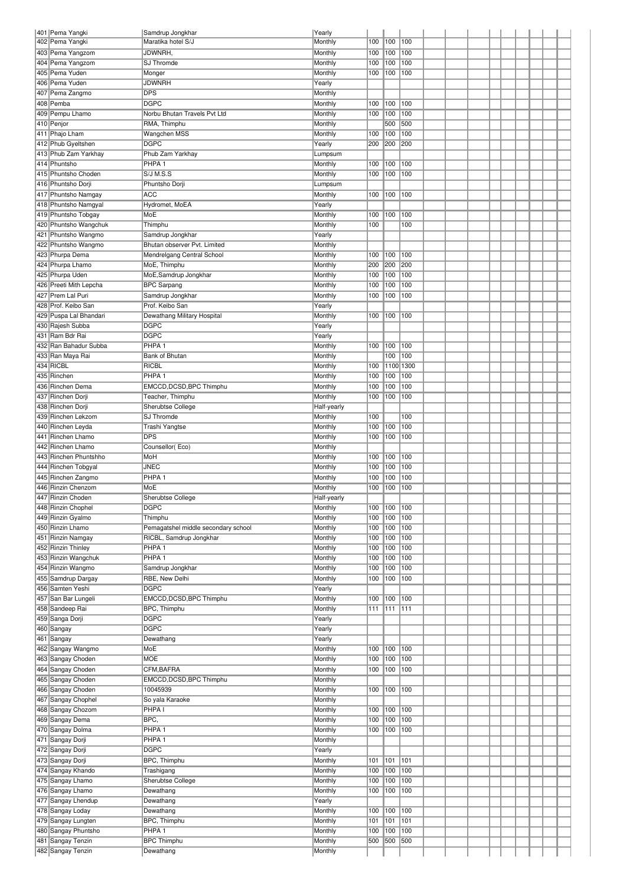| 401 Pema Yangki                        | Samdrup Jongkhar                    | Yearly             |         |           |     |  |  |  |  |  |
|----------------------------------------|-------------------------------------|--------------------|---------|-----------|-----|--|--|--|--|--|
| 402 Pema Yangki                        | Maratika hotel S/J                  | Monthly            | 100     | 100       | 100 |  |  |  |  |  |
| 403 Pema Yangzom                       | JDWNRH,                             | Monthly            | 100     | 100       | 100 |  |  |  |  |  |
| 404 Pema Yangzom                       | SJ Thromde                          | Monthly            | 100     | 100       | 100 |  |  |  |  |  |
| 405 Pema Yuden                         | Monger                              | Monthly            | 100     | 100       | 100 |  |  |  |  |  |
| 406 Pema Yuden                         | JDWNRH                              | Yearly             |         |           |     |  |  |  |  |  |
| 407 Pema Zangmo                        | <b>DPS</b>                          | Monthly            |         |           |     |  |  |  |  |  |
| 408 Pemba                              | <b>DGPC</b>                         | Monthly            | 100 100 |           | 100 |  |  |  |  |  |
| 409 Pempu Lhamo                        | Norbu Bhutan Travels Pvt Ltd        | Monthly            | 100     | 100       | 100 |  |  |  |  |  |
| 410 Penjor                             | RMA, Thimphu                        | Monthly            |         | 500       | 500 |  |  |  |  |  |
| 411 Phajo Lham                         | Wangchen MSS                        | Monthly            | 100     | 100       | 100 |  |  |  |  |  |
| 412 Phub Gyeltshen                     | <b>DGPC</b>                         | Yearly             | 200     | 200       | 200 |  |  |  |  |  |
|                                        |                                     |                    |         |           |     |  |  |  |  |  |
| 413 Phub Zam Yarkhay                   | Phub Zam Yarkhay                    | Lumpsum            |         |           |     |  |  |  |  |  |
| 414 Phuntsho                           | PHPA <sub>1</sub>                   | Monthly            | 100     | 100       | 100 |  |  |  |  |  |
| 415 Phuntsho Choden                    | S/J M.S.S                           | Monthly            | 100     | 100       | 100 |  |  |  |  |  |
| 416 Phuntsho Dorji                     | Phuntsho Dorji                      | Lumpsum            |         |           |     |  |  |  |  |  |
| 417 Phuntsho Namgay                    | <b>ACC</b>                          | Monthly            | 100     | 100       | 100 |  |  |  |  |  |
| 418 Phuntsho Namgyal                   | Hydromet, MoEA                      | Yearly             |         |           |     |  |  |  |  |  |
| 419 Phuntsho Tobgay                    | MoE                                 | Monthly            | 100     | 100       | 100 |  |  |  |  |  |
| 420 Phuntsho Wangchuk                  | Thimphu                             | Monthly            | 100     |           | 100 |  |  |  |  |  |
| 421 Phuntsho Wangmo                    | Samdrup Jongkhar                    | Yearly             |         |           |     |  |  |  |  |  |
| 422 Phuntsho Wangmo                    | Bhutan observer Pvt. Limited        | Monthly            |         |           |     |  |  |  |  |  |
| 423 Phurpa Dema                        | Mendrelgang Central School          | Monthly            | 100 100 |           | 100 |  |  |  |  |  |
| 424 Phurpa Lhamo                       | MoE, Thimphu                        | Monthly            | 200     | 200       | 200 |  |  |  |  |  |
| 425 Phurpa Uden                        | MoE, Samdrup Jongkhar               | Monthly            | 100     | 100       | 100 |  |  |  |  |  |
| 426 Preeti Mith Lepcha                 | <b>BPC Sarpang</b>                  | Monthly            | 100     | 100       | 100 |  |  |  |  |  |
| 427 Prem Lal Puri                      | Samdrup Jongkhar                    |                    |         | 100       | 100 |  |  |  |  |  |
|                                        | Prof. Keibo San                     | Monthly            | 100     |           |     |  |  |  |  |  |
| 428 Prof. Keibo San                    |                                     | Yearly             |         |           |     |  |  |  |  |  |
| 429 Puspa Lal Bhandari                 | Dewathang Military Hospital         | Monthly            | 100     | 100       | 100 |  |  |  |  |  |
| 430 Rajesh Subba                       | <b>DGPC</b>                         | Yearly             |         |           |     |  |  |  |  |  |
| 431 Ram Bdr Rai                        | <b>DGPC</b>                         | Yearly             |         |           |     |  |  |  |  |  |
| 432 Ran Bahadur Subba                  | PHPA <sub>1</sub>                   | Monthly            | 100 100 |           | 100 |  |  |  |  |  |
| 433  Ran Maya Rai                      | Bank of Bhutan                      | Monthly            |         | 100       | 100 |  |  |  |  |  |
| 434 RICBL                              | RICBL                               | Monthly            | 100     | 1100 1300 |     |  |  |  |  |  |
| 435 Rinchen                            | PHPA <sub>1</sub>                   | Monthly            | 100     | 100       | 100 |  |  |  |  |  |
| 436 Rinchen Dema                       | EMCCD, DCSD, BPC Thimphu            | Monthly            | 100     | 100       | 100 |  |  |  |  |  |
| 437 Rinchen Dorji                      | Teacher, Thimphu                    | Monthly            | 100     | 100       | 100 |  |  |  |  |  |
| 438 Rinchen Dorji                      | Sherubtse College                   | Half-yearly        |         |           |     |  |  |  |  |  |
| 439 Rinchen Lekzom                     | SJ Thromde                          | Monthly            | 100     |           | 100 |  |  |  |  |  |
| 440 Rinchen Leyda                      | Trashi Yangtse                      | Monthly            | 100     | 100       | 100 |  |  |  |  |  |
| 441 Rinchen Lhamo                      | <b>DPS</b>                          | Monthly            | 100     | 100       | 100 |  |  |  |  |  |
| 442 Rinchen Lhamo                      |                                     |                    |         |           |     |  |  |  |  |  |
|                                        | Counsellor(Eco)                     | Monthly            |         |           |     |  |  |  |  |  |
|                                        |                                     |                    |         |           |     |  |  |  |  |  |
| 443 Rinchen Phuntshho                  | MoH                                 | Monthly            | 100 100 |           | 100 |  |  |  |  |  |
| 444 Rinchen Tobgyal                    | JNEC                                | Monthly            | 100     | 100       | 100 |  |  |  |  |  |
| 445 Rinchen Zangmo                     | PHPA <sub>1</sub>                   | Monthly            | 100     | 100       | 100 |  |  |  |  |  |
| 446 Rinzin Chenzom                     | MoE                                 | Monthly            | 100     | 100       | 100 |  |  |  |  |  |
| 447 Rinzin Choden                      | Sherubtse College                   | Half-yearly        |         |           |     |  |  |  |  |  |
| 448 Rinzin Chophel                     | <b>DGPC</b>                         | Monthly            | 100     | 100       | 100 |  |  |  |  |  |
| 449 Rinzin Gyalmo                      | Thimphu                             | Monthly            | 100     | 100       | 100 |  |  |  |  |  |
| 450 Rinzin Lhamo                       | Pemagatshel middle secondary school | Monthly            | 100     | 100       | 100 |  |  |  |  |  |
| 451 Rinzin Namgay                      | RICBL, Samdrup Jongkhar             | Monthly            | 100     | 100       | 100 |  |  |  |  |  |
| 452 Rinzin Thinley                     | PHPA <sub>1</sub>                   | Monthly            | 100     | 100       | 100 |  |  |  |  |  |
| 453 Rinzin Wangchuk                    | PHPA <sub>1</sub>                   | Monthly            | 100     | 100       | 100 |  |  |  |  |  |
| 454 Rinzin Wangmo                      | Samdrup Jongkhar                    | Monthly            | 100     | 100       | 100 |  |  |  |  |  |
| 455 Samdrup Dargay                     | RBE, New Delhi                      | Monthly            | 100     | 100       | 100 |  |  |  |  |  |
| 456 Samten Yeshi                       | <b>DGPC</b>                         | Yearly             |         |           |     |  |  |  |  |  |
|                                        |                                     |                    | 100     | 100       | 100 |  |  |  |  |  |
| 457 San Bar Lungeli                    | EMCCD, DCSD, BPC Thimphu            | Monthly            | 111     | 111       | 111 |  |  |  |  |  |
| 458 Sandeep Rai                        | BPC, Thimphu                        | Monthly            |         |           |     |  |  |  |  |  |
| 459 Sanga Dorji                        | <b>DGPC</b>                         | Yearly             |         |           |     |  |  |  |  |  |
| 460 Sangay                             | <b>DGPC</b>                         | Yearly             |         |           |     |  |  |  |  |  |
| 461 Sangay                             | Dewathang                           | Yearly             |         |           |     |  |  |  |  |  |
| 462 Sangay Wangmo                      | MoE                                 | Monthly            | 100     | 100       | 100 |  |  |  |  |  |
| 463 Sangay Choden                      | <b>MOE</b>                          | Monthly            | 100     | 100       | 100 |  |  |  |  |  |
| 464 Sangay Choden                      | CFM, BAFRA                          | Monthly            | 100     | 100       | 100 |  |  |  |  |  |
| 465 Sangay Choden                      | EMCCD, DCSD, BPC Thimphu            | Monthly            |         |           |     |  |  |  |  |  |
| 466 Sangay Choden                      | 10045939                            | Monthly            | 100     | 100       | 100 |  |  |  |  |  |
| 467 Sangay Chophel                     | So yala Karaoke                     | Monthly            |         |           |     |  |  |  |  |  |
| 468 Sangay Chozom                      | PHPA <sub>I</sub>                   | Monthly            | 100     | 100       | 100 |  |  |  |  |  |
| 469 Sangay Dema                        | BPC,                                | Monthly            | 100     | 100       | 100 |  |  |  |  |  |
| 470 Sangay Dolma                       | PHPA <sub>1</sub>                   | Monthly            | 100     | 100       | 100 |  |  |  |  |  |
| 471 Sangay Dorji                       | PHPA <sub>1</sub>                   | Monthly            |         |           |     |  |  |  |  |  |
| 472 Sangay Dorji                       | <b>DGPC</b>                         | Yearly             |         |           |     |  |  |  |  |  |
| 473 Sangay Dorji                       | BPC, Thimphu                        | Monthly            | 101     | 101       | 101 |  |  |  |  |  |
|                                        |                                     |                    |         |           |     |  |  |  |  |  |
| 474 Sangay Khando                      | Trashigang                          | Monthly            | 100     | 100       | 100 |  |  |  |  |  |
| 475 Sangay Lhamo                       | Sherubtse College                   | Monthly            | 100     | 100       | 100 |  |  |  |  |  |
| 476 Sangay Lhamo                       | Dewathang                           | Monthly            | 100     | 100       | 100 |  |  |  |  |  |
| 477 Sangay Lhendup                     | Dewathang                           | Yearly             |         |           |     |  |  |  |  |  |
| 478 Sangay Loday                       | Dewathang                           | Monthly            | 100 100 |           | 100 |  |  |  |  |  |
| 479 Sangay Lungten                     | BPC, Thimphu                        | Monthly            | 101     | 101       | 101 |  |  |  |  |  |
| 480 Sangay Phuntsho                    | PHPA <sub>1</sub>                   | Monthly            | 100     | 100       | 100 |  |  |  |  |  |
| 481 Sangay Tenzin<br>482 Sangay Tenzin | <b>BPC Thimphu</b><br>Dewathang     | Monthly<br>Monthly | 500     | 500       | 500 |  |  |  |  |  |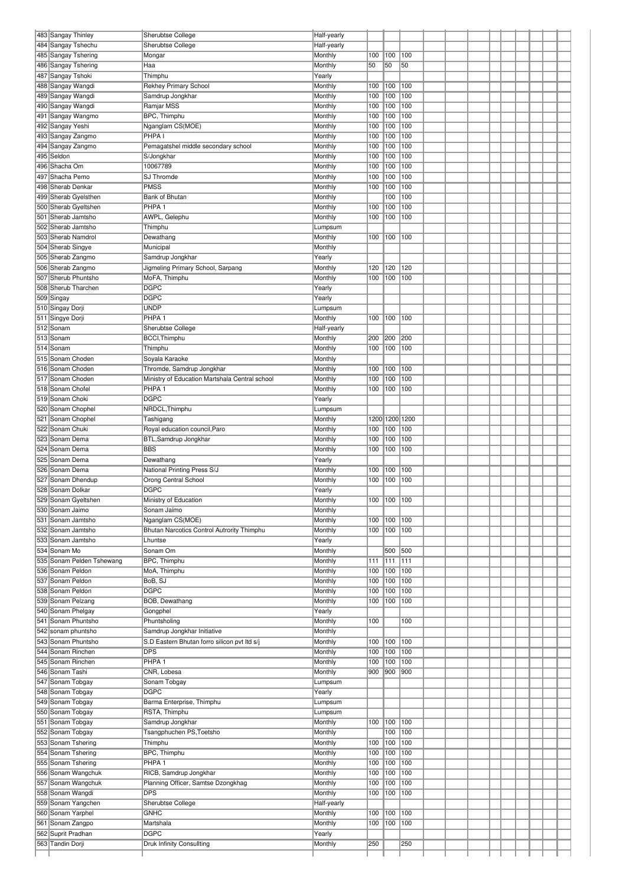| 484 Sangay Tshechu<br>Sherubtse College<br>Half-yearly<br>485 Sangay Tshering<br>Monthly<br>100<br>100<br>100<br>Mongar<br>486 Sangay Tshering<br>Monthly<br>50<br>50<br>50<br>Haa<br>487 Sangay Tshoki<br>Thimphu<br>Yearly<br>488 Sangay Wangdi<br><b>Rekhey Primary School</b><br>100<br>100<br>Monthly<br>100<br>489 Sangay Wangdi<br>100<br>Samdrup Jongkhar<br>Monthly<br>100<br>100<br>100<br>100<br>490 Sangay Wangdi<br>Ramjar MSS<br>Monthly<br>100<br>491 Sangay Wangmo<br>BPC, Thimphu<br>Monthly<br>100<br>100<br>100<br>492 Sangay Yeshi<br>Nganglam CS(MOE)<br>100<br>100<br>100<br>Monthly<br>PHPA <sub>I</sub><br>100<br>493 Sangay Zangmo<br>Monthly<br>100<br>100<br>494 Sangay Zangmo<br>100<br>Monthly<br>100<br>100<br>Pemagatshel middle secondary school<br>495 Seldon<br>Monthly<br>100<br>100<br>100<br>S/Jongkhar<br>496 Shacha Om<br>10067789<br>Monthly<br>100<br>100<br>100<br>497 Shacha Pemo<br>SJ Thromde<br>100<br>100<br>100<br>Monthly<br><b>PMSS</b><br>100<br>498 Sherab Denkar<br>Monthly<br>100<br>100<br>499 Sherab Gyelsthen<br>Monthly<br>100<br>100<br>Bank of Bhutan<br>500 Sherab Gyeltshen<br>PHPA <sub>1</sub><br>Monthly<br>100<br>100<br>100<br>501 Sherab Jamtsho<br>AWPL, Gelephu<br>Monthly<br>100<br>100<br>100<br>502 Sherab Jamtsho<br>Thimphu<br>Lumpsum<br>503 Sherab Namdrol<br>100<br>100<br>100<br>Dewathang<br>Monthly<br>504 Sherab Singye<br>Municipal<br>Monthly<br>505 Sherab Zangmo<br>Samdrup Jongkhar<br>Yearly<br>506 Sherab Zangmo<br>Jigmeling Primary School, Sarpang<br>Monthly<br>120<br>120<br>120<br>507 Sherub Phuntsho<br>100<br>100<br>MoFA, Thimphu<br>Monthly<br>100<br><b>DGPC</b><br>508 Sherub Tharchen<br>Yearly<br><b>DGPC</b><br>509 Singay<br>Yearly<br><b>UNDP</b><br>510 Singay Dorji<br>Lumpsum<br>PHPA <sub>1</sub><br>511 Singye Dorji<br>Monthly<br>100<br>100<br>100<br>512 Sonam<br>Sherubtse College<br>Half-yearly<br>513 Sonam<br>BCCI, Thimphu<br>Monthly<br>200<br>200<br> 200<br>100<br>514 Sonam<br>Thimphu<br>Monthly<br>100<br> 100<br>515 Sonam Choden<br>Monthly<br>Soyala Karaoke<br>516 Sonam Choden<br>Thromde, Samdrup Jongkhar<br>Monthly<br>100<br>100<br>100<br>517 Sonam Choden<br>100<br>100<br>100<br>Ministry of Education Martshala Central school<br>Monthly<br>518 Sonam Chofel<br>PHPA <sub>1</sub><br>Monthly<br>100<br>100<br>100<br>519 Sonam Choki<br><b>DGPC</b><br>Yearly<br>520 Sonam Chophel<br>NRDCL, Thimphu<br>Lumpsum<br>1200 1200 1200<br>521 Sonam Chophel<br>Monthly<br>Tashigang<br>522 Sonam Chuki<br>100<br>100<br>100<br>Royal education council, Paro<br>Monthly<br>523 Sonam Dema<br>BTL, Samdrup Jongkhar<br>Monthly<br>100<br>100<br>100<br>524 Sonam Dema<br><b>BBS</b><br>Monthly<br>100<br>100<br>100<br>525 Sonam Dema<br>Dewathang<br>Yearly<br>526 Sonam Dema<br>National Printing Press S/J<br>Monthly<br>100<br>100<br>100<br>527 Sonam Dhendup<br>Orong Central School<br>100<br>100<br>Monthly<br>100<br><b>DGPC</b><br>528 Sonam Dolkar<br>Yearly<br>529 Sonam Gyeltshen<br>100 100 100<br>Monthly<br>Ministry of Education<br>530 Sonam Jaimo<br>Sonam Jaimo<br>Monthly<br>531 Sonam Jamtsho<br>Nganglam CS(MOE)<br>Monthly<br>100<br>100<br>100<br>532 Sonam Jamtsho<br>Bhutan Narcotics Control Autrority Thimphu<br>Monthly<br>100<br> 100<br> 100<br>533 Sonam Jamtsho<br>Yearly<br>Lhuntse<br>534 Sonam Mo<br>Sonam Om<br>Monthly<br>500<br>500<br>BPC, Thimphu<br>Monthly<br>111<br>535 Sonam Pelden Tshewang<br>111<br>111<br>536 Sonam Peldon<br>MoA, Thimphu<br>Monthly<br>100<br>100<br>100<br>537 Sonam Peldon<br>BoB, SJ<br>Monthly<br>100<br>100<br>100<br><b>DGPC</b><br>538 Sonam Peldon<br>Monthly<br>100<br>100<br>100<br>BOB, Dewathang<br>539 Sonam Pelzang<br>Monthly<br>100<br>100<br>100<br>540 Sonam Phelgay<br>Gongphel<br>Yearly<br>541 Sonam Phuntsho<br>Phuntsholing<br>Monthly<br>100<br>100<br>542 sonam phuntsho<br>Samdrup Jongkhar Initiative<br>Monthly<br>543 Sonam Phuntsho<br>S.D Eastern Bhutan forro silicon pvt ltd s/j<br>Monthly<br>100<br>100<br>100<br>544 Sonam Rinchen<br><b>DPS</b><br>Monthly<br>100<br>100<br>100<br>545 Sonam Rinchen<br>PHPA <sub>1</sub><br>Monthly<br>100<br>100<br>100<br>546 Sonam Tashi<br>CNR, Lobesa<br>Monthly<br>900<br>900<br>900<br>547 Sonam Tobgay<br>Sonam Tobgay<br>Lumpsum<br>548 Sonam Tobgay<br><b>DGPC</b><br>Yearly<br>549 Sonam Tobgay<br>Barma Enterprise, Thimphu<br>Lumpsum<br>RSTA, Thimphu<br>550 Sonam Tobgay<br>Lumpsum<br>551 Sonam Tobgay<br>Samdrup Jongkhar<br>Monthly<br>100<br>100<br>100<br>552 Sonam Tobgay<br>Tsangphuchen PS, Toetsho<br>Monthly<br>100<br>100<br>553 Sonam Tshering<br>Thimphu<br>Monthly<br>100<br>100<br>100<br>BPC, Thimphu<br>554 Sonam Tshering<br>Monthly<br>100<br>100<br>100<br>555 Sonam Tshering<br>PHPA <sub>1</sub><br>Monthly<br>100<br>100<br>100<br>556 Sonam Wangchuk<br>RICB, Samdrup Jongkhar<br>Monthly<br>100<br>100<br>100<br>557 Sonam Wangchuk<br>Planning Officer, Samtse Dzongkhag<br>Monthly<br>100<br>100<br>100<br><b>DPS</b><br>558 Sonam Wangdi<br>Monthly<br>100<br>100<br>100<br>559 Sonam Yangchen<br>Half-yearly<br>Sherubtse College<br>560 Sonam Yarphel<br><b>GNHC</b><br>Monthly<br>100<br>100<br>100<br>561 Sonam Zangpo<br>Martshala<br>Monthly<br>100<br>100<br>100<br>562 Suprit Pradhan<br><b>DGPC</b><br>Yearly<br>563 Tandin Dorji<br>Druk Infinity Consullting<br>Monthly<br>250<br>250 | 483 Sangay Thinley | Sherubtse College | Half-yearly |  |  |  |  |  |  |
|------------------------------------------------------------------------------------------------------------------------------------------------------------------------------------------------------------------------------------------------------------------------------------------------------------------------------------------------------------------------------------------------------------------------------------------------------------------------------------------------------------------------------------------------------------------------------------------------------------------------------------------------------------------------------------------------------------------------------------------------------------------------------------------------------------------------------------------------------------------------------------------------------------------------------------------------------------------------------------------------------------------------------------------------------------------------------------------------------------------------------------------------------------------------------------------------------------------------------------------------------------------------------------------------------------------------------------------------------------------------------------------------------------------------------------------------------------------------------------------------------------------------------------------------------------------------------------------------------------------------------------------------------------------------------------------------------------------------------------------------------------------------------------------------------------------------------------------------------------------------------------------------------------------------------------------------------------------------------------------------------------------------------------------------------------------------------------------------------------------------------------------------------------------------------------------------------------------------------------------------------------------------------------------------------------------------------------------------------------------------------------------------------------------------------------------------------------------------------------------------------------------------------------------------------------------------------------------------------------------------------------------------------------------------------------------------------------------------------------------------------------------------------------------------------------------------------------------------------------------------------------------------------------------------------------------------------------------------------------------------------------------------------------------------------------------------------------------------------------------------------------------------------------------------------------------------------------------------------------------------------------------------------------------------------------------------------------------------------------------------------------------------------------------------------------------------------------------------------------------------------------------------------------------------------------------------------------------------------------------------------------------------------------------------------------------------------------------------------------------------------------------------------------------------------------------------------------------------------------------------------------------------------------------------------------------------------------------------------------------------------------------------------------------------------------------------------------------------------------------------------------------------------------------------------------------------------------------------------------------------------------------------------------------------------------------------------------------------------------------------------------------------------------------------------------------------------------------------------------------------------------------------------------------------------------------------------------------------------------------------------------------------------------------------------------------------------------------------------------------------------------------------------------------------------------------------------------------------------------------------------------------------------------------------------------------------------------------------------------------------------------------------------------------------------------------------------------------------------------------------------------------------------------------------------------------------------------------------------------------------------------------------------------------------------------------------------------------------------------------------------------------------------------------------------|--------------------|-------------------|-------------|--|--|--|--|--|--|
|                                                                                                                                                                                                                                                                                                                                                                                                                                                                                                                                                                                                                                                                                                                                                                                                                                                                                                                                                                                                                                                                                                                                                                                                                                                                                                                                                                                                                                                                                                                                                                                                                                                                                                                                                                                                                                                                                                                                                                                                                                                                                                                                                                                                                                                                                                                                                                                                                                                                                                                                                                                                                                                                                                                                                                                                                                                                                                                                                                                                                                                                                                                                                                                                                                                                                                                                                                                                                                                                                                                                                                                                                                                                                                                                                                                                                                                                                                                                                                                                                                                                                                                                                                                                                                                                                                                                                                                                                                                                                                                                                                                                                                                                                                                                                                                                                                                                                                                                                                                                                                                                                                                                                                                                                                                                                                                                                                                                                              |                    |                   |             |  |  |  |  |  |  |
|                                                                                                                                                                                                                                                                                                                                                                                                                                                                                                                                                                                                                                                                                                                                                                                                                                                                                                                                                                                                                                                                                                                                                                                                                                                                                                                                                                                                                                                                                                                                                                                                                                                                                                                                                                                                                                                                                                                                                                                                                                                                                                                                                                                                                                                                                                                                                                                                                                                                                                                                                                                                                                                                                                                                                                                                                                                                                                                                                                                                                                                                                                                                                                                                                                                                                                                                                                                                                                                                                                                                                                                                                                                                                                                                                                                                                                                                                                                                                                                                                                                                                                                                                                                                                                                                                                                                                                                                                                                                                                                                                                                                                                                                                                                                                                                                                                                                                                                                                                                                                                                                                                                                                                                                                                                                                                                                                                                                                              |                    |                   |             |  |  |  |  |  |  |
|                                                                                                                                                                                                                                                                                                                                                                                                                                                                                                                                                                                                                                                                                                                                                                                                                                                                                                                                                                                                                                                                                                                                                                                                                                                                                                                                                                                                                                                                                                                                                                                                                                                                                                                                                                                                                                                                                                                                                                                                                                                                                                                                                                                                                                                                                                                                                                                                                                                                                                                                                                                                                                                                                                                                                                                                                                                                                                                                                                                                                                                                                                                                                                                                                                                                                                                                                                                                                                                                                                                                                                                                                                                                                                                                                                                                                                                                                                                                                                                                                                                                                                                                                                                                                                                                                                                                                                                                                                                                                                                                                                                                                                                                                                                                                                                                                                                                                                                                                                                                                                                                                                                                                                                                                                                                                                                                                                                                                              |                    |                   |             |  |  |  |  |  |  |
|                                                                                                                                                                                                                                                                                                                                                                                                                                                                                                                                                                                                                                                                                                                                                                                                                                                                                                                                                                                                                                                                                                                                                                                                                                                                                                                                                                                                                                                                                                                                                                                                                                                                                                                                                                                                                                                                                                                                                                                                                                                                                                                                                                                                                                                                                                                                                                                                                                                                                                                                                                                                                                                                                                                                                                                                                                                                                                                                                                                                                                                                                                                                                                                                                                                                                                                                                                                                                                                                                                                                                                                                                                                                                                                                                                                                                                                                                                                                                                                                                                                                                                                                                                                                                                                                                                                                                                                                                                                                                                                                                                                                                                                                                                                                                                                                                                                                                                                                                                                                                                                                                                                                                                                                                                                                                                                                                                                                                              |                    |                   |             |  |  |  |  |  |  |
|                                                                                                                                                                                                                                                                                                                                                                                                                                                                                                                                                                                                                                                                                                                                                                                                                                                                                                                                                                                                                                                                                                                                                                                                                                                                                                                                                                                                                                                                                                                                                                                                                                                                                                                                                                                                                                                                                                                                                                                                                                                                                                                                                                                                                                                                                                                                                                                                                                                                                                                                                                                                                                                                                                                                                                                                                                                                                                                                                                                                                                                                                                                                                                                                                                                                                                                                                                                                                                                                                                                                                                                                                                                                                                                                                                                                                                                                                                                                                                                                                                                                                                                                                                                                                                                                                                                                                                                                                                                                                                                                                                                                                                                                                                                                                                                                                                                                                                                                                                                                                                                                                                                                                                                                                                                                                                                                                                                                                              |                    |                   |             |  |  |  |  |  |  |
|                                                                                                                                                                                                                                                                                                                                                                                                                                                                                                                                                                                                                                                                                                                                                                                                                                                                                                                                                                                                                                                                                                                                                                                                                                                                                                                                                                                                                                                                                                                                                                                                                                                                                                                                                                                                                                                                                                                                                                                                                                                                                                                                                                                                                                                                                                                                                                                                                                                                                                                                                                                                                                                                                                                                                                                                                                                                                                                                                                                                                                                                                                                                                                                                                                                                                                                                                                                                                                                                                                                                                                                                                                                                                                                                                                                                                                                                                                                                                                                                                                                                                                                                                                                                                                                                                                                                                                                                                                                                                                                                                                                                                                                                                                                                                                                                                                                                                                                                                                                                                                                                                                                                                                                                                                                                                                                                                                                                                              |                    |                   |             |  |  |  |  |  |  |
|                                                                                                                                                                                                                                                                                                                                                                                                                                                                                                                                                                                                                                                                                                                                                                                                                                                                                                                                                                                                                                                                                                                                                                                                                                                                                                                                                                                                                                                                                                                                                                                                                                                                                                                                                                                                                                                                                                                                                                                                                                                                                                                                                                                                                                                                                                                                                                                                                                                                                                                                                                                                                                                                                                                                                                                                                                                                                                                                                                                                                                                                                                                                                                                                                                                                                                                                                                                                                                                                                                                                                                                                                                                                                                                                                                                                                                                                                                                                                                                                                                                                                                                                                                                                                                                                                                                                                                                                                                                                                                                                                                                                                                                                                                                                                                                                                                                                                                                                                                                                                                                                                                                                                                                                                                                                                                                                                                                                                              |                    |                   |             |  |  |  |  |  |  |
|                                                                                                                                                                                                                                                                                                                                                                                                                                                                                                                                                                                                                                                                                                                                                                                                                                                                                                                                                                                                                                                                                                                                                                                                                                                                                                                                                                                                                                                                                                                                                                                                                                                                                                                                                                                                                                                                                                                                                                                                                                                                                                                                                                                                                                                                                                                                                                                                                                                                                                                                                                                                                                                                                                                                                                                                                                                                                                                                                                                                                                                                                                                                                                                                                                                                                                                                                                                                                                                                                                                                                                                                                                                                                                                                                                                                                                                                                                                                                                                                                                                                                                                                                                                                                                                                                                                                                                                                                                                                                                                                                                                                                                                                                                                                                                                                                                                                                                                                                                                                                                                                                                                                                                                                                                                                                                                                                                                                                              |                    |                   |             |  |  |  |  |  |  |
|                                                                                                                                                                                                                                                                                                                                                                                                                                                                                                                                                                                                                                                                                                                                                                                                                                                                                                                                                                                                                                                                                                                                                                                                                                                                                                                                                                                                                                                                                                                                                                                                                                                                                                                                                                                                                                                                                                                                                                                                                                                                                                                                                                                                                                                                                                                                                                                                                                                                                                                                                                                                                                                                                                                                                                                                                                                                                                                                                                                                                                                                                                                                                                                                                                                                                                                                                                                                                                                                                                                                                                                                                                                                                                                                                                                                                                                                                                                                                                                                                                                                                                                                                                                                                                                                                                                                                                                                                                                                                                                                                                                                                                                                                                                                                                                                                                                                                                                                                                                                                                                                                                                                                                                                                                                                                                                                                                                                                              |                    |                   |             |  |  |  |  |  |  |
|                                                                                                                                                                                                                                                                                                                                                                                                                                                                                                                                                                                                                                                                                                                                                                                                                                                                                                                                                                                                                                                                                                                                                                                                                                                                                                                                                                                                                                                                                                                                                                                                                                                                                                                                                                                                                                                                                                                                                                                                                                                                                                                                                                                                                                                                                                                                                                                                                                                                                                                                                                                                                                                                                                                                                                                                                                                                                                                                                                                                                                                                                                                                                                                                                                                                                                                                                                                                                                                                                                                                                                                                                                                                                                                                                                                                                                                                                                                                                                                                                                                                                                                                                                                                                                                                                                                                                                                                                                                                                                                                                                                                                                                                                                                                                                                                                                                                                                                                                                                                                                                                                                                                                                                                                                                                                                                                                                                                                              |                    |                   |             |  |  |  |  |  |  |
|                                                                                                                                                                                                                                                                                                                                                                                                                                                                                                                                                                                                                                                                                                                                                                                                                                                                                                                                                                                                                                                                                                                                                                                                                                                                                                                                                                                                                                                                                                                                                                                                                                                                                                                                                                                                                                                                                                                                                                                                                                                                                                                                                                                                                                                                                                                                                                                                                                                                                                                                                                                                                                                                                                                                                                                                                                                                                                                                                                                                                                                                                                                                                                                                                                                                                                                                                                                                                                                                                                                                                                                                                                                                                                                                                                                                                                                                                                                                                                                                                                                                                                                                                                                                                                                                                                                                                                                                                                                                                                                                                                                                                                                                                                                                                                                                                                                                                                                                                                                                                                                                                                                                                                                                                                                                                                                                                                                                                              |                    |                   |             |  |  |  |  |  |  |
|                                                                                                                                                                                                                                                                                                                                                                                                                                                                                                                                                                                                                                                                                                                                                                                                                                                                                                                                                                                                                                                                                                                                                                                                                                                                                                                                                                                                                                                                                                                                                                                                                                                                                                                                                                                                                                                                                                                                                                                                                                                                                                                                                                                                                                                                                                                                                                                                                                                                                                                                                                                                                                                                                                                                                                                                                                                                                                                                                                                                                                                                                                                                                                                                                                                                                                                                                                                                                                                                                                                                                                                                                                                                                                                                                                                                                                                                                                                                                                                                                                                                                                                                                                                                                                                                                                                                                                                                                                                                                                                                                                                                                                                                                                                                                                                                                                                                                                                                                                                                                                                                                                                                                                                                                                                                                                                                                                                                                              |                    |                   |             |  |  |  |  |  |  |
|                                                                                                                                                                                                                                                                                                                                                                                                                                                                                                                                                                                                                                                                                                                                                                                                                                                                                                                                                                                                                                                                                                                                                                                                                                                                                                                                                                                                                                                                                                                                                                                                                                                                                                                                                                                                                                                                                                                                                                                                                                                                                                                                                                                                                                                                                                                                                                                                                                                                                                                                                                                                                                                                                                                                                                                                                                                                                                                                                                                                                                                                                                                                                                                                                                                                                                                                                                                                                                                                                                                                                                                                                                                                                                                                                                                                                                                                                                                                                                                                                                                                                                                                                                                                                                                                                                                                                                                                                                                                                                                                                                                                                                                                                                                                                                                                                                                                                                                                                                                                                                                                                                                                                                                                                                                                                                                                                                                                                              |                    |                   |             |  |  |  |  |  |  |
|                                                                                                                                                                                                                                                                                                                                                                                                                                                                                                                                                                                                                                                                                                                                                                                                                                                                                                                                                                                                                                                                                                                                                                                                                                                                                                                                                                                                                                                                                                                                                                                                                                                                                                                                                                                                                                                                                                                                                                                                                                                                                                                                                                                                                                                                                                                                                                                                                                                                                                                                                                                                                                                                                                                                                                                                                                                                                                                                                                                                                                                                                                                                                                                                                                                                                                                                                                                                                                                                                                                                                                                                                                                                                                                                                                                                                                                                                                                                                                                                                                                                                                                                                                                                                                                                                                                                                                                                                                                                                                                                                                                                                                                                                                                                                                                                                                                                                                                                                                                                                                                                                                                                                                                                                                                                                                                                                                                                                              |                    |                   |             |  |  |  |  |  |  |
|                                                                                                                                                                                                                                                                                                                                                                                                                                                                                                                                                                                                                                                                                                                                                                                                                                                                                                                                                                                                                                                                                                                                                                                                                                                                                                                                                                                                                                                                                                                                                                                                                                                                                                                                                                                                                                                                                                                                                                                                                                                                                                                                                                                                                                                                                                                                                                                                                                                                                                                                                                                                                                                                                                                                                                                                                                                                                                                                                                                                                                                                                                                                                                                                                                                                                                                                                                                                                                                                                                                                                                                                                                                                                                                                                                                                                                                                                                                                                                                                                                                                                                                                                                                                                                                                                                                                                                                                                                                                                                                                                                                                                                                                                                                                                                                                                                                                                                                                                                                                                                                                                                                                                                                                                                                                                                                                                                                                                              |                    |                   |             |  |  |  |  |  |  |
|                                                                                                                                                                                                                                                                                                                                                                                                                                                                                                                                                                                                                                                                                                                                                                                                                                                                                                                                                                                                                                                                                                                                                                                                                                                                                                                                                                                                                                                                                                                                                                                                                                                                                                                                                                                                                                                                                                                                                                                                                                                                                                                                                                                                                                                                                                                                                                                                                                                                                                                                                                                                                                                                                                                                                                                                                                                                                                                                                                                                                                                                                                                                                                                                                                                                                                                                                                                                                                                                                                                                                                                                                                                                                                                                                                                                                                                                                                                                                                                                                                                                                                                                                                                                                                                                                                                                                                                                                                                                                                                                                                                                                                                                                                                                                                                                                                                                                                                                                                                                                                                                                                                                                                                                                                                                                                                                                                                                                              |                    |                   |             |  |  |  |  |  |  |
|                                                                                                                                                                                                                                                                                                                                                                                                                                                                                                                                                                                                                                                                                                                                                                                                                                                                                                                                                                                                                                                                                                                                                                                                                                                                                                                                                                                                                                                                                                                                                                                                                                                                                                                                                                                                                                                                                                                                                                                                                                                                                                                                                                                                                                                                                                                                                                                                                                                                                                                                                                                                                                                                                                                                                                                                                                                                                                                                                                                                                                                                                                                                                                                                                                                                                                                                                                                                                                                                                                                                                                                                                                                                                                                                                                                                                                                                                                                                                                                                                                                                                                                                                                                                                                                                                                                                                                                                                                                                                                                                                                                                                                                                                                                                                                                                                                                                                                                                                                                                                                                                                                                                                                                                                                                                                                                                                                                                                              |                    |                   |             |  |  |  |  |  |  |
|                                                                                                                                                                                                                                                                                                                                                                                                                                                                                                                                                                                                                                                                                                                                                                                                                                                                                                                                                                                                                                                                                                                                                                                                                                                                                                                                                                                                                                                                                                                                                                                                                                                                                                                                                                                                                                                                                                                                                                                                                                                                                                                                                                                                                                                                                                                                                                                                                                                                                                                                                                                                                                                                                                                                                                                                                                                                                                                                                                                                                                                                                                                                                                                                                                                                                                                                                                                                                                                                                                                                                                                                                                                                                                                                                                                                                                                                                                                                                                                                                                                                                                                                                                                                                                                                                                                                                                                                                                                                                                                                                                                                                                                                                                                                                                                                                                                                                                                                                                                                                                                                                                                                                                                                                                                                                                                                                                                                                              |                    |                   |             |  |  |  |  |  |  |
|                                                                                                                                                                                                                                                                                                                                                                                                                                                                                                                                                                                                                                                                                                                                                                                                                                                                                                                                                                                                                                                                                                                                                                                                                                                                                                                                                                                                                                                                                                                                                                                                                                                                                                                                                                                                                                                                                                                                                                                                                                                                                                                                                                                                                                                                                                                                                                                                                                                                                                                                                                                                                                                                                                                                                                                                                                                                                                                                                                                                                                                                                                                                                                                                                                                                                                                                                                                                                                                                                                                                                                                                                                                                                                                                                                                                                                                                                                                                                                                                                                                                                                                                                                                                                                                                                                                                                                                                                                                                                                                                                                                                                                                                                                                                                                                                                                                                                                                                                                                                                                                                                                                                                                                                                                                                                                                                                                                                                              |                    |                   |             |  |  |  |  |  |  |
|                                                                                                                                                                                                                                                                                                                                                                                                                                                                                                                                                                                                                                                                                                                                                                                                                                                                                                                                                                                                                                                                                                                                                                                                                                                                                                                                                                                                                                                                                                                                                                                                                                                                                                                                                                                                                                                                                                                                                                                                                                                                                                                                                                                                                                                                                                                                                                                                                                                                                                                                                                                                                                                                                                                                                                                                                                                                                                                                                                                                                                                                                                                                                                                                                                                                                                                                                                                                                                                                                                                                                                                                                                                                                                                                                                                                                                                                                                                                                                                                                                                                                                                                                                                                                                                                                                                                                                                                                                                                                                                                                                                                                                                                                                                                                                                                                                                                                                                                                                                                                                                                                                                                                                                                                                                                                                                                                                                                                              |                    |                   |             |  |  |  |  |  |  |
|                                                                                                                                                                                                                                                                                                                                                                                                                                                                                                                                                                                                                                                                                                                                                                                                                                                                                                                                                                                                                                                                                                                                                                                                                                                                                                                                                                                                                                                                                                                                                                                                                                                                                                                                                                                                                                                                                                                                                                                                                                                                                                                                                                                                                                                                                                                                                                                                                                                                                                                                                                                                                                                                                                                                                                                                                                                                                                                                                                                                                                                                                                                                                                                                                                                                                                                                                                                                                                                                                                                                                                                                                                                                                                                                                                                                                                                                                                                                                                                                                                                                                                                                                                                                                                                                                                                                                                                                                                                                                                                                                                                                                                                                                                                                                                                                                                                                                                                                                                                                                                                                                                                                                                                                                                                                                                                                                                                                                              |                    |                   |             |  |  |  |  |  |  |
|                                                                                                                                                                                                                                                                                                                                                                                                                                                                                                                                                                                                                                                                                                                                                                                                                                                                                                                                                                                                                                                                                                                                                                                                                                                                                                                                                                                                                                                                                                                                                                                                                                                                                                                                                                                                                                                                                                                                                                                                                                                                                                                                                                                                                                                                                                                                                                                                                                                                                                                                                                                                                                                                                                                                                                                                                                                                                                                                                                                                                                                                                                                                                                                                                                                                                                                                                                                                                                                                                                                                                                                                                                                                                                                                                                                                                                                                                                                                                                                                                                                                                                                                                                                                                                                                                                                                                                                                                                                                                                                                                                                                                                                                                                                                                                                                                                                                                                                                                                                                                                                                                                                                                                                                                                                                                                                                                                                                                              |                    |                   |             |  |  |  |  |  |  |
|                                                                                                                                                                                                                                                                                                                                                                                                                                                                                                                                                                                                                                                                                                                                                                                                                                                                                                                                                                                                                                                                                                                                                                                                                                                                                                                                                                                                                                                                                                                                                                                                                                                                                                                                                                                                                                                                                                                                                                                                                                                                                                                                                                                                                                                                                                                                                                                                                                                                                                                                                                                                                                                                                                                                                                                                                                                                                                                                                                                                                                                                                                                                                                                                                                                                                                                                                                                                                                                                                                                                                                                                                                                                                                                                                                                                                                                                                                                                                                                                                                                                                                                                                                                                                                                                                                                                                                                                                                                                                                                                                                                                                                                                                                                                                                                                                                                                                                                                                                                                                                                                                                                                                                                                                                                                                                                                                                                                                              |                    |                   |             |  |  |  |  |  |  |
|                                                                                                                                                                                                                                                                                                                                                                                                                                                                                                                                                                                                                                                                                                                                                                                                                                                                                                                                                                                                                                                                                                                                                                                                                                                                                                                                                                                                                                                                                                                                                                                                                                                                                                                                                                                                                                                                                                                                                                                                                                                                                                                                                                                                                                                                                                                                                                                                                                                                                                                                                                                                                                                                                                                                                                                                                                                                                                                                                                                                                                                                                                                                                                                                                                                                                                                                                                                                                                                                                                                                                                                                                                                                                                                                                                                                                                                                                                                                                                                                                                                                                                                                                                                                                                                                                                                                                                                                                                                                                                                                                                                                                                                                                                                                                                                                                                                                                                                                                                                                                                                                                                                                                                                                                                                                                                                                                                                                                              |                    |                   |             |  |  |  |  |  |  |
|                                                                                                                                                                                                                                                                                                                                                                                                                                                                                                                                                                                                                                                                                                                                                                                                                                                                                                                                                                                                                                                                                                                                                                                                                                                                                                                                                                                                                                                                                                                                                                                                                                                                                                                                                                                                                                                                                                                                                                                                                                                                                                                                                                                                                                                                                                                                                                                                                                                                                                                                                                                                                                                                                                                                                                                                                                                                                                                                                                                                                                                                                                                                                                                                                                                                                                                                                                                                                                                                                                                                                                                                                                                                                                                                                                                                                                                                                                                                                                                                                                                                                                                                                                                                                                                                                                                                                                                                                                                                                                                                                                                                                                                                                                                                                                                                                                                                                                                                                                                                                                                                                                                                                                                                                                                                                                                                                                                                                              |                    |                   |             |  |  |  |  |  |  |
|                                                                                                                                                                                                                                                                                                                                                                                                                                                                                                                                                                                                                                                                                                                                                                                                                                                                                                                                                                                                                                                                                                                                                                                                                                                                                                                                                                                                                                                                                                                                                                                                                                                                                                                                                                                                                                                                                                                                                                                                                                                                                                                                                                                                                                                                                                                                                                                                                                                                                                                                                                                                                                                                                                                                                                                                                                                                                                                                                                                                                                                                                                                                                                                                                                                                                                                                                                                                                                                                                                                                                                                                                                                                                                                                                                                                                                                                                                                                                                                                                                                                                                                                                                                                                                                                                                                                                                                                                                                                                                                                                                                                                                                                                                                                                                                                                                                                                                                                                                                                                                                                                                                                                                                                                                                                                                                                                                                                                              |                    |                   |             |  |  |  |  |  |  |
|                                                                                                                                                                                                                                                                                                                                                                                                                                                                                                                                                                                                                                                                                                                                                                                                                                                                                                                                                                                                                                                                                                                                                                                                                                                                                                                                                                                                                                                                                                                                                                                                                                                                                                                                                                                                                                                                                                                                                                                                                                                                                                                                                                                                                                                                                                                                                                                                                                                                                                                                                                                                                                                                                                                                                                                                                                                                                                                                                                                                                                                                                                                                                                                                                                                                                                                                                                                                                                                                                                                                                                                                                                                                                                                                                                                                                                                                                                                                                                                                                                                                                                                                                                                                                                                                                                                                                                                                                                                                                                                                                                                                                                                                                                                                                                                                                                                                                                                                                                                                                                                                                                                                                                                                                                                                                                                                                                                                                              |                    |                   |             |  |  |  |  |  |  |
|                                                                                                                                                                                                                                                                                                                                                                                                                                                                                                                                                                                                                                                                                                                                                                                                                                                                                                                                                                                                                                                                                                                                                                                                                                                                                                                                                                                                                                                                                                                                                                                                                                                                                                                                                                                                                                                                                                                                                                                                                                                                                                                                                                                                                                                                                                                                                                                                                                                                                                                                                                                                                                                                                                                                                                                                                                                                                                                                                                                                                                                                                                                                                                                                                                                                                                                                                                                                                                                                                                                                                                                                                                                                                                                                                                                                                                                                                                                                                                                                                                                                                                                                                                                                                                                                                                                                                                                                                                                                                                                                                                                                                                                                                                                                                                                                                                                                                                                                                                                                                                                                                                                                                                                                                                                                                                                                                                                                                              |                    |                   |             |  |  |  |  |  |  |
|                                                                                                                                                                                                                                                                                                                                                                                                                                                                                                                                                                                                                                                                                                                                                                                                                                                                                                                                                                                                                                                                                                                                                                                                                                                                                                                                                                                                                                                                                                                                                                                                                                                                                                                                                                                                                                                                                                                                                                                                                                                                                                                                                                                                                                                                                                                                                                                                                                                                                                                                                                                                                                                                                                                                                                                                                                                                                                                                                                                                                                                                                                                                                                                                                                                                                                                                                                                                                                                                                                                                                                                                                                                                                                                                                                                                                                                                                                                                                                                                                                                                                                                                                                                                                                                                                                                                                                                                                                                                                                                                                                                                                                                                                                                                                                                                                                                                                                                                                                                                                                                                                                                                                                                                                                                                                                                                                                                                                              |                    |                   |             |  |  |  |  |  |  |
|                                                                                                                                                                                                                                                                                                                                                                                                                                                                                                                                                                                                                                                                                                                                                                                                                                                                                                                                                                                                                                                                                                                                                                                                                                                                                                                                                                                                                                                                                                                                                                                                                                                                                                                                                                                                                                                                                                                                                                                                                                                                                                                                                                                                                                                                                                                                                                                                                                                                                                                                                                                                                                                                                                                                                                                                                                                                                                                                                                                                                                                                                                                                                                                                                                                                                                                                                                                                                                                                                                                                                                                                                                                                                                                                                                                                                                                                                                                                                                                                                                                                                                                                                                                                                                                                                                                                                                                                                                                                                                                                                                                                                                                                                                                                                                                                                                                                                                                                                                                                                                                                                                                                                                                                                                                                                                                                                                                                                              |                    |                   |             |  |  |  |  |  |  |
|                                                                                                                                                                                                                                                                                                                                                                                                                                                                                                                                                                                                                                                                                                                                                                                                                                                                                                                                                                                                                                                                                                                                                                                                                                                                                                                                                                                                                                                                                                                                                                                                                                                                                                                                                                                                                                                                                                                                                                                                                                                                                                                                                                                                                                                                                                                                                                                                                                                                                                                                                                                                                                                                                                                                                                                                                                                                                                                                                                                                                                                                                                                                                                                                                                                                                                                                                                                                                                                                                                                                                                                                                                                                                                                                                                                                                                                                                                                                                                                                                                                                                                                                                                                                                                                                                                                                                                                                                                                                                                                                                                                                                                                                                                                                                                                                                                                                                                                                                                                                                                                                                                                                                                                                                                                                                                                                                                                                                              |                    |                   |             |  |  |  |  |  |  |
|                                                                                                                                                                                                                                                                                                                                                                                                                                                                                                                                                                                                                                                                                                                                                                                                                                                                                                                                                                                                                                                                                                                                                                                                                                                                                                                                                                                                                                                                                                                                                                                                                                                                                                                                                                                                                                                                                                                                                                                                                                                                                                                                                                                                                                                                                                                                                                                                                                                                                                                                                                                                                                                                                                                                                                                                                                                                                                                                                                                                                                                                                                                                                                                                                                                                                                                                                                                                                                                                                                                                                                                                                                                                                                                                                                                                                                                                                                                                                                                                                                                                                                                                                                                                                                                                                                                                                                                                                                                                                                                                                                                                                                                                                                                                                                                                                                                                                                                                                                                                                                                                                                                                                                                                                                                                                                                                                                                                                              |                    |                   |             |  |  |  |  |  |  |
|                                                                                                                                                                                                                                                                                                                                                                                                                                                                                                                                                                                                                                                                                                                                                                                                                                                                                                                                                                                                                                                                                                                                                                                                                                                                                                                                                                                                                                                                                                                                                                                                                                                                                                                                                                                                                                                                                                                                                                                                                                                                                                                                                                                                                                                                                                                                                                                                                                                                                                                                                                                                                                                                                                                                                                                                                                                                                                                                                                                                                                                                                                                                                                                                                                                                                                                                                                                                                                                                                                                                                                                                                                                                                                                                                                                                                                                                                                                                                                                                                                                                                                                                                                                                                                                                                                                                                                                                                                                                                                                                                                                                                                                                                                                                                                                                                                                                                                                                                                                                                                                                                                                                                                                                                                                                                                                                                                                                                              |                    |                   |             |  |  |  |  |  |  |
|                                                                                                                                                                                                                                                                                                                                                                                                                                                                                                                                                                                                                                                                                                                                                                                                                                                                                                                                                                                                                                                                                                                                                                                                                                                                                                                                                                                                                                                                                                                                                                                                                                                                                                                                                                                                                                                                                                                                                                                                                                                                                                                                                                                                                                                                                                                                                                                                                                                                                                                                                                                                                                                                                                                                                                                                                                                                                                                                                                                                                                                                                                                                                                                                                                                                                                                                                                                                                                                                                                                                                                                                                                                                                                                                                                                                                                                                                                                                                                                                                                                                                                                                                                                                                                                                                                                                                                                                                                                                                                                                                                                                                                                                                                                                                                                                                                                                                                                                                                                                                                                                                                                                                                                                                                                                                                                                                                                                                              |                    |                   |             |  |  |  |  |  |  |
|                                                                                                                                                                                                                                                                                                                                                                                                                                                                                                                                                                                                                                                                                                                                                                                                                                                                                                                                                                                                                                                                                                                                                                                                                                                                                                                                                                                                                                                                                                                                                                                                                                                                                                                                                                                                                                                                                                                                                                                                                                                                                                                                                                                                                                                                                                                                                                                                                                                                                                                                                                                                                                                                                                                                                                                                                                                                                                                                                                                                                                                                                                                                                                                                                                                                                                                                                                                                                                                                                                                                                                                                                                                                                                                                                                                                                                                                                                                                                                                                                                                                                                                                                                                                                                                                                                                                                                                                                                                                                                                                                                                                                                                                                                                                                                                                                                                                                                                                                                                                                                                                                                                                                                                                                                                                                                                                                                                                                              |                    |                   |             |  |  |  |  |  |  |
|                                                                                                                                                                                                                                                                                                                                                                                                                                                                                                                                                                                                                                                                                                                                                                                                                                                                                                                                                                                                                                                                                                                                                                                                                                                                                                                                                                                                                                                                                                                                                                                                                                                                                                                                                                                                                                                                                                                                                                                                                                                                                                                                                                                                                                                                                                                                                                                                                                                                                                                                                                                                                                                                                                                                                                                                                                                                                                                                                                                                                                                                                                                                                                                                                                                                                                                                                                                                                                                                                                                                                                                                                                                                                                                                                                                                                                                                                                                                                                                                                                                                                                                                                                                                                                                                                                                                                                                                                                                                                                                                                                                                                                                                                                                                                                                                                                                                                                                                                                                                                                                                                                                                                                                                                                                                                                                                                                                                                              |                    |                   |             |  |  |  |  |  |  |
|                                                                                                                                                                                                                                                                                                                                                                                                                                                                                                                                                                                                                                                                                                                                                                                                                                                                                                                                                                                                                                                                                                                                                                                                                                                                                                                                                                                                                                                                                                                                                                                                                                                                                                                                                                                                                                                                                                                                                                                                                                                                                                                                                                                                                                                                                                                                                                                                                                                                                                                                                                                                                                                                                                                                                                                                                                                                                                                                                                                                                                                                                                                                                                                                                                                                                                                                                                                                                                                                                                                                                                                                                                                                                                                                                                                                                                                                                                                                                                                                                                                                                                                                                                                                                                                                                                                                                                                                                                                                                                                                                                                                                                                                                                                                                                                                                                                                                                                                                                                                                                                                                                                                                                                                                                                                                                                                                                                                                              |                    |                   |             |  |  |  |  |  |  |
|                                                                                                                                                                                                                                                                                                                                                                                                                                                                                                                                                                                                                                                                                                                                                                                                                                                                                                                                                                                                                                                                                                                                                                                                                                                                                                                                                                                                                                                                                                                                                                                                                                                                                                                                                                                                                                                                                                                                                                                                                                                                                                                                                                                                                                                                                                                                                                                                                                                                                                                                                                                                                                                                                                                                                                                                                                                                                                                                                                                                                                                                                                                                                                                                                                                                                                                                                                                                                                                                                                                                                                                                                                                                                                                                                                                                                                                                                                                                                                                                                                                                                                                                                                                                                                                                                                                                                                                                                                                                                                                                                                                                                                                                                                                                                                                                                                                                                                                                                                                                                                                                                                                                                                                                                                                                                                                                                                                                                              |                    |                   |             |  |  |  |  |  |  |
|                                                                                                                                                                                                                                                                                                                                                                                                                                                                                                                                                                                                                                                                                                                                                                                                                                                                                                                                                                                                                                                                                                                                                                                                                                                                                                                                                                                                                                                                                                                                                                                                                                                                                                                                                                                                                                                                                                                                                                                                                                                                                                                                                                                                                                                                                                                                                                                                                                                                                                                                                                                                                                                                                                                                                                                                                                                                                                                                                                                                                                                                                                                                                                                                                                                                                                                                                                                                                                                                                                                                                                                                                                                                                                                                                                                                                                                                                                                                                                                                                                                                                                                                                                                                                                                                                                                                                                                                                                                                                                                                                                                                                                                                                                                                                                                                                                                                                                                                                                                                                                                                                                                                                                                                                                                                                                                                                                                                                              |                    |                   |             |  |  |  |  |  |  |
|                                                                                                                                                                                                                                                                                                                                                                                                                                                                                                                                                                                                                                                                                                                                                                                                                                                                                                                                                                                                                                                                                                                                                                                                                                                                                                                                                                                                                                                                                                                                                                                                                                                                                                                                                                                                                                                                                                                                                                                                                                                                                                                                                                                                                                                                                                                                                                                                                                                                                                                                                                                                                                                                                                                                                                                                                                                                                                                                                                                                                                                                                                                                                                                                                                                                                                                                                                                                                                                                                                                                                                                                                                                                                                                                                                                                                                                                                                                                                                                                                                                                                                                                                                                                                                                                                                                                                                                                                                                                                                                                                                                                                                                                                                                                                                                                                                                                                                                                                                                                                                                                                                                                                                                                                                                                                                                                                                                                                              |                    |                   |             |  |  |  |  |  |  |
|                                                                                                                                                                                                                                                                                                                                                                                                                                                                                                                                                                                                                                                                                                                                                                                                                                                                                                                                                                                                                                                                                                                                                                                                                                                                                                                                                                                                                                                                                                                                                                                                                                                                                                                                                                                                                                                                                                                                                                                                                                                                                                                                                                                                                                                                                                                                                                                                                                                                                                                                                                                                                                                                                                                                                                                                                                                                                                                                                                                                                                                                                                                                                                                                                                                                                                                                                                                                                                                                                                                                                                                                                                                                                                                                                                                                                                                                                                                                                                                                                                                                                                                                                                                                                                                                                                                                                                                                                                                                                                                                                                                                                                                                                                                                                                                                                                                                                                                                                                                                                                                                                                                                                                                                                                                                                                                                                                                                                              |                    |                   |             |  |  |  |  |  |  |
|                                                                                                                                                                                                                                                                                                                                                                                                                                                                                                                                                                                                                                                                                                                                                                                                                                                                                                                                                                                                                                                                                                                                                                                                                                                                                                                                                                                                                                                                                                                                                                                                                                                                                                                                                                                                                                                                                                                                                                                                                                                                                                                                                                                                                                                                                                                                                                                                                                                                                                                                                                                                                                                                                                                                                                                                                                                                                                                                                                                                                                                                                                                                                                                                                                                                                                                                                                                                                                                                                                                                                                                                                                                                                                                                                                                                                                                                                                                                                                                                                                                                                                                                                                                                                                                                                                                                                                                                                                                                                                                                                                                                                                                                                                                                                                                                                                                                                                                                                                                                                                                                                                                                                                                                                                                                                                                                                                                                                              |                    |                   |             |  |  |  |  |  |  |
|                                                                                                                                                                                                                                                                                                                                                                                                                                                                                                                                                                                                                                                                                                                                                                                                                                                                                                                                                                                                                                                                                                                                                                                                                                                                                                                                                                                                                                                                                                                                                                                                                                                                                                                                                                                                                                                                                                                                                                                                                                                                                                                                                                                                                                                                                                                                                                                                                                                                                                                                                                                                                                                                                                                                                                                                                                                                                                                                                                                                                                                                                                                                                                                                                                                                                                                                                                                                                                                                                                                                                                                                                                                                                                                                                                                                                                                                                                                                                                                                                                                                                                                                                                                                                                                                                                                                                                                                                                                                                                                                                                                                                                                                                                                                                                                                                                                                                                                                                                                                                                                                                                                                                                                                                                                                                                                                                                                                                              |                    |                   |             |  |  |  |  |  |  |
|                                                                                                                                                                                                                                                                                                                                                                                                                                                                                                                                                                                                                                                                                                                                                                                                                                                                                                                                                                                                                                                                                                                                                                                                                                                                                                                                                                                                                                                                                                                                                                                                                                                                                                                                                                                                                                                                                                                                                                                                                                                                                                                                                                                                                                                                                                                                                                                                                                                                                                                                                                                                                                                                                                                                                                                                                                                                                                                                                                                                                                                                                                                                                                                                                                                                                                                                                                                                                                                                                                                                                                                                                                                                                                                                                                                                                                                                                                                                                                                                                                                                                                                                                                                                                                                                                                                                                                                                                                                                                                                                                                                                                                                                                                                                                                                                                                                                                                                                                                                                                                                                                                                                                                                                                                                                                                                                                                                                                              |                    |                   |             |  |  |  |  |  |  |
|                                                                                                                                                                                                                                                                                                                                                                                                                                                                                                                                                                                                                                                                                                                                                                                                                                                                                                                                                                                                                                                                                                                                                                                                                                                                                                                                                                                                                                                                                                                                                                                                                                                                                                                                                                                                                                                                                                                                                                                                                                                                                                                                                                                                                                                                                                                                                                                                                                                                                                                                                                                                                                                                                                                                                                                                                                                                                                                                                                                                                                                                                                                                                                                                                                                                                                                                                                                                                                                                                                                                                                                                                                                                                                                                                                                                                                                                                                                                                                                                                                                                                                                                                                                                                                                                                                                                                                                                                                                                                                                                                                                                                                                                                                                                                                                                                                                                                                                                                                                                                                                                                                                                                                                                                                                                                                                                                                                                                              |                    |                   |             |  |  |  |  |  |  |
|                                                                                                                                                                                                                                                                                                                                                                                                                                                                                                                                                                                                                                                                                                                                                                                                                                                                                                                                                                                                                                                                                                                                                                                                                                                                                                                                                                                                                                                                                                                                                                                                                                                                                                                                                                                                                                                                                                                                                                                                                                                                                                                                                                                                                                                                                                                                                                                                                                                                                                                                                                                                                                                                                                                                                                                                                                                                                                                                                                                                                                                                                                                                                                                                                                                                                                                                                                                                                                                                                                                                                                                                                                                                                                                                                                                                                                                                                                                                                                                                                                                                                                                                                                                                                                                                                                                                                                                                                                                                                                                                                                                                                                                                                                                                                                                                                                                                                                                                                                                                                                                                                                                                                                                                                                                                                                                                                                                                                              |                    |                   |             |  |  |  |  |  |  |
|                                                                                                                                                                                                                                                                                                                                                                                                                                                                                                                                                                                                                                                                                                                                                                                                                                                                                                                                                                                                                                                                                                                                                                                                                                                                                                                                                                                                                                                                                                                                                                                                                                                                                                                                                                                                                                                                                                                                                                                                                                                                                                                                                                                                                                                                                                                                                                                                                                                                                                                                                                                                                                                                                                                                                                                                                                                                                                                                                                                                                                                                                                                                                                                                                                                                                                                                                                                                                                                                                                                                                                                                                                                                                                                                                                                                                                                                                                                                                                                                                                                                                                                                                                                                                                                                                                                                                                                                                                                                                                                                                                                                                                                                                                                                                                                                                                                                                                                                                                                                                                                                                                                                                                                                                                                                                                                                                                                                                              |                    |                   |             |  |  |  |  |  |  |
|                                                                                                                                                                                                                                                                                                                                                                                                                                                                                                                                                                                                                                                                                                                                                                                                                                                                                                                                                                                                                                                                                                                                                                                                                                                                                                                                                                                                                                                                                                                                                                                                                                                                                                                                                                                                                                                                                                                                                                                                                                                                                                                                                                                                                                                                                                                                                                                                                                                                                                                                                                                                                                                                                                                                                                                                                                                                                                                                                                                                                                                                                                                                                                                                                                                                                                                                                                                                                                                                                                                                                                                                                                                                                                                                                                                                                                                                                                                                                                                                                                                                                                                                                                                                                                                                                                                                                                                                                                                                                                                                                                                                                                                                                                                                                                                                                                                                                                                                                                                                                                                                                                                                                                                                                                                                                                                                                                                                                              |                    |                   |             |  |  |  |  |  |  |
|                                                                                                                                                                                                                                                                                                                                                                                                                                                                                                                                                                                                                                                                                                                                                                                                                                                                                                                                                                                                                                                                                                                                                                                                                                                                                                                                                                                                                                                                                                                                                                                                                                                                                                                                                                                                                                                                                                                                                                                                                                                                                                                                                                                                                                                                                                                                                                                                                                                                                                                                                                                                                                                                                                                                                                                                                                                                                                                                                                                                                                                                                                                                                                                                                                                                                                                                                                                                                                                                                                                                                                                                                                                                                                                                                                                                                                                                                                                                                                                                                                                                                                                                                                                                                                                                                                                                                                                                                                                                                                                                                                                                                                                                                                                                                                                                                                                                                                                                                                                                                                                                                                                                                                                                                                                                                                                                                                                                                              |                    |                   |             |  |  |  |  |  |  |
|                                                                                                                                                                                                                                                                                                                                                                                                                                                                                                                                                                                                                                                                                                                                                                                                                                                                                                                                                                                                                                                                                                                                                                                                                                                                                                                                                                                                                                                                                                                                                                                                                                                                                                                                                                                                                                                                                                                                                                                                                                                                                                                                                                                                                                                                                                                                                                                                                                                                                                                                                                                                                                                                                                                                                                                                                                                                                                                                                                                                                                                                                                                                                                                                                                                                                                                                                                                                                                                                                                                                                                                                                                                                                                                                                                                                                                                                                                                                                                                                                                                                                                                                                                                                                                                                                                                                                                                                                                                                                                                                                                                                                                                                                                                                                                                                                                                                                                                                                                                                                                                                                                                                                                                                                                                                                                                                                                                                                              |                    |                   |             |  |  |  |  |  |  |
|                                                                                                                                                                                                                                                                                                                                                                                                                                                                                                                                                                                                                                                                                                                                                                                                                                                                                                                                                                                                                                                                                                                                                                                                                                                                                                                                                                                                                                                                                                                                                                                                                                                                                                                                                                                                                                                                                                                                                                                                                                                                                                                                                                                                                                                                                                                                                                                                                                                                                                                                                                                                                                                                                                                                                                                                                                                                                                                                                                                                                                                                                                                                                                                                                                                                                                                                                                                                                                                                                                                                                                                                                                                                                                                                                                                                                                                                                                                                                                                                                                                                                                                                                                                                                                                                                                                                                                                                                                                                                                                                                                                                                                                                                                                                                                                                                                                                                                                                                                                                                                                                                                                                                                                                                                                                                                                                                                                                                              |                    |                   |             |  |  |  |  |  |  |
|                                                                                                                                                                                                                                                                                                                                                                                                                                                                                                                                                                                                                                                                                                                                                                                                                                                                                                                                                                                                                                                                                                                                                                                                                                                                                                                                                                                                                                                                                                                                                                                                                                                                                                                                                                                                                                                                                                                                                                                                                                                                                                                                                                                                                                                                                                                                                                                                                                                                                                                                                                                                                                                                                                                                                                                                                                                                                                                                                                                                                                                                                                                                                                                                                                                                                                                                                                                                                                                                                                                                                                                                                                                                                                                                                                                                                                                                                                                                                                                                                                                                                                                                                                                                                                                                                                                                                                                                                                                                                                                                                                                                                                                                                                                                                                                                                                                                                                                                                                                                                                                                                                                                                                                                                                                                                                                                                                                                                              |                    |                   |             |  |  |  |  |  |  |
|                                                                                                                                                                                                                                                                                                                                                                                                                                                                                                                                                                                                                                                                                                                                                                                                                                                                                                                                                                                                                                                                                                                                                                                                                                                                                                                                                                                                                                                                                                                                                                                                                                                                                                                                                                                                                                                                                                                                                                                                                                                                                                                                                                                                                                                                                                                                                                                                                                                                                                                                                                                                                                                                                                                                                                                                                                                                                                                                                                                                                                                                                                                                                                                                                                                                                                                                                                                                                                                                                                                                                                                                                                                                                                                                                                                                                                                                                                                                                                                                                                                                                                                                                                                                                                                                                                                                                                                                                                                                                                                                                                                                                                                                                                                                                                                                                                                                                                                                                                                                                                                                                                                                                                                                                                                                                                                                                                                                                              |                    |                   |             |  |  |  |  |  |  |
|                                                                                                                                                                                                                                                                                                                                                                                                                                                                                                                                                                                                                                                                                                                                                                                                                                                                                                                                                                                                                                                                                                                                                                                                                                                                                                                                                                                                                                                                                                                                                                                                                                                                                                                                                                                                                                                                                                                                                                                                                                                                                                                                                                                                                                                                                                                                                                                                                                                                                                                                                                                                                                                                                                                                                                                                                                                                                                                                                                                                                                                                                                                                                                                                                                                                                                                                                                                                                                                                                                                                                                                                                                                                                                                                                                                                                                                                                                                                                                                                                                                                                                                                                                                                                                                                                                                                                                                                                                                                                                                                                                                                                                                                                                                                                                                                                                                                                                                                                                                                                                                                                                                                                                                                                                                                                                                                                                                                                              |                    |                   |             |  |  |  |  |  |  |
|                                                                                                                                                                                                                                                                                                                                                                                                                                                                                                                                                                                                                                                                                                                                                                                                                                                                                                                                                                                                                                                                                                                                                                                                                                                                                                                                                                                                                                                                                                                                                                                                                                                                                                                                                                                                                                                                                                                                                                                                                                                                                                                                                                                                                                                                                                                                                                                                                                                                                                                                                                                                                                                                                                                                                                                                                                                                                                                                                                                                                                                                                                                                                                                                                                                                                                                                                                                                                                                                                                                                                                                                                                                                                                                                                                                                                                                                                                                                                                                                                                                                                                                                                                                                                                                                                                                                                                                                                                                                                                                                                                                                                                                                                                                                                                                                                                                                                                                                                                                                                                                                                                                                                                                                                                                                                                                                                                                                                              |                    |                   |             |  |  |  |  |  |  |
|                                                                                                                                                                                                                                                                                                                                                                                                                                                                                                                                                                                                                                                                                                                                                                                                                                                                                                                                                                                                                                                                                                                                                                                                                                                                                                                                                                                                                                                                                                                                                                                                                                                                                                                                                                                                                                                                                                                                                                                                                                                                                                                                                                                                                                                                                                                                                                                                                                                                                                                                                                                                                                                                                                                                                                                                                                                                                                                                                                                                                                                                                                                                                                                                                                                                                                                                                                                                                                                                                                                                                                                                                                                                                                                                                                                                                                                                                                                                                                                                                                                                                                                                                                                                                                                                                                                                                                                                                                                                                                                                                                                                                                                                                                                                                                                                                                                                                                                                                                                                                                                                                                                                                                                                                                                                                                                                                                                                                              |                    |                   |             |  |  |  |  |  |  |
|                                                                                                                                                                                                                                                                                                                                                                                                                                                                                                                                                                                                                                                                                                                                                                                                                                                                                                                                                                                                                                                                                                                                                                                                                                                                                                                                                                                                                                                                                                                                                                                                                                                                                                                                                                                                                                                                                                                                                                                                                                                                                                                                                                                                                                                                                                                                                                                                                                                                                                                                                                                                                                                                                                                                                                                                                                                                                                                                                                                                                                                                                                                                                                                                                                                                                                                                                                                                                                                                                                                                                                                                                                                                                                                                                                                                                                                                                                                                                                                                                                                                                                                                                                                                                                                                                                                                                                                                                                                                                                                                                                                                                                                                                                                                                                                                                                                                                                                                                                                                                                                                                                                                                                                                                                                                                                                                                                                                                              |                    |                   |             |  |  |  |  |  |  |
|                                                                                                                                                                                                                                                                                                                                                                                                                                                                                                                                                                                                                                                                                                                                                                                                                                                                                                                                                                                                                                                                                                                                                                                                                                                                                                                                                                                                                                                                                                                                                                                                                                                                                                                                                                                                                                                                                                                                                                                                                                                                                                                                                                                                                                                                                                                                                                                                                                                                                                                                                                                                                                                                                                                                                                                                                                                                                                                                                                                                                                                                                                                                                                                                                                                                                                                                                                                                                                                                                                                                                                                                                                                                                                                                                                                                                                                                                                                                                                                                                                                                                                                                                                                                                                                                                                                                                                                                                                                                                                                                                                                                                                                                                                                                                                                                                                                                                                                                                                                                                                                                                                                                                                                                                                                                                                                                                                                                                              |                    |                   |             |  |  |  |  |  |  |
|                                                                                                                                                                                                                                                                                                                                                                                                                                                                                                                                                                                                                                                                                                                                                                                                                                                                                                                                                                                                                                                                                                                                                                                                                                                                                                                                                                                                                                                                                                                                                                                                                                                                                                                                                                                                                                                                                                                                                                                                                                                                                                                                                                                                                                                                                                                                                                                                                                                                                                                                                                                                                                                                                                                                                                                                                                                                                                                                                                                                                                                                                                                                                                                                                                                                                                                                                                                                                                                                                                                                                                                                                                                                                                                                                                                                                                                                                                                                                                                                                                                                                                                                                                                                                                                                                                                                                                                                                                                                                                                                                                                                                                                                                                                                                                                                                                                                                                                                                                                                                                                                                                                                                                                                                                                                                                                                                                                                                              |                    |                   |             |  |  |  |  |  |  |
|                                                                                                                                                                                                                                                                                                                                                                                                                                                                                                                                                                                                                                                                                                                                                                                                                                                                                                                                                                                                                                                                                                                                                                                                                                                                                                                                                                                                                                                                                                                                                                                                                                                                                                                                                                                                                                                                                                                                                                                                                                                                                                                                                                                                                                                                                                                                                                                                                                                                                                                                                                                                                                                                                                                                                                                                                                                                                                                                                                                                                                                                                                                                                                                                                                                                                                                                                                                                                                                                                                                                                                                                                                                                                                                                                                                                                                                                                                                                                                                                                                                                                                                                                                                                                                                                                                                                                                                                                                                                                                                                                                                                                                                                                                                                                                                                                                                                                                                                                                                                                                                                                                                                                                                                                                                                                                                                                                                                                              |                    |                   |             |  |  |  |  |  |  |
|                                                                                                                                                                                                                                                                                                                                                                                                                                                                                                                                                                                                                                                                                                                                                                                                                                                                                                                                                                                                                                                                                                                                                                                                                                                                                                                                                                                                                                                                                                                                                                                                                                                                                                                                                                                                                                                                                                                                                                                                                                                                                                                                                                                                                                                                                                                                                                                                                                                                                                                                                                                                                                                                                                                                                                                                                                                                                                                                                                                                                                                                                                                                                                                                                                                                                                                                                                                                                                                                                                                                                                                                                                                                                                                                                                                                                                                                                                                                                                                                                                                                                                                                                                                                                                                                                                                                                                                                                                                                                                                                                                                                                                                                                                                                                                                                                                                                                                                                                                                                                                                                                                                                                                                                                                                                                                                                                                                                                              |                    |                   |             |  |  |  |  |  |  |
|                                                                                                                                                                                                                                                                                                                                                                                                                                                                                                                                                                                                                                                                                                                                                                                                                                                                                                                                                                                                                                                                                                                                                                                                                                                                                                                                                                                                                                                                                                                                                                                                                                                                                                                                                                                                                                                                                                                                                                                                                                                                                                                                                                                                                                                                                                                                                                                                                                                                                                                                                                                                                                                                                                                                                                                                                                                                                                                                                                                                                                                                                                                                                                                                                                                                                                                                                                                                                                                                                                                                                                                                                                                                                                                                                                                                                                                                                                                                                                                                                                                                                                                                                                                                                                                                                                                                                                                                                                                                                                                                                                                                                                                                                                                                                                                                                                                                                                                                                                                                                                                                                                                                                                                                                                                                                                                                                                                                                              |                    |                   |             |  |  |  |  |  |  |
|                                                                                                                                                                                                                                                                                                                                                                                                                                                                                                                                                                                                                                                                                                                                                                                                                                                                                                                                                                                                                                                                                                                                                                                                                                                                                                                                                                                                                                                                                                                                                                                                                                                                                                                                                                                                                                                                                                                                                                                                                                                                                                                                                                                                                                                                                                                                                                                                                                                                                                                                                                                                                                                                                                                                                                                                                                                                                                                                                                                                                                                                                                                                                                                                                                                                                                                                                                                                                                                                                                                                                                                                                                                                                                                                                                                                                                                                                                                                                                                                                                                                                                                                                                                                                                                                                                                                                                                                                                                                                                                                                                                                                                                                                                                                                                                                                                                                                                                                                                                                                                                                                                                                                                                                                                                                                                                                                                                                                              |                    |                   |             |  |  |  |  |  |  |
|                                                                                                                                                                                                                                                                                                                                                                                                                                                                                                                                                                                                                                                                                                                                                                                                                                                                                                                                                                                                                                                                                                                                                                                                                                                                                                                                                                                                                                                                                                                                                                                                                                                                                                                                                                                                                                                                                                                                                                                                                                                                                                                                                                                                                                                                                                                                                                                                                                                                                                                                                                                                                                                                                                                                                                                                                                                                                                                                                                                                                                                                                                                                                                                                                                                                                                                                                                                                                                                                                                                                                                                                                                                                                                                                                                                                                                                                                                                                                                                                                                                                                                                                                                                                                                                                                                                                                                                                                                                                                                                                                                                                                                                                                                                                                                                                                                                                                                                                                                                                                                                                                                                                                                                                                                                                                                                                                                                                                              |                    |                   |             |  |  |  |  |  |  |
|                                                                                                                                                                                                                                                                                                                                                                                                                                                                                                                                                                                                                                                                                                                                                                                                                                                                                                                                                                                                                                                                                                                                                                                                                                                                                                                                                                                                                                                                                                                                                                                                                                                                                                                                                                                                                                                                                                                                                                                                                                                                                                                                                                                                                                                                                                                                                                                                                                                                                                                                                                                                                                                                                                                                                                                                                                                                                                                                                                                                                                                                                                                                                                                                                                                                                                                                                                                                                                                                                                                                                                                                                                                                                                                                                                                                                                                                                                                                                                                                                                                                                                                                                                                                                                                                                                                                                                                                                                                                                                                                                                                                                                                                                                                                                                                                                                                                                                                                                                                                                                                                                                                                                                                                                                                                                                                                                                                                                              |                    |                   |             |  |  |  |  |  |  |
|                                                                                                                                                                                                                                                                                                                                                                                                                                                                                                                                                                                                                                                                                                                                                                                                                                                                                                                                                                                                                                                                                                                                                                                                                                                                                                                                                                                                                                                                                                                                                                                                                                                                                                                                                                                                                                                                                                                                                                                                                                                                                                                                                                                                                                                                                                                                                                                                                                                                                                                                                                                                                                                                                                                                                                                                                                                                                                                                                                                                                                                                                                                                                                                                                                                                                                                                                                                                                                                                                                                                                                                                                                                                                                                                                                                                                                                                                                                                                                                                                                                                                                                                                                                                                                                                                                                                                                                                                                                                                                                                                                                                                                                                                                                                                                                                                                                                                                                                                                                                                                                                                                                                                                                                                                                                                                                                                                                                                              |                    |                   |             |  |  |  |  |  |  |
|                                                                                                                                                                                                                                                                                                                                                                                                                                                                                                                                                                                                                                                                                                                                                                                                                                                                                                                                                                                                                                                                                                                                                                                                                                                                                                                                                                                                                                                                                                                                                                                                                                                                                                                                                                                                                                                                                                                                                                                                                                                                                                                                                                                                                                                                                                                                                                                                                                                                                                                                                                                                                                                                                                                                                                                                                                                                                                                                                                                                                                                                                                                                                                                                                                                                                                                                                                                                                                                                                                                                                                                                                                                                                                                                                                                                                                                                                                                                                                                                                                                                                                                                                                                                                                                                                                                                                                                                                                                                                                                                                                                                                                                                                                                                                                                                                                                                                                                                                                                                                                                                                                                                                                                                                                                                                                                                                                                                                              |                    |                   |             |  |  |  |  |  |  |
|                                                                                                                                                                                                                                                                                                                                                                                                                                                                                                                                                                                                                                                                                                                                                                                                                                                                                                                                                                                                                                                                                                                                                                                                                                                                                                                                                                                                                                                                                                                                                                                                                                                                                                                                                                                                                                                                                                                                                                                                                                                                                                                                                                                                                                                                                                                                                                                                                                                                                                                                                                                                                                                                                                                                                                                                                                                                                                                                                                                                                                                                                                                                                                                                                                                                                                                                                                                                                                                                                                                                                                                                                                                                                                                                                                                                                                                                                                                                                                                                                                                                                                                                                                                                                                                                                                                                                                                                                                                                                                                                                                                                                                                                                                                                                                                                                                                                                                                                                                                                                                                                                                                                                                                                                                                                                                                                                                                                                              |                    |                   |             |  |  |  |  |  |  |
|                                                                                                                                                                                                                                                                                                                                                                                                                                                                                                                                                                                                                                                                                                                                                                                                                                                                                                                                                                                                                                                                                                                                                                                                                                                                                                                                                                                                                                                                                                                                                                                                                                                                                                                                                                                                                                                                                                                                                                                                                                                                                                                                                                                                                                                                                                                                                                                                                                                                                                                                                                                                                                                                                                                                                                                                                                                                                                                                                                                                                                                                                                                                                                                                                                                                                                                                                                                                                                                                                                                                                                                                                                                                                                                                                                                                                                                                                                                                                                                                                                                                                                                                                                                                                                                                                                                                                                                                                                                                                                                                                                                                                                                                                                                                                                                                                                                                                                                                                                                                                                                                                                                                                                                                                                                                                                                                                                                                                              |                    |                   |             |  |  |  |  |  |  |
|                                                                                                                                                                                                                                                                                                                                                                                                                                                                                                                                                                                                                                                                                                                                                                                                                                                                                                                                                                                                                                                                                                                                                                                                                                                                                                                                                                                                                                                                                                                                                                                                                                                                                                                                                                                                                                                                                                                                                                                                                                                                                                                                                                                                                                                                                                                                                                                                                                                                                                                                                                                                                                                                                                                                                                                                                                                                                                                                                                                                                                                                                                                                                                                                                                                                                                                                                                                                                                                                                                                                                                                                                                                                                                                                                                                                                                                                                                                                                                                                                                                                                                                                                                                                                                                                                                                                                                                                                                                                                                                                                                                                                                                                                                                                                                                                                                                                                                                                                                                                                                                                                                                                                                                                                                                                                                                                                                                                                              |                    |                   |             |  |  |  |  |  |  |
|                                                                                                                                                                                                                                                                                                                                                                                                                                                                                                                                                                                                                                                                                                                                                                                                                                                                                                                                                                                                                                                                                                                                                                                                                                                                                                                                                                                                                                                                                                                                                                                                                                                                                                                                                                                                                                                                                                                                                                                                                                                                                                                                                                                                                                                                                                                                                                                                                                                                                                                                                                                                                                                                                                                                                                                                                                                                                                                                                                                                                                                                                                                                                                                                                                                                                                                                                                                                                                                                                                                                                                                                                                                                                                                                                                                                                                                                                                                                                                                                                                                                                                                                                                                                                                                                                                                                                                                                                                                                                                                                                                                                                                                                                                                                                                                                                                                                                                                                                                                                                                                                                                                                                                                                                                                                                                                                                                                                                              |                    |                   |             |  |  |  |  |  |  |
|                                                                                                                                                                                                                                                                                                                                                                                                                                                                                                                                                                                                                                                                                                                                                                                                                                                                                                                                                                                                                                                                                                                                                                                                                                                                                                                                                                                                                                                                                                                                                                                                                                                                                                                                                                                                                                                                                                                                                                                                                                                                                                                                                                                                                                                                                                                                                                                                                                                                                                                                                                                                                                                                                                                                                                                                                                                                                                                                                                                                                                                                                                                                                                                                                                                                                                                                                                                                                                                                                                                                                                                                                                                                                                                                                                                                                                                                                                                                                                                                                                                                                                                                                                                                                                                                                                                                                                                                                                                                                                                                                                                                                                                                                                                                                                                                                                                                                                                                                                                                                                                                                                                                                                                                                                                                                                                                                                                                                              |                    |                   |             |  |  |  |  |  |  |
|                                                                                                                                                                                                                                                                                                                                                                                                                                                                                                                                                                                                                                                                                                                                                                                                                                                                                                                                                                                                                                                                                                                                                                                                                                                                                                                                                                                                                                                                                                                                                                                                                                                                                                                                                                                                                                                                                                                                                                                                                                                                                                                                                                                                                                                                                                                                                                                                                                                                                                                                                                                                                                                                                                                                                                                                                                                                                                                                                                                                                                                                                                                                                                                                                                                                                                                                                                                                                                                                                                                                                                                                                                                                                                                                                                                                                                                                                                                                                                                                                                                                                                                                                                                                                                                                                                                                                                                                                                                                                                                                                                                                                                                                                                                                                                                                                                                                                                                                                                                                                                                                                                                                                                                                                                                                                                                                                                                                                              |                    |                   |             |  |  |  |  |  |  |
|                                                                                                                                                                                                                                                                                                                                                                                                                                                                                                                                                                                                                                                                                                                                                                                                                                                                                                                                                                                                                                                                                                                                                                                                                                                                                                                                                                                                                                                                                                                                                                                                                                                                                                                                                                                                                                                                                                                                                                                                                                                                                                                                                                                                                                                                                                                                                                                                                                                                                                                                                                                                                                                                                                                                                                                                                                                                                                                                                                                                                                                                                                                                                                                                                                                                                                                                                                                                                                                                                                                                                                                                                                                                                                                                                                                                                                                                                                                                                                                                                                                                                                                                                                                                                                                                                                                                                                                                                                                                                                                                                                                                                                                                                                                                                                                                                                                                                                                                                                                                                                                                                                                                                                                                                                                                                                                                                                                                                              |                    |                   |             |  |  |  |  |  |  |
|                                                                                                                                                                                                                                                                                                                                                                                                                                                                                                                                                                                                                                                                                                                                                                                                                                                                                                                                                                                                                                                                                                                                                                                                                                                                                                                                                                                                                                                                                                                                                                                                                                                                                                                                                                                                                                                                                                                                                                                                                                                                                                                                                                                                                                                                                                                                                                                                                                                                                                                                                                                                                                                                                                                                                                                                                                                                                                                                                                                                                                                                                                                                                                                                                                                                                                                                                                                                                                                                                                                                                                                                                                                                                                                                                                                                                                                                                                                                                                                                                                                                                                                                                                                                                                                                                                                                                                                                                                                                                                                                                                                                                                                                                                                                                                                                                                                                                                                                                                                                                                                                                                                                                                                                                                                                                                                                                                                                                              |                    |                   |             |  |  |  |  |  |  |
|                                                                                                                                                                                                                                                                                                                                                                                                                                                                                                                                                                                                                                                                                                                                                                                                                                                                                                                                                                                                                                                                                                                                                                                                                                                                                                                                                                                                                                                                                                                                                                                                                                                                                                                                                                                                                                                                                                                                                                                                                                                                                                                                                                                                                                                                                                                                                                                                                                                                                                                                                                                                                                                                                                                                                                                                                                                                                                                                                                                                                                                                                                                                                                                                                                                                                                                                                                                                                                                                                                                                                                                                                                                                                                                                                                                                                                                                                                                                                                                                                                                                                                                                                                                                                                                                                                                                                                                                                                                                                                                                                                                                                                                                                                                                                                                                                                                                                                                                                                                                                                                                                                                                                                                                                                                                                                                                                                                                                              |                    |                   |             |  |  |  |  |  |  |
|                                                                                                                                                                                                                                                                                                                                                                                                                                                                                                                                                                                                                                                                                                                                                                                                                                                                                                                                                                                                                                                                                                                                                                                                                                                                                                                                                                                                                                                                                                                                                                                                                                                                                                                                                                                                                                                                                                                                                                                                                                                                                                                                                                                                                                                                                                                                                                                                                                                                                                                                                                                                                                                                                                                                                                                                                                                                                                                                                                                                                                                                                                                                                                                                                                                                                                                                                                                                                                                                                                                                                                                                                                                                                                                                                                                                                                                                                                                                                                                                                                                                                                                                                                                                                                                                                                                                                                                                                                                                                                                                                                                                                                                                                                                                                                                                                                                                                                                                                                                                                                                                                                                                                                                                                                                                                                                                                                                                                              |                    |                   |             |  |  |  |  |  |  |
|                                                                                                                                                                                                                                                                                                                                                                                                                                                                                                                                                                                                                                                                                                                                                                                                                                                                                                                                                                                                                                                                                                                                                                                                                                                                                                                                                                                                                                                                                                                                                                                                                                                                                                                                                                                                                                                                                                                                                                                                                                                                                                                                                                                                                                                                                                                                                                                                                                                                                                                                                                                                                                                                                                                                                                                                                                                                                                                                                                                                                                                                                                                                                                                                                                                                                                                                                                                                                                                                                                                                                                                                                                                                                                                                                                                                                                                                                                                                                                                                                                                                                                                                                                                                                                                                                                                                                                                                                                                                                                                                                                                                                                                                                                                                                                                                                                                                                                                                                                                                                                                                                                                                                                                                                                                                                                                                                                                                                              |                    |                   |             |  |  |  |  |  |  |
|                                                                                                                                                                                                                                                                                                                                                                                                                                                                                                                                                                                                                                                                                                                                                                                                                                                                                                                                                                                                                                                                                                                                                                                                                                                                                                                                                                                                                                                                                                                                                                                                                                                                                                                                                                                                                                                                                                                                                                                                                                                                                                                                                                                                                                                                                                                                                                                                                                                                                                                                                                                                                                                                                                                                                                                                                                                                                                                                                                                                                                                                                                                                                                                                                                                                                                                                                                                                                                                                                                                                                                                                                                                                                                                                                                                                                                                                                                                                                                                                                                                                                                                                                                                                                                                                                                                                                                                                                                                                                                                                                                                                                                                                                                                                                                                                                                                                                                                                                                                                                                                                                                                                                                                                                                                                                                                                                                                                                              |                    |                   |             |  |  |  |  |  |  |
|                                                                                                                                                                                                                                                                                                                                                                                                                                                                                                                                                                                                                                                                                                                                                                                                                                                                                                                                                                                                                                                                                                                                                                                                                                                                                                                                                                                                                                                                                                                                                                                                                                                                                                                                                                                                                                                                                                                                                                                                                                                                                                                                                                                                                                                                                                                                                                                                                                                                                                                                                                                                                                                                                                                                                                                                                                                                                                                                                                                                                                                                                                                                                                                                                                                                                                                                                                                                                                                                                                                                                                                                                                                                                                                                                                                                                                                                                                                                                                                                                                                                                                                                                                                                                                                                                                                                                                                                                                                                                                                                                                                                                                                                                                                                                                                                                                                                                                                                                                                                                                                                                                                                                                                                                                                                                                                                                                                                                              |                    |                   |             |  |  |  |  |  |  |
|                                                                                                                                                                                                                                                                                                                                                                                                                                                                                                                                                                                                                                                                                                                                                                                                                                                                                                                                                                                                                                                                                                                                                                                                                                                                                                                                                                                                                                                                                                                                                                                                                                                                                                                                                                                                                                                                                                                                                                                                                                                                                                                                                                                                                                                                                                                                                                                                                                                                                                                                                                                                                                                                                                                                                                                                                                                                                                                                                                                                                                                                                                                                                                                                                                                                                                                                                                                                                                                                                                                                                                                                                                                                                                                                                                                                                                                                                                                                                                                                                                                                                                                                                                                                                                                                                                                                                                                                                                                                                                                                                                                                                                                                                                                                                                                                                                                                                                                                                                                                                                                                                                                                                                                                                                                                                                                                                                                                                              |                    |                   |             |  |  |  |  |  |  |
|                                                                                                                                                                                                                                                                                                                                                                                                                                                                                                                                                                                                                                                                                                                                                                                                                                                                                                                                                                                                                                                                                                                                                                                                                                                                                                                                                                                                                                                                                                                                                                                                                                                                                                                                                                                                                                                                                                                                                                                                                                                                                                                                                                                                                                                                                                                                                                                                                                                                                                                                                                                                                                                                                                                                                                                                                                                                                                                                                                                                                                                                                                                                                                                                                                                                                                                                                                                                                                                                                                                                                                                                                                                                                                                                                                                                                                                                                                                                                                                                                                                                                                                                                                                                                                                                                                                                                                                                                                                                                                                                                                                                                                                                                                                                                                                                                                                                                                                                                                                                                                                                                                                                                                                                                                                                                                                                                                                                                              |                    |                   |             |  |  |  |  |  |  |
|                                                                                                                                                                                                                                                                                                                                                                                                                                                                                                                                                                                                                                                                                                                                                                                                                                                                                                                                                                                                                                                                                                                                                                                                                                                                                                                                                                                                                                                                                                                                                                                                                                                                                                                                                                                                                                                                                                                                                                                                                                                                                                                                                                                                                                                                                                                                                                                                                                                                                                                                                                                                                                                                                                                                                                                                                                                                                                                                                                                                                                                                                                                                                                                                                                                                                                                                                                                                                                                                                                                                                                                                                                                                                                                                                                                                                                                                                                                                                                                                                                                                                                                                                                                                                                                                                                                                                                                                                                                                                                                                                                                                                                                                                                                                                                                                                                                                                                                                                                                                                                                                                                                                                                                                                                                                                                                                                                                                                              |                    |                   |             |  |  |  |  |  |  |
|                                                                                                                                                                                                                                                                                                                                                                                                                                                                                                                                                                                                                                                                                                                                                                                                                                                                                                                                                                                                                                                                                                                                                                                                                                                                                                                                                                                                                                                                                                                                                                                                                                                                                                                                                                                                                                                                                                                                                                                                                                                                                                                                                                                                                                                                                                                                                                                                                                                                                                                                                                                                                                                                                                                                                                                                                                                                                                                                                                                                                                                                                                                                                                                                                                                                                                                                                                                                                                                                                                                                                                                                                                                                                                                                                                                                                                                                                                                                                                                                                                                                                                                                                                                                                                                                                                                                                                                                                                                                                                                                                                                                                                                                                                                                                                                                                                                                                                                                                                                                                                                                                                                                                                                                                                                                                                                                                                                                                              |                    |                   |             |  |  |  |  |  |  |
|                                                                                                                                                                                                                                                                                                                                                                                                                                                                                                                                                                                                                                                                                                                                                                                                                                                                                                                                                                                                                                                                                                                                                                                                                                                                                                                                                                                                                                                                                                                                                                                                                                                                                                                                                                                                                                                                                                                                                                                                                                                                                                                                                                                                                                                                                                                                                                                                                                                                                                                                                                                                                                                                                                                                                                                                                                                                                                                                                                                                                                                                                                                                                                                                                                                                                                                                                                                                                                                                                                                                                                                                                                                                                                                                                                                                                                                                                                                                                                                                                                                                                                                                                                                                                                                                                                                                                                                                                                                                                                                                                                                                                                                                                                                                                                                                                                                                                                                                                                                                                                                                                                                                                                                                                                                                                                                                                                                                                              |                    |                   |             |  |  |  |  |  |  |
|                                                                                                                                                                                                                                                                                                                                                                                                                                                                                                                                                                                                                                                                                                                                                                                                                                                                                                                                                                                                                                                                                                                                                                                                                                                                                                                                                                                                                                                                                                                                                                                                                                                                                                                                                                                                                                                                                                                                                                                                                                                                                                                                                                                                                                                                                                                                                                                                                                                                                                                                                                                                                                                                                                                                                                                                                                                                                                                                                                                                                                                                                                                                                                                                                                                                                                                                                                                                                                                                                                                                                                                                                                                                                                                                                                                                                                                                                                                                                                                                                                                                                                                                                                                                                                                                                                                                                                                                                                                                                                                                                                                                                                                                                                                                                                                                                                                                                                                                                                                                                                                                                                                                                                                                                                                                                                                                                                                                                              |                    |                   |             |  |  |  |  |  |  |
|                                                                                                                                                                                                                                                                                                                                                                                                                                                                                                                                                                                                                                                                                                                                                                                                                                                                                                                                                                                                                                                                                                                                                                                                                                                                                                                                                                                                                                                                                                                                                                                                                                                                                                                                                                                                                                                                                                                                                                                                                                                                                                                                                                                                                                                                                                                                                                                                                                                                                                                                                                                                                                                                                                                                                                                                                                                                                                                                                                                                                                                                                                                                                                                                                                                                                                                                                                                                                                                                                                                                                                                                                                                                                                                                                                                                                                                                                                                                                                                                                                                                                                                                                                                                                                                                                                                                                                                                                                                                                                                                                                                                                                                                                                                                                                                                                                                                                                                                                                                                                                                                                                                                                                                                                                                                                                                                                                                                                              |                    |                   |             |  |  |  |  |  |  |
|                                                                                                                                                                                                                                                                                                                                                                                                                                                                                                                                                                                                                                                                                                                                                                                                                                                                                                                                                                                                                                                                                                                                                                                                                                                                                                                                                                                                                                                                                                                                                                                                                                                                                                                                                                                                                                                                                                                                                                                                                                                                                                                                                                                                                                                                                                                                                                                                                                                                                                                                                                                                                                                                                                                                                                                                                                                                                                                                                                                                                                                                                                                                                                                                                                                                                                                                                                                                                                                                                                                                                                                                                                                                                                                                                                                                                                                                                                                                                                                                                                                                                                                                                                                                                                                                                                                                                                                                                                                                                                                                                                                                                                                                                                                                                                                                                                                                                                                                                                                                                                                                                                                                                                                                                                                                                                                                                                                                                              |                    |                   |             |  |  |  |  |  |  |
|                                                                                                                                                                                                                                                                                                                                                                                                                                                                                                                                                                                                                                                                                                                                                                                                                                                                                                                                                                                                                                                                                                                                                                                                                                                                                                                                                                                                                                                                                                                                                                                                                                                                                                                                                                                                                                                                                                                                                                                                                                                                                                                                                                                                                                                                                                                                                                                                                                                                                                                                                                                                                                                                                                                                                                                                                                                                                                                                                                                                                                                                                                                                                                                                                                                                                                                                                                                                                                                                                                                                                                                                                                                                                                                                                                                                                                                                                                                                                                                                                                                                                                                                                                                                                                                                                                                                                                                                                                                                                                                                                                                                                                                                                                                                                                                                                                                                                                                                                                                                                                                                                                                                                                                                                                                                                                                                                                                                                              |                    |                   |             |  |  |  |  |  |  |
|                                                                                                                                                                                                                                                                                                                                                                                                                                                                                                                                                                                                                                                                                                                                                                                                                                                                                                                                                                                                                                                                                                                                                                                                                                                                                                                                                                                                                                                                                                                                                                                                                                                                                                                                                                                                                                                                                                                                                                                                                                                                                                                                                                                                                                                                                                                                                                                                                                                                                                                                                                                                                                                                                                                                                                                                                                                                                                                                                                                                                                                                                                                                                                                                                                                                                                                                                                                                                                                                                                                                                                                                                                                                                                                                                                                                                                                                                                                                                                                                                                                                                                                                                                                                                                                                                                                                                                                                                                                                                                                                                                                                                                                                                                                                                                                                                                                                                                                                                                                                                                                                                                                                                                                                                                                                                                                                                                                                                              |                    |                   |             |  |  |  |  |  |  |
|                                                                                                                                                                                                                                                                                                                                                                                                                                                                                                                                                                                                                                                                                                                                                                                                                                                                                                                                                                                                                                                                                                                                                                                                                                                                                                                                                                                                                                                                                                                                                                                                                                                                                                                                                                                                                                                                                                                                                                                                                                                                                                                                                                                                                                                                                                                                                                                                                                                                                                                                                                                                                                                                                                                                                                                                                                                                                                                                                                                                                                                                                                                                                                                                                                                                                                                                                                                                                                                                                                                                                                                                                                                                                                                                                                                                                                                                                                                                                                                                                                                                                                                                                                                                                                                                                                                                                                                                                                                                                                                                                                                                                                                                                                                                                                                                                                                                                                                                                                                                                                                                                                                                                                                                                                                                                                                                                                                                                              |                    |                   |             |  |  |  |  |  |  |
|                                                                                                                                                                                                                                                                                                                                                                                                                                                                                                                                                                                                                                                                                                                                                                                                                                                                                                                                                                                                                                                                                                                                                                                                                                                                                                                                                                                                                                                                                                                                                                                                                                                                                                                                                                                                                                                                                                                                                                                                                                                                                                                                                                                                                                                                                                                                                                                                                                                                                                                                                                                                                                                                                                                                                                                                                                                                                                                                                                                                                                                                                                                                                                                                                                                                                                                                                                                                                                                                                                                                                                                                                                                                                                                                                                                                                                                                                                                                                                                                                                                                                                                                                                                                                                                                                                                                                                                                                                                                                                                                                                                                                                                                                                                                                                                                                                                                                                                                                                                                                                                                                                                                                                                                                                                                                                                                                                                                                              |                    |                   |             |  |  |  |  |  |  |
|                                                                                                                                                                                                                                                                                                                                                                                                                                                                                                                                                                                                                                                                                                                                                                                                                                                                                                                                                                                                                                                                                                                                                                                                                                                                                                                                                                                                                                                                                                                                                                                                                                                                                                                                                                                                                                                                                                                                                                                                                                                                                                                                                                                                                                                                                                                                                                                                                                                                                                                                                                                                                                                                                                                                                                                                                                                                                                                                                                                                                                                                                                                                                                                                                                                                                                                                                                                                                                                                                                                                                                                                                                                                                                                                                                                                                                                                                                                                                                                                                                                                                                                                                                                                                                                                                                                                                                                                                                                                                                                                                                                                                                                                                                                                                                                                                                                                                                                                                                                                                                                                                                                                                                                                                                                                                                                                                                                                                              |                    |                   |             |  |  |  |  |  |  |
|                                                                                                                                                                                                                                                                                                                                                                                                                                                                                                                                                                                                                                                                                                                                                                                                                                                                                                                                                                                                                                                                                                                                                                                                                                                                                                                                                                                                                                                                                                                                                                                                                                                                                                                                                                                                                                                                                                                                                                                                                                                                                                                                                                                                                                                                                                                                                                                                                                                                                                                                                                                                                                                                                                                                                                                                                                                                                                                                                                                                                                                                                                                                                                                                                                                                                                                                                                                                                                                                                                                                                                                                                                                                                                                                                                                                                                                                                                                                                                                                                                                                                                                                                                                                                                                                                                                                                                                                                                                                                                                                                                                                                                                                                                                                                                                                                                                                                                                                                                                                                                                                                                                                                                                                                                                                                                                                                                                                                              |                    |                   |             |  |  |  |  |  |  |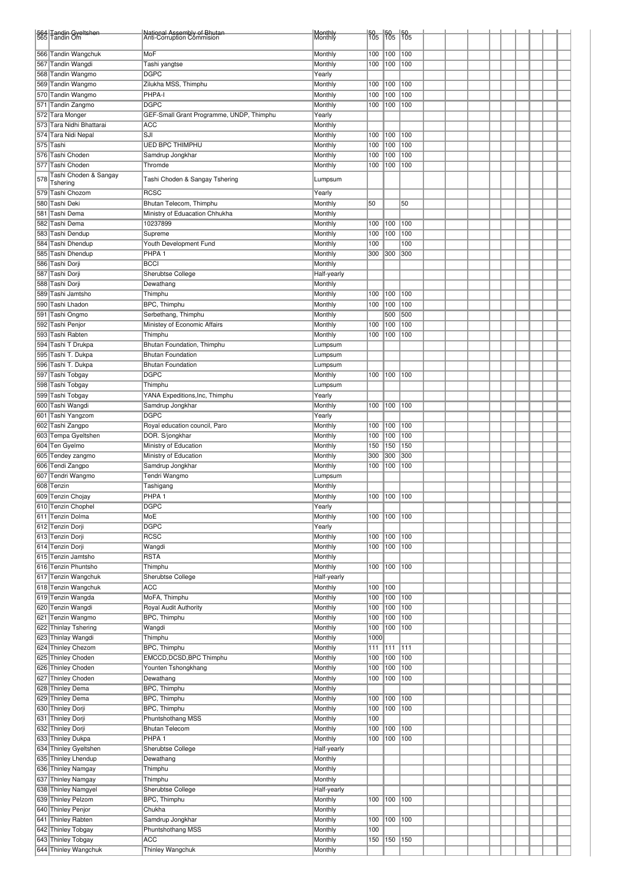|     | 564 Tandin Gyeltshen<br>565 Tandin Om           | National Assembly of Bhutan<br>Anti-Corruption Commision | Monthly<br>Monthly |            | $\frac{50}{105}$ $\frac{50}{105}$ $\frac{50}{105}$ |     |  |  |  |  |  |
|-----|-------------------------------------------------|----------------------------------------------------------|--------------------|------------|----------------------------------------------------|-----|--|--|--|--|--|
|     |                                                 |                                                          |                    |            |                                                    |     |  |  |  |  |  |
|     | 566 Tandin Wangchuk                             | MoF                                                      | Monthly            | 100        | 100                                                | 100 |  |  |  |  |  |
|     | 567 Tandin Wangdi                               | Tashi yangtse                                            | Monthly            | 100        | 100                                                | 100 |  |  |  |  |  |
|     | 568 Tandin Wangmo                               | <b>DGPC</b>                                              | Yearly             |            |                                                    |     |  |  |  |  |  |
|     | 569 Tandin Wangmo                               | Zilukha MSS, Thimphu                                     | Monthly            | 100        | 100                                                | 100 |  |  |  |  |  |
|     | 570 Tandin Wangmo                               | PHPA-I                                                   | Monthly            | 100        | 100                                                | 100 |  |  |  |  |  |
|     | 571 Tandin Zangmo                               | <b>DGPC</b>                                              | Monthly            | 100        | 100                                                | 100 |  |  |  |  |  |
|     | 572 Tara Monger                                 | GEF-Small Grant Programme, UNDP, Thimphu<br><b>ACC</b>   | Yearly             |            |                                                    |     |  |  |  |  |  |
|     | 573 Tara Nidhi Bhattarai<br>574 Tara Nidi Nepal | SJI                                                      | Monthly<br>Monthly | 100        | 100                                                | 100 |  |  |  |  |  |
|     | 575 Tashi                                       | <b>UED BPC THIMPHU</b>                                   | Monthly            | 100        | 100                                                | 100 |  |  |  |  |  |
|     | 576 Tashi Choden                                | Samdrup Jongkhar                                         | Monthly            | 100        | 100                                                | 100 |  |  |  |  |  |
|     | 577 Tashi Choden                                | Thromde                                                  | Monthly            | 100        | 100                                                | 100 |  |  |  |  |  |
|     | Tashi Choden & Sangay                           |                                                          |                    |            |                                                    |     |  |  |  |  |  |
| 578 | Tshering                                        | Tashi Choden & Sangay Tshering                           | Lumpsum            |            |                                                    |     |  |  |  |  |  |
|     | 579 Tashi Chozom                                | <b>RCSC</b>                                              | Yearly             |            |                                                    |     |  |  |  |  |  |
|     | 580 Tashi Deki                                  | Bhutan Telecom, Thimphu                                  | Monthly            | 50         |                                                    | 50  |  |  |  |  |  |
|     | 581 Tashi Dema                                  | Ministry of Eduacation Chhukha                           | Monthly            |            |                                                    |     |  |  |  |  |  |
|     | 582 Tashi Dema                                  | 10237899                                                 | Monthly            | 100        | 100                                                | 100 |  |  |  |  |  |
|     | 583 Tashi Dendup                                | Supreme                                                  | Monthly            | 100        | 100                                                | 100 |  |  |  |  |  |
|     | 584 Tashi Dhendup                               | Youth Development Fund                                   | Monthly            | 100        |                                                    | 100 |  |  |  |  |  |
|     | 585 Tashi Dhendup                               | PHPA <sub>1</sub>                                        | Monthly            | 300        | 300                                                | 300 |  |  |  |  |  |
|     | 586 Tashi Dorji                                 | <b>BCCI</b>                                              | Monthly            |            |                                                    |     |  |  |  |  |  |
|     | 587 Tashi Dorji                                 | Sherubtse College                                        | Half-yearly        |            |                                                    |     |  |  |  |  |  |
|     | 588 Tashi Dorji                                 | Dewathang                                                | Monthly            |            |                                                    |     |  |  |  |  |  |
|     | 589 Tashi Jamtsho                               | Thimphu                                                  | Monthly            | 100        | 100                                                | 100 |  |  |  |  |  |
|     | 590 Tashi Lhadon                                | BPC, Thimphu                                             | Monthly            | 100        | 100                                                | 100 |  |  |  |  |  |
|     | 591 Tashi Ongmo                                 | Serbethang, Thimphu                                      | Monthly            |            | 500                                                | 500 |  |  |  |  |  |
|     | 592 Tashi Penjor                                | Ministey of Economic Affairs                             | Monthly            | 100        | 100                                                | 100 |  |  |  |  |  |
|     | 593 Tashi Rabten                                | Thimphu                                                  | Monthly            | 100        | 100                                                | 100 |  |  |  |  |  |
|     | 594 Tashi T Drukpa                              | Bhutan Foundation, Thimphu                               | Lumpsum            |            |                                                    |     |  |  |  |  |  |
|     | 595 Tashi T. Dukpa                              | <b>Bhutan Foundation</b>                                 | Lumpsum            |            |                                                    |     |  |  |  |  |  |
|     | 596  Tashi T. Dukpa                             | <b>Bhutan Foundation</b>                                 | Lumpsum            |            |                                                    |     |  |  |  |  |  |
|     | 597 Tashi Tobgay                                | <b>DGPC</b>                                              | Monthly            | 100        | 100                                                | 100 |  |  |  |  |  |
|     | 598 Tashi Tobgay                                | Thimphu                                                  | Lumpsum            |            |                                                    |     |  |  |  |  |  |
|     | 599 Tashi Tobgay                                | YANA Expeditions, Inc, Thimphu                           | Yearly             |            |                                                    |     |  |  |  |  |  |
|     | 600 Tashi Wangdi                                | Samdrup Jongkhar                                         | Monthly            | 100        | 100                                                | 100 |  |  |  |  |  |
|     | 601 Tashi Yangzom                               | <b>DGPC</b>                                              | Yearly             |            |                                                    |     |  |  |  |  |  |
|     | 602 Tashi Zangpo                                | Royal education council, Paro                            | Monthly            | 100        | 100                                                | 100 |  |  |  |  |  |
|     | 603 Tempa Gyeltshen                             | DOR. S/jongkhar                                          | Monthly            | 100        | 100                                                | 100 |  |  |  |  |  |
|     | 604 Ten Gyelmo                                  | Ministry of Education                                    | Monthly            | 150        | 150                                                | 150 |  |  |  |  |  |
|     | 605 Tendey zangmo                               | Ministry of Education                                    | Monthly            | 300        | 300                                                | 300 |  |  |  |  |  |
|     | 606 Tendi Zangpo                                | Samdrup Jongkhar                                         | Monthly            | 100        | 100                                                | 100 |  |  |  |  |  |
|     | 607 Tendri Wangmo                               | Tendri Wangmo                                            | Lumpsum            |            |                                                    |     |  |  |  |  |  |
|     | 608 Tenzin                                      | Tashigang                                                | Monthly            |            |                                                    |     |  |  |  |  |  |
|     | 609 Tenzin Chojay                               | PHPA <sub>1</sub>                                        | Monthly            |            | 100 100 100                                        |     |  |  |  |  |  |
|     | 610 Tenzin Chophel                              | <b>DGPC</b>                                              | Yearly             |            |                                                    |     |  |  |  |  |  |
|     | 611 Tenzin Dolma                                | MoE                                                      | Monthly            | 100        | 100                                                | 100 |  |  |  |  |  |
|     | 612 Tenzin Dorji                                | <b>DGPC</b>                                              | Yearly             |            |                                                    |     |  |  |  |  |  |
|     | 613 Tenzin Dorji                                | <b>RCSC</b>                                              | Monthly            | 100        | 100                                                | 100 |  |  |  |  |  |
|     | 614 Tenzin Dorji                                | Wangdi                                                   | Monthly            | 100        | 100                                                | 100 |  |  |  |  |  |
|     | 615 Tenzin Jamtsho                              | <b>RSTA</b>                                              | Monthly            |            |                                                    |     |  |  |  |  |  |
|     | 616 Tenzin Phuntsho                             | Thimphu                                                  | Monthly            | 100        | 100                                                | 100 |  |  |  |  |  |
|     | 617 Tenzin Wangchuk                             | Sherubtse College                                        | Half-yearly        |            |                                                    |     |  |  |  |  |  |
|     | 618 Tenzin Wangchuk                             | <b>ACC</b>                                               | Monthly            | 100        | 100                                                |     |  |  |  |  |  |
|     | 619 Tenzin Wangda                               | MoFA, Thimphu                                            | Monthly            | 100        | 100                                                | 100 |  |  |  |  |  |
|     | 620 Tenzin Wangdi                               | Royal Audit Authority                                    | Monthly            | 100        | 100                                                | 100 |  |  |  |  |  |
|     | 621 Tenzin Wangmo                               | BPC, Thimphu                                             | Monthly            | 100        | 100                                                | 100 |  |  |  |  |  |
|     | 622 Thinlay Tshering                            | Wangdi                                                   | Monthly            | 100        | 100                                                | 100 |  |  |  |  |  |
|     | 623 Thinlay Wangdi                              | Thimphu                                                  | Monthly            | 1000       |                                                    |     |  |  |  |  |  |
|     | 624 Thinley Chezom                              | BPC, Thimphu                                             | Monthly            | 111        | 111                                                | 111 |  |  |  |  |  |
|     | 625 Thinley Choden                              | EMCCD, DCSD, BPC Thimphu                                 | Monthly            | 100        | 100                                                | 100 |  |  |  |  |  |
|     | 626 Thinley Choden                              | Younten Tshongkhang                                      | Monthly            | 100        | 100                                                | 100 |  |  |  |  |  |
|     | 627 Thinley Choden                              | Dewathang                                                | Monthly            | 100        | 100                                                | 100 |  |  |  |  |  |
|     | 628 Thinley Dema                                | BPC, Thimphu                                             | Monthly            |            |                                                    |     |  |  |  |  |  |
|     | 629 Thinley Dema                                | BPC, Thimphu                                             | Monthly            | 100        | 100                                                | 100 |  |  |  |  |  |
|     | 630 Thinley Dorji                               | BPC, Thimphu                                             | Monthly            | 100        | 100                                                | 100 |  |  |  |  |  |
|     | 631 Thinley Dorji                               | Phuntshothang MSS                                        | Monthly            | 100        |                                                    |     |  |  |  |  |  |
|     | 632 Thinley Dorji                               | <b>Bhutan Telecom</b>                                    | Monthly            | 100        | 100                                                | 100 |  |  |  |  |  |
|     | 633 Thinley Dukpa                               | PHPA <sub>1</sub>                                        | Monthly            | 100        | 100                                                | 100 |  |  |  |  |  |
|     | 634 Thinley Gyeltshen                           | Sherubtse College                                        | Half-yearly        |            |                                                    |     |  |  |  |  |  |
|     | 635 Thinley Lhendup                             | Dewathang                                                | Monthly            |            |                                                    |     |  |  |  |  |  |
|     | 636 Thinley Namgay                              | Thimphu                                                  | Monthly            |            |                                                    |     |  |  |  |  |  |
|     | 637 Thinley Namgay                              | Thimphu                                                  | Monthly            |            |                                                    |     |  |  |  |  |  |
|     | 638 Thinley Namgyel                             | Sherubtse College                                        | Half-yearly        |            | $100$   $100$                                      |     |  |  |  |  |  |
|     | 639 Thinley Pelzom                              | BPC, Thimphu                                             | Monthly            | 100        |                                                    |     |  |  |  |  |  |
|     | 640 Thinley Penjor                              | Chukha                                                   | Monthly            |            |                                                    |     |  |  |  |  |  |
|     | 641 Thinley Rabten                              | Samdrup Jongkhar                                         | Monthly<br>Monthly | 100<br>100 | 100                                                | 100 |  |  |  |  |  |
|     | 642 Thinley Tobgay<br>643 Thinley Tobgay        | Phuntshothang MSS<br><b>ACC</b>                          | Monthly            | 150        | 150 150                                            |     |  |  |  |  |  |
|     | 644 Thinley Wangchuk                            | Thinley Wangchuk                                         | Monthly            |            |                                                    |     |  |  |  |  |  |
|     |                                                 |                                                          |                    |            |                                                    |     |  |  |  |  |  |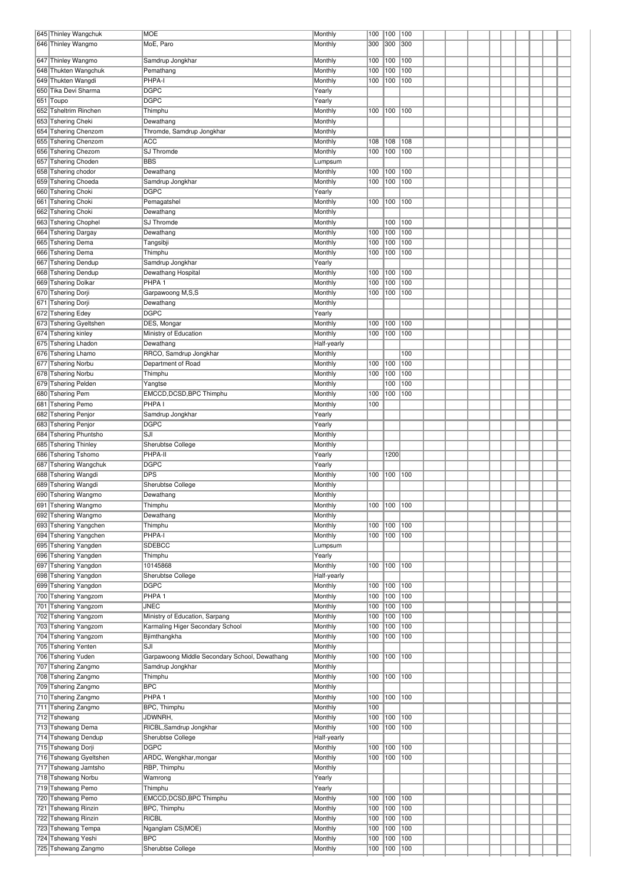| 645 Thinley Wangchuk                       | <b>MOE</b>                                    | Monthly            | 100        | 100         | 100        |  |  |  |  |  |
|--------------------------------------------|-----------------------------------------------|--------------------|------------|-------------|------------|--|--|--|--|--|
| 646 Thinley Wangmo                         | MoE, Paro                                     | Monthly            | 300        | 300         | 300        |  |  |  |  |  |
|                                            |                                               |                    |            |             |            |  |  |  |  |  |
| 647 Thinley Wangmo                         | Samdrup Jongkhar                              | Monthly            | 100        | 100         | 100        |  |  |  |  |  |
| 648 Thukten Wangchuk                       | Pemathang                                     | Monthly            | 100        | 100         | 100        |  |  |  |  |  |
| 649 Thukten Wangdi                         | PHPA-I                                        | Monthly            | 100        | 100         | 100        |  |  |  |  |  |
| 650 Tika Devi Sharma                       | <b>DGPC</b>                                   | Yearly             |            |             |            |  |  |  |  |  |
| 651 Toupo                                  | <b>DGPC</b>                                   | Yearly             |            | 100         | 100        |  |  |  |  |  |
| 652 Tsheltrim Rinchen                      | Thimphu                                       | Monthly            | 100        |             |            |  |  |  |  |  |
| 653 Tshering Cheki                         | Dewathang                                     | Monthly            |            |             |            |  |  |  |  |  |
| 654 Tshering Chenzom                       | Thromde, Samdrup Jongkhar                     | Monthly            |            |             |            |  |  |  |  |  |
| 655 Tshering Chenzom                       | <b>ACC</b>                                    | Monthly            | 108        | 108         | 108        |  |  |  |  |  |
| 656 Tshering Chezom                        | SJ Thromde<br><b>BBS</b>                      | Monthly            | 100        | 100         | 100        |  |  |  |  |  |
| 657 Tshering Choden                        |                                               | Lumpsum            |            |             |            |  |  |  |  |  |
| 658 Tshering chodor                        | Dewathang                                     | Monthly            | 100        | 100         | 100<br>100 |  |  |  |  |  |
| 659 Tshering Choeda                        | Samdrup Jongkhar<br><b>DGPC</b>               | Monthly            | 100        | 100         |            |  |  |  |  |  |
| 660 Tshering Choki                         |                                               | Yearly             |            |             |            |  |  |  |  |  |
| 661 Tshering Choki<br>662 Tshering Choki   | Pemagatshel                                   | Monthly            | 100        | 100         | 100        |  |  |  |  |  |
| 663 Tshering Chophel                       | Dewathang<br>SJ Thromde                       | Monthly<br>Monthly |            | 100         | 100        |  |  |  |  |  |
| 664 Tshering Dargay                        | Dewathang                                     | Monthly            | 100        | 100         | 100        |  |  |  |  |  |
| 665 Tshering Dema                          | Tangsibji                                     | Monthly            | 100        | 100         | 100        |  |  |  |  |  |
| 666 Tshering Dema                          | Thimphu                                       | Monthly            | 100        | 100         | 100        |  |  |  |  |  |
| 667 Tshering Dendup                        | Samdrup Jongkhar                              | Yearly             |            |             |            |  |  |  |  |  |
| 668 Tshering Dendup                        | Dewathang Hospital                            | Monthly            | 100        | 100         | 100        |  |  |  |  |  |
| 669 Tshering Dolkar                        | PHPA <sub>1</sub>                             | Monthly            | 100        | 100         | 100        |  |  |  |  |  |
| 670 Tshering Dorji                         | Garpawoong M,S,S                              | Monthly            | 100        | 100         | 100        |  |  |  |  |  |
| 671 Tshering Dorji                         | Dewathang                                     | Monthly            |            |             |            |  |  |  |  |  |
| 672 Tshering Edey                          | <b>DGPC</b>                                   | Yearly             |            |             |            |  |  |  |  |  |
| 673 Tshering Gyeltshen                     | DES, Mongar                                   | Monthly            | 100        | 100         | 100        |  |  |  |  |  |
| 674 Tshering kinley                        | Ministry of Education                         | Monthly            | 100        | 100         | 100        |  |  |  |  |  |
| 675 Tshering Lhadon                        | Dewathang                                     | Half-yearly        |            |             |            |  |  |  |  |  |
| 676 Tshering Lhamo                         | RRCO, Samdrup Jongkhar                        | Monthly            |            |             | 100        |  |  |  |  |  |
| 677 Tshering Norbu                         | Department of Road                            | Monthly            | 100        | 100         | 100        |  |  |  |  |  |
| 678 Tshering Norbu                         | Thimphu                                       | Monthly            | 100        | 100         | 100        |  |  |  |  |  |
| 679 Tshering Pelden                        | Yangtse                                       | Monthly            |            | 100         | 100        |  |  |  |  |  |
| 680 Tshering Pem                           | EMCCD, DCSD, BPC Thimphu                      | Monthly            | 100        | 100         | 100        |  |  |  |  |  |
| 681 Tshering Pemo                          | PHPA I                                        | Monthly            | 100        |             |            |  |  |  |  |  |
| 682 Tshering Penjor                        | Samdrup Jongkhar                              | Yearly             |            |             |            |  |  |  |  |  |
| 683 Tshering Penjor                        | <b>DGPC</b>                                   | Yearly             |            |             |            |  |  |  |  |  |
| 684 Tshering Phuntsho                      | SJI                                           | Monthly            |            |             |            |  |  |  |  |  |
| 685 Tshering Thinley                       | Sherubtse College                             | Monthly            |            |             |            |  |  |  |  |  |
| 686 Tshering Tshomo                        | PHPA-II                                       | Yearly             |            | 1200        |            |  |  |  |  |  |
| 687 Tshering Wangchuk                      | <b>DGPC</b>                                   | Yearly             |            |             |            |  |  |  |  |  |
| 688 Tshering Wangdi                        | <b>DPS</b>                                    | Monthly            | 100        | 100         | 100        |  |  |  |  |  |
| 689 Tshering Wangdi                        | Sherubtse College                             | Monthly            |            |             |            |  |  |  |  |  |
| 690 Tshering Wangmo                        | Dewathang                                     | Monthly            |            |             |            |  |  |  |  |  |
| 691 Tshering Wangmo                        | Thimphu                                       | Monthly            |            | 100 100 100 |            |  |  |  |  |  |
| 692 Tshering Wangmo                        | Dewathang                                     | Monthly            |            |             |            |  |  |  |  |  |
| 693 Tshering Yangchen                      | Thimphu                                       | Monthly            | 100        | 100         | 100        |  |  |  |  |  |
| 694 Tshering Yangchen                      | PHPA-I                                        | Monthly            | 100        | 100         | 100        |  |  |  |  |  |
| 695 Tshering Yangden                       | <b>SDEBCC</b>                                 | Lumpsum            |            |             |            |  |  |  |  |  |
| 696 Tshering Yangden                       | Thimphu                                       | Yearly             |            |             |            |  |  |  |  |  |
| 697 Tshering Yangdon                       | 10145868                                      | Monthly            | 100        | 100         | 100        |  |  |  |  |  |
| 698 Tshering Yangdon                       | Sherubtse College                             | Half-yearly        |            |             |            |  |  |  |  |  |
| 699 Tshering Yangdon                       | <b>DGPC</b>                                   | Monthly            | 100        | 100         | 100        |  |  |  |  |  |
| 700 Tshering Yangzom                       | PHPA <sub>1</sub>                             | Monthly            | 100        | 100         | 100        |  |  |  |  |  |
| 701 Tshering Yangzom                       | <b>JNEC</b>                                   | Monthly            | 100        | 100         | 100        |  |  |  |  |  |
| 702 Tshering Yangzom                       | Ministry of Education, Sarpang                | Monthly            | 100        | 100         | 100        |  |  |  |  |  |
| 703 Tshering Yangzom                       | Karmaling Higer Secondary School              | Monthly            | 100        | 100         | 100        |  |  |  |  |  |
| 704 Tshering Yangzom                       | Bjimthangkha                                  | Monthly            | 100        | 100         | 100        |  |  |  |  |  |
| 705 Tshering Yenten                        | SJI                                           | Monthly            |            |             |            |  |  |  |  |  |
| 706 Tshering Yuden                         | Garpawoong Middle Secondary School, Dewathang | Monthly            | 100        | 100         | 100        |  |  |  |  |  |
| 707 Tshering Zangmo                        | Samdrup Jongkhar                              | Monthly            |            |             |            |  |  |  |  |  |
| 708 Tshering Zangmo                        | Thimphu                                       | Monthly            | 100        | 100         | 100        |  |  |  |  |  |
| 709 Tshering Zangmo                        | <b>BPC</b><br>PHPA <sub>1</sub>               | Monthly            |            |             |            |  |  |  |  |  |
| 710 Tshering Zangmo<br>711 Tshering Zangmo | BPC, Thimphu                                  | Monthly            | 100<br>100 | 100         | 100        |  |  |  |  |  |
| 712 Tshewang                               | JDWNRH,                                       | Monthly<br>Monthly | 100        | 100         | 100        |  |  |  |  |  |
| 713 Tshewang Dema                          | RICBL, Samdrup Jongkhar                       | Monthly            | 100        | 100         | 100        |  |  |  |  |  |
| 714 Tshewang Dendup                        | Sherubtse College                             | Half-yearly        |            |             |            |  |  |  |  |  |
| 715 Tshewang Dorji                         | <b>DGPC</b>                                   | Monthly            | 100        | 100         | 100        |  |  |  |  |  |
| 716 Tshewang Gyeltshen                     | ARDC, Wengkhar, mongar                        | Monthly            | 100        | 100         | 100        |  |  |  |  |  |
| 717 Tshewang Jamtsho                       | RBP, Thimphu                                  | Monthly            |            |             |            |  |  |  |  |  |
| 718 Tshewang Norbu                         | Wamrong                                       | Yearly             |            |             |            |  |  |  |  |  |
| 719 Tshewang Pemo                          | Thimphu                                       | Yearly             |            |             |            |  |  |  |  |  |
| 720 Tshewang Pemo                          | EMCCD, DCSD, BPC Thimphu                      | Monthly            | 100        | 100         | 100        |  |  |  |  |  |
| 721 Tshewang Rinzin                        | BPC, Thimphu                                  | Monthly            | 100        | 100         | 100        |  |  |  |  |  |
| 722 Tshewang Rinzin                        | <b>RICBL</b>                                  | Monthly            | 100        | 100         | 100        |  |  |  |  |  |
|                                            |                                               |                    |            |             |            |  |  |  |  |  |
|                                            |                                               |                    |            |             |            |  |  |  |  |  |
| 723 Tshewang Tempa                         | Nganglam CS(MOE)<br><b>BPC</b>                | Monthly            | 100        | 100         | 100        |  |  |  |  |  |
| 724 Tshewang Yeshi<br>725 Tshewang Zangmo  | Sherubtse College                             | Monthly<br>Monthly | 100<br>100 | 100<br>100  | 100<br>100 |  |  |  |  |  |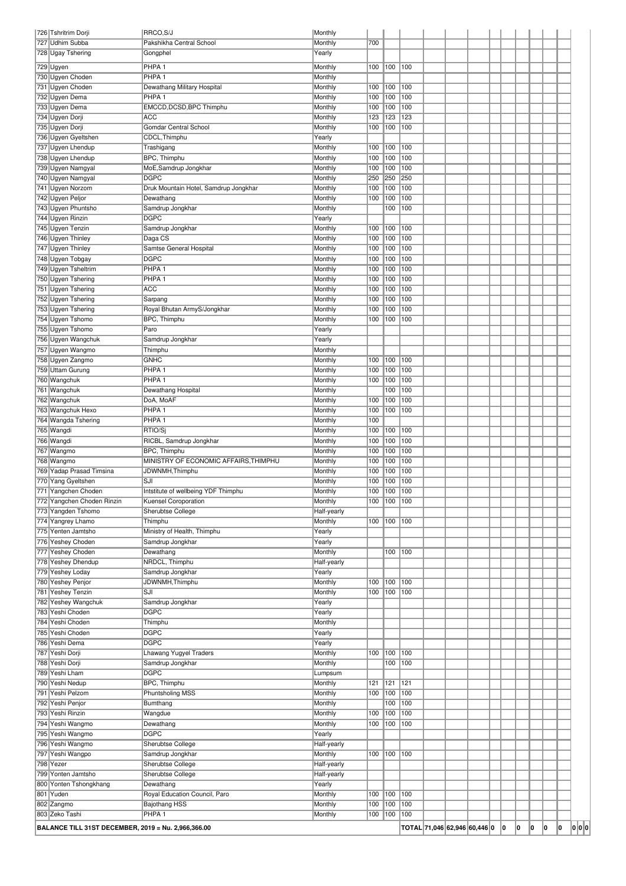| 726 Tshritrim Dorji                                 | RRCO, S/J                                          | Monthly                |             |                |            |                                |  |             |   |    |   |     |
|-----------------------------------------------------|----------------------------------------------------|------------------------|-------------|----------------|------------|--------------------------------|--|-------------|---|----|---|-----|
| 727 Udhim Subba                                     | Pakshikha Central School                           | Monthly                | 700         |                |            |                                |  |             |   |    |   |     |
| 728 Ugay Tshering                                   | Gongphel                                           | Yearly                 |             |                |            |                                |  |             |   |    |   |     |
| 729 Ugyen                                           | PHPA <sub>1</sub>                                  | Monthly                | 100         | 100 100        |            |                                |  |             |   |    |   |     |
| 730 Ugyen Choden                                    | PHPA <sub>1</sub>                                  | Monthly                |             |                |            |                                |  |             |   |    |   |     |
| 731 Ugyen Choden<br>732 Ugyen Dema                  | Dewathang Military Hospital<br>PHPA <sub>1</sub>   | Monthly<br>Monthly     | 100<br>100  | 100<br>100     | 100<br>100 |                                |  |             |   |    |   |     |
| 733 Ugyen Dema                                      | EMCCD, DCSD, BPC Thimphu                           | Monthly                | 100         | 100            | 100        |                                |  |             |   |    |   |     |
| 734 Ugyen Dorji                                     | <b>ACC</b>                                         | Monthly                | 123         | 123            | 123        |                                |  |             |   |    |   |     |
| 735 Ugyen Dorji                                     | Gomdar Central School                              | Monthly                | 100         | 100            | 100        |                                |  |             |   |    |   |     |
| 736 Ugyen Gyeltshen                                 | CDCL, Thimphu                                      | Yearly                 |             |                |            |                                |  |             |   |    |   |     |
| 737 Ugyen Lhendup                                   | Trashigang                                         | Monthly                | 100         | 100            | 100        |                                |  |             |   |    |   |     |
| 738 Ugyen Lhendup                                   | BPC, Thimphu                                       | Monthly                | 100         | 100            | 100        |                                |  |             |   |    |   |     |
| 739 Ugyen Namgyal                                   | MoE, Samdrup Jongkhar                              | Monthly                | 100         | 100            | 100        |                                |  |             |   |    |   |     |
| 740 Ugyen Namgyal                                   | <b>DGPC</b>                                        | Monthly                | 250<br>100  | 250<br>100     | 250<br>100 |                                |  |             |   |    |   |     |
| 741 Ugyen Norzom<br>742 Ugyen Peljor                | Druk Mountain Hotel, Samdrup Jongkhar<br>Dewathang | Monthly<br>Monthly     | 100         | 100            | 100        |                                |  |             |   |    |   |     |
| 743 Ugyen Phuntsho                                  | Samdrup Jongkhar                                   | Monthly                |             | 100            | 100        |                                |  |             |   |    |   |     |
| 744 Ugyen Rinzin                                    | <b>DGPC</b>                                        | Yearly                 |             |                |            |                                |  |             |   |    |   |     |
| 745 Ugyen Tenzin                                    | Samdrup Jongkhar                                   | Monthly                | 100         | 100            | 100        |                                |  |             |   |    |   |     |
| 746 Ugyen Thinley                                   | Daga CS                                            | Monthly                | 100         | 100            | 100        |                                |  |             |   |    |   |     |
| 747 Ugyen Thinley                                   | Samtse General Hospital                            | Monthly                | 100         | 100            | 100        |                                |  |             |   |    |   |     |
| 748 Ugyen Tobgay                                    | <b>DGPC</b>                                        | Monthly                | 100         | 100            | 100        |                                |  |             |   |    |   |     |
| 749 Ugyen Tsheltrim                                 | PHPA <sub>1</sub><br>PHPA <sub>1</sub>             | Monthly                | 100         | 100            | 100        |                                |  |             |   |    |   |     |
| 750 Ugyen Tshering<br>751 Ugyen Tshering            | <b>ACC</b>                                         | Monthly<br>Monthly     | 100<br>100  | 100<br>100     | 100<br>100 |                                |  |             |   |    |   |     |
| 752 Ugyen Tshering                                  | Sarpang                                            | Monthly                | 100         | 100            | 100        |                                |  |             |   |    |   |     |
| 753 Ugyen Tshering                                  | Royal Bhutan ArmyS/Jongkhar                        | Monthly                | 100         | 100            | 100        |                                |  |             |   |    |   |     |
| 754 Ugyen Tshomo                                    | BPC, Thimphu                                       | Monthly                | 100         | 100            | 100        |                                |  |             |   |    |   |     |
| 755 Ugyen Tshomo                                    | Paro                                               | Yearly                 |             |                |            |                                |  |             |   |    |   |     |
| 756 Ugyen Wangchuk                                  | Samdrup Jongkhar                                   | Yearly                 |             |                |            |                                |  |             |   |    |   |     |
| 757 Ugyen Wangmo                                    | Thimphu                                            | Monthly                |             |                |            |                                |  |             |   |    |   |     |
| 758 Ugyen Zangmo                                    | <b>GNHC</b>                                        | Monthly                | 100         | 100            | 100        |                                |  |             |   |    |   |     |
| 759 Uttam Gurung<br>760 Wangchuk                    | PHPA <sub>1</sub><br>PHPA <sub>1</sub>             | Monthly<br>Monthly     | 100<br>100  | 100<br>100     | 100<br>100 |                                |  |             |   |    |   |     |
| 761 Wangchuk                                        | Dewathang Hospital                                 | Monthly                |             | 100            | 100        |                                |  |             |   |    |   |     |
| 762 Wangchuk                                        | DoA, MoAF                                          | Monthly                | 100         | 100            | 100        |                                |  |             |   |    |   |     |
| 763 Wangchuk Hexo                                   | PHPA <sub>1</sub>                                  | Monthly                | 100         | 100 100        |            |                                |  |             |   |    |   |     |
| 764 Wangda Tshering                                 | PHPA <sub>1</sub>                                  | Monthly                | 100         |                |            |                                |  |             |   |    |   |     |
| 765 Wangdi                                          | RTIO/Sj                                            | Monthly                | 100         | 100            | 100        |                                |  |             |   |    |   |     |
| 766 Wangdi                                          | RICBL, Samdrup Jongkhar                            | Monthly                | 100         | 100            | 100        |                                |  |             |   |    |   |     |
| 767 Wangmo                                          | <b>BPC, Thimphu</b>                                | Monthly                | 100         | 100            | 100        |                                |  |             |   |    |   |     |
| 768 Wangmo<br>769 Yadap Prasad Timsina              | MINISTRY OF ECONOMIC AFFAIRS, THIMPHU              | Monthly<br>Monthly     | 100<br>100  | 100            | 100<br>100 |                                |  |             |   |    |   |     |
| 770 Yang Gyeltshen                                  | JDWNMH, Thimphu<br>SJI                             | Monthly                | 100         | 100<br>100     | 100        |                                |  |             |   |    |   |     |
| 771 Yangchen Choden                                 | Intstitute of wellbeing YDF Thimphu                | Monthly                | 100         | 100            | 100        |                                |  |             |   |    |   |     |
| 772 Yangchen Choden Rinzin                          | <b>Kuensel Coroporation</b>                        | Monthly                |             | 100 100 100    |            |                                |  |             |   |    |   |     |
| 773 Yangden Tshomo                                  | Sherubtse College                                  | Half-yearly            |             |                |            |                                |  |             |   |    |   |     |
| 774 Yangrey Lhamo                                   | Thimphu                                            | Monthly                | 100         | 100 100        |            |                                |  |             |   |    |   |     |
| 775 Yenten Jamtsho                                  | Ministry of Health, Thimphu                        | Yearly                 |             |                |            |                                |  |             |   |    |   |     |
| 776 Yeshey Choden                                   | Samdrup Jongkhar                                   | Yearly                 |             |                |            |                                |  |             |   |    |   |     |
| 777 Yeshey Choden                                   | Dewathang                                          | Monthly                |             | 100 100        |            |                                |  |             |   |    |   |     |
| 778 Yeshey Dhendup<br>779 Yeshey Loday              | NRDCL, Thimphu<br>Samdrup Jongkhar                 | Half-yearly<br>Yearly  |             |                |            |                                |  |             |   |    |   |     |
| 780 Yeshey Penjor                                   | JDWNMH, Thimphu                                    | Monthly                | 100         | 100            | 100        |                                |  |             |   |    |   |     |
| 781 Yeshey Tenzin                                   | SJI                                                | Monthly                | 100         | 100 100        |            |                                |  |             |   |    |   |     |
| 782 Yeshey Wangchuk                                 | Samdrup Jongkhar                                   | Yearly                 |             |                |            |                                |  |             |   |    |   |     |
| 783 Yeshi Choden                                    | <b>DGPC</b>                                        | Yearly                 |             |                |            |                                |  |             |   |    |   |     |
| 784 Yeshi Choden                                    | Thimphu                                            | Monthly                |             |                |            |                                |  |             |   |    |   |     |
| 785 Yeshi Choden                                    | <b>DGPC</b>                                        | Yearly                 |             |                |            |                                |  |             |   |    |   |     |
| 786 Yeshi Dema                                      | <b>DGPC</b>                                        | Yearly                 |             |                |            |                                |  |             |   |    |   |     |
| 787 Yeshi Dorji<br>788 Yeshi Dorji                  | Lhawang Yugyel Traders<br>Samdrup Jongkhar         | Monthly<br>Monthly     | 100         | 100 100<br>100 | 100        |                                |  |             |   |    |   |     |
| 789 Yeshi Lham                                      | <b>DGPC</b>                                        | Lumpsum                |             |                |            |                                |  |             |   |    |   |     |
| 790 Yeshi Nedup                                     | BPC, Thimphu                                       | Monthly                | 121         | 121            | 121        |                                |  |             |   |    |   |     |
| 791 Yeshi Pelzom                                    | Phuntsholing MSS                                   | Monthly                | $100$   100 |                | 100        |                                |  |             |   |    |   |     |
| 792 Yeshi Penjor                                    | Bumthang                                           | Monthly                |             | 100            | 100        |                                |  |             |   |    |   |     |
| 793 Yeshi Rinzin                                    | Wangdue                                            | Monthly                | 100         | 100            | 100        |                                |  |             |   |    |   |     |
| 794 Yeshi Wangmo                                    | Dewathang                                          | Monthly                | 100         | 100            | 100        |                                |  |             |   |    |   |     |
| 795 Yeshi Wangmo                                    | <b>DGPC</b>                                        | Yearly                 |             |                |            |                                |  |             |   |    |   |     |
| 796 Yeshi Wangmo<br>797 Yeshi Wangpo                | Sherubtse College<br>Samdrup Jongkhar              | Half-yearly<br>Monthly | 100         | 100 100        |            |                                |  |             |   |    |   |     |
| 798 Yezer                                           | Sherubtse College                                  | Half-yearly            |             |                |            |                                |  |             |   |    |   |     |
| 799 Yonten Jamtsho                                  | Sherubtse College                                  | Half-yearly            |             |                |            |                                |  |             |   |    |   |     |
| 800 Yonten Tshongkhang                              | Dewathang                                          | Yearly                 |             |                |            |                                |  |             |   |    |   |     |
| 801 Yuden                                           | Royal Education Council, Paro                      | Monthly                | 100         | 100            | 100        |                                |  |             |   |    |   |     |
| 802 Zangmo                                          | <b>Bajothang HSS</b>                               | Monthly                | 100         | 100            | 100        |                                |  |             |   |    |   |     |
| 803 Zeko Tashi                                      | PHPA <sub>1</sub>                                  | Monthly                | 100         | 100            | 100        |                                |  |             |   |    |   |     |
| BALANCE TILL 31ST DECEMBER, 2019 = Nu. 2,966,366.00 |                                                    |                        |             |                |            | TOTAL 71,046 62,946 60,446 0 0 |  | $ 0\rangle$ | 0 | 10 | 0 | 0 0 |